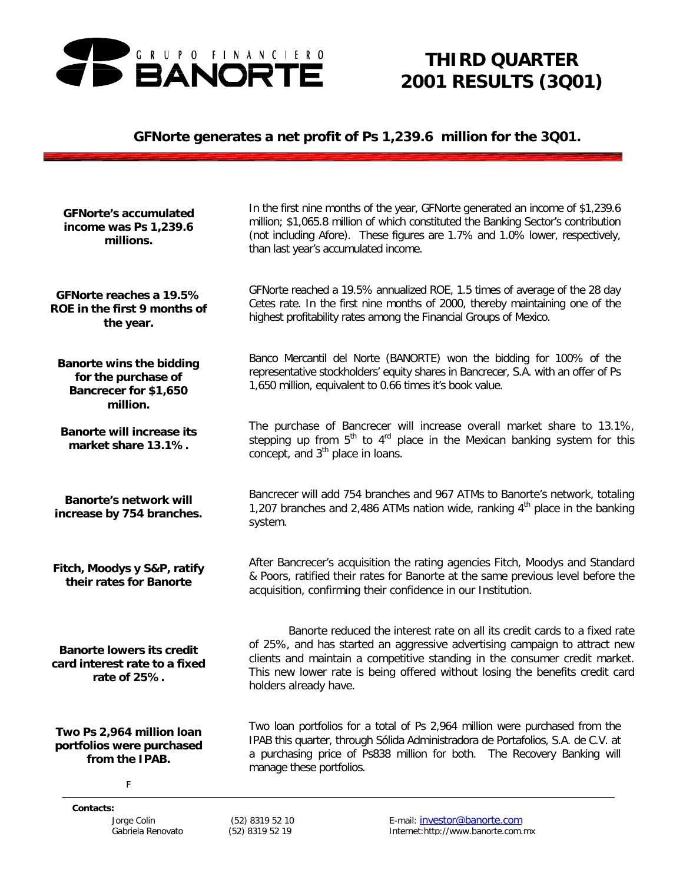

# *THIRD QUARTER 2001 RESULTS (3Q01)*

# *GFNorte generates a net profit of Ps 1,239.6 million for the 3Q01.*

| <b>GFNorte's accumulated</b><br>income was Ps 1,239.6<br>millions.                          | than last year's accumulated income.         | In the first nine months of the year, GFNorte generated an income of \$1,239.6<br>million; \$1,065.8 million of which constituted the Banking Sector's contribution<br>(not including Afore). These figures are 1.7% and 1.0% lower, respectively,                                                                   |
|---------------------------------------------------------------------------------------------|----------------------------------------------|----------------------------------------------------------------------------------------------------------------------------------------------------------------------------------------------------------------------------------------------------------------------------------------------------------------------|
| GFNorte reaches a 19.5%<br>ROE in the first 9 months of<br>the year.                        |                                              | GFNorte reached a 19.5% annualized ROE, 1.5 times of average of the 28 day<br>Cetes rate. In the first nine months of 2000, thereby maintaining one of the<br>highest profitability rates among the Financial Groups of Mexico.                                                                                      |
| <b>Banorte wins the bidding</b><br>for the purchase of<br>Bancrecer for \$1,650<br>million. |                                              | Banco Mercantil del Norte (BANORTE) won the bidding for 100% of the<br>representative stockholders' equity shares in Bancrecer, S.A. with an offer of Ps<br>1,650 million, equivalent to 0.66 times it's book value.                                                                                                 |
| <b>Banorte will increase its</b><br>market share 13.1%.                                     | concept, and 3 <sup>th</sup> place in loans. | The purchase of Bancrecer will increase overall market share to 13.1%,<br>stepping up from 5 <sup>th</sup> to 4 <sup>rd</sup> place in the Mexican banking system for this                                                                                                                                           |
| <b>Banorte's network will</b><br>increase by 754 branches.                                  | system.                                      | Bancrecer will add 754 branches and 967 ATMs to Banorte's network, totaling<br>1,207 branches and 2,486 ATMs nation wide, ranking $4th$ place in the banking                                                                                                                                                         |
| Fitch, Moodys y S&P, ratify<br>their rates for Banorte                                      |                                              | After Bancrecer's acquisition the rating agencies Fitch, Moodys and Standard<br>& Poors, ratified their rates for Banorte at the same previous level before the<br>acquisition, confirming their confidence in our Institution.                                                                                      |
| <b>Banorte lowers its credit</b><br>card interest rate to a fixed<br>rate of 25%.           | holders already have.                        | Banorte reduced the interest rate on all its credit cards to a fixed rate<br>of 25%, and has started an aggressive advertising campaign to attract new<br>clients and maintain a competitive standing in the consumer credit market.<br>This new lower rate is being offered without losing the benefits credit card |
| Two Ps 2,964 million loan<br>portfolios were purchased<br>from the IPAB.<br>F               | manage these portfolios.                     | Two loan portfolios for a total of Ps 2,964 million were purchased from the<br>IPAB this quarter, through Sólida Administradora de Portafolios, S.A. de C.V. at<br>a purchasing price of Ps838 million for both. The Recovery Banking will                                                                           |
| Contacts:<br>Jorge Colin<br>Gabriela Renovato                                               | (52) 8319 52 10<br>(52) 8319 52 19           | E-mail: investor@banorte.com<br>Internet:http://www.banorte.com.mx                                                                                                                                                                                                                                                   |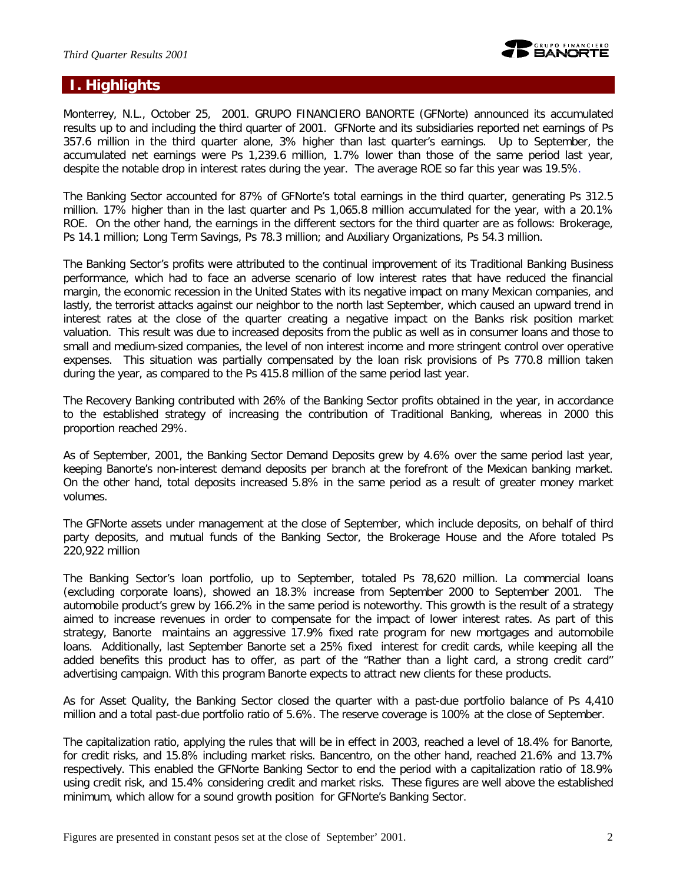

# **I. Highlights**

Monterrey, N.L., October 25, 2001. GRUPO FINANCIERO BANORTE (GFNorte) announced its accumulated results up to and including the third quarter of 2001. GFNorte and its subsidiaries reported net earnings of Ps 357.6 million in the third quarter alone, 3% higher than last quarter's earnings. Up to September, the accumulated net earnings were Ps 1,239.6 million, 1.7% lower than those of the same period last year, despite the notable drop in interest rates during the year. The average ROE so far this year was 19.5%.

The Banking Sector accounted for 87% of GFNorte's total earnings in the third quarter, generating Ps 312.5 million. 17% higher than in the last quarter and Ps 1,065.8 million accumulated for the year, with a 20.1% ROE. On the other hand, the earnings in the different sectors for the third quarter are as follows: Brokerage, Ps 14.1 million; Long Term Savings, Ps 78.3 million; and Auxiliary Organizations, Ps 54.3 million.

The Banking Sector's profits were attributed to the continual improvement of its Traditional Banking Business performance, which had to face an adverse scenario of low interest rates that have reduced the financial margin, the economic recession in the United States with its negative impact on many Mexican companies, and lastly, the terrorist attacks against our neighbor to the north last September, which caused an upward trend in interest rates at the close of the quarter creating a negative impact on the Banks risk position market valuation. This result was due to increased deposits from the public as well as in consumer loans and those to small and medium-sized companies, the level of non interest income and more stringent control over operative expenses. This situation was partially compensated by the loan risk provisions of Ps 770.8 million taken during the year, as compared to the Ps 415.8 million of the same period last year.

The Recovery Banking contributed with 26% of the Banking Sector profits obtained in the year, in accordance to the established strategy of increasing the contribution of Traditional Banking, whereas in 2000 this proportion reached 29%.

As of September, 2001, the Banking Sector Demand Deposits grew by 4.6% over the same period last year, keeping Banorte's non-interest demand deposits per branch at the forefront of the Mexican banking market. On the other hand, total deposits increased 5.8% in the same period as a result of greater money market volumes.

The GFNorte assets under management at the close of September, which include deposits, on behalf of third party deposits, and mutual funds of the Banking Sector, the Brokerage House and the Afore totaled Ps 220,922 million

The Banking Sector's loan portfolio, up to September, totaled Ps 78,620 million. La commercial loans (excluding corporate loans), showed an 18.3% increase from September 2000 to September 2001. The automobile product's grew by 166.2% in the same period is noteworthy. This growth is the result of a strategy aimed to increase revenues in order to compensate for the impact of lower interest rates. As part of this strategy, Banorte maintains an aggressive 17.9% fixed rate program for new mortgages and automobile loans. Additionally, last September Banorte set a 25% fixed interest for credit cards, while keeping all the added benefits this product has to offer, as part of the "Rather than a light card, a strong credit card" advertising campaign. With this program Banorte expects to attract new clients for these products.

As for Asset Quality, the Banking Sector closed the quarter with a past-due portfolio balance of Ps 4,410 million and a total past-due portfolio ratio of 5.6%. The reserve coverage is 100% at the close of September.

The capitalization ratio, applying the rules that will be in effect in 2003, reached a level of 18.4% for Banorte, for credit risks, and 15.8% including market risks. Bancentro, on the other hand, reached 21.6% and 13.7% respectively. This enabled the GFNorte Banking Sector to end the period with a capitalization ratio of 18.9% using credit risk, and 15.4% considering credit and market risks. These figures are well above the established minimum, which allow for a sound growth position for GFNorte's Banking Sector.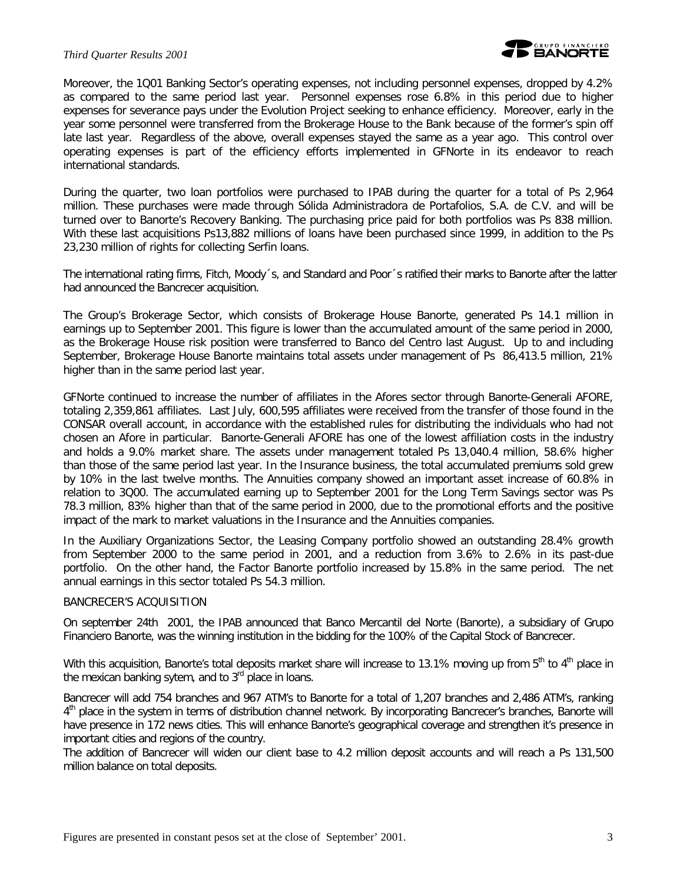### *Third Quarter Results 2001*

Moreover, the 1Q01 Banking Sector's operating expenses, not including personnel expenses, dropped by 4.2% as compared to the same period last year. Personnel expenses rose 6.8% in this period due to higher expenses for severance pays under the Evolution Project seeking to enhance efficiency. Moreover, early in the year some personnel were transferred from the Brokerage House to the Bank because of the former's spin off late last year. Regardless of the above, overall expenses stayed the same as a year ago. This control over operating expenses is part of the efficiency efforts implemented in GFNorte in its endeavor to reach international standards.

During the quarter, two loan portfolios were purchased to IPAB during the quarter for a total of Ps 2,964 million. These purchases were made through Sólida Administradora de Portafolios, S.A. de C.V. and will be turned over to Banorte's Recovery Banking. The purchasing price paid for both portfolios was Ps 838 million. With these last acquisitions Ps13,882 millions of loans have been purchased since 1999, in addition to the Ps 23,230 million of rights for collecting Serfin loans.

The international rating firms, Fitch, Moody´s, and Standard and Poor´s ratified their marks to Banorte after the latter had announced the Bancrecer acquisition.

The Group's Brokerage Sector, which consists of Brokerage House Banorte, generated Ps 14.1 million in earnings up to September 2001. This figure is lower than the accumulated amount of the same period in 2000, as the Brokerage House risk position were transferred to Banco del Centro last August. Up to and including September, Brokerage House Banorte maintains total assets under management of Ps 86,413.5 million, 21% higher than in the same period last year.

GFNorte continued to increase the number of affiliates in the Afores sector through Banorte-Generali AFORE, totaling 2,359,861 affiliates. Last July, 600,595 affiliates were received from the transfer of those found in the CONSAR overall account, in accordance with the established rules for distributing the individuals who had not chosen an Afore in particular. Banorte-Generali AFORE has one of the lowest affiliation costs in the industry and holds a 9.0% market share. The assets under management totaled Ps 13,040.4 million, 58.6% higher than those of the same period last year. In the Insurance business, the total accumulated premiums sold grew by 10% in the last twelve months. The Annuities company showed an important asset increase of 60.8% in relation to 3Q00. The accumulated earning up to September 2001 for the Long Term Savings sector was Ps 78.3 million, 83% higher than that of the same period in 2000, due to the promotional efforts and the positive impact of the mark to market valuations in the Insurance and the Annuities companies.

In the Auxiliary Organizations Sector, the Leasing Company portfolio showed an outstanding 28.4% growth from September 2000 to the same period in 2001, and a reduction from 3.6% to 2.6% in its past-due portfolio. On the other hand, the Factor Banorte portfolio increased by 15.8% in the same period. The net annual earnings in this sector totaled Ps 54.3 million.

### BANCRECER'S ACQUISITION

On september 24th 2001, the IPAB announced that Banco Mercantil del Norte (Banorte), a subsidiary of Grupo Financiero Banorte, was the winning institution in the bidding for the 100% of the Capital Stock of Bancrecer.

With this acquisition, Banorte's total deposits market share will increase to 13.1% moving up from  $5<sup>th</sup>$  to  $4<sup>th</sup>$  place in the mexican banking sytem, and to  $3<sup>rd</sup>$  place in loans.

Bancrecer will add 754 branches and 967 ATM's to Banorte for a total of 1,207 branches and 2,486 ATM's, ranking 4<sup>th</sup> place in the system in terms of distribution channel network. By incorporating Bancrecer's branches, Banorte will have presence in 172 news cities. This will enhance Banorte's geographical coverage and strengthen it's presence in important cities and regions of the country.

The addition of Bancrecer will widen our client base to 4.2 million deposit accounts and will reach a Ps 131,500 million balance on total deposits.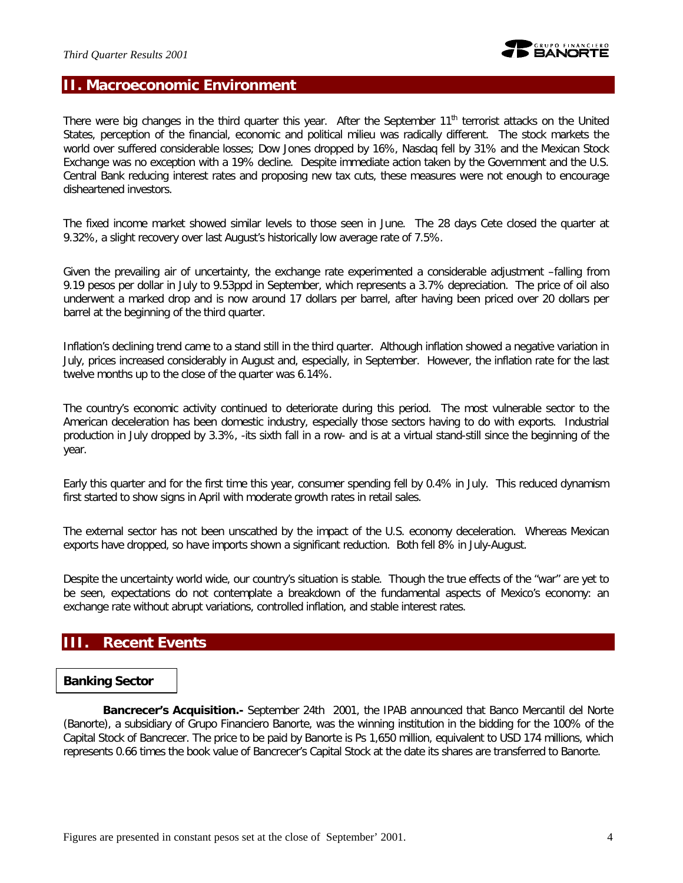# **II. Macroeconomic Environment**

There were big changes in the third quarter this year. After the September  $11<sup>th</sup>$  terrorist attacks on the United States, perception of the financial, economic and political milieu was radically different. The stock markets the world over suffered considerable losses; Dow Jones dropped by 16%, Nasdaq fell by 31% and the Mexican Stock Exchange was no exception with a 19% decline. Despite immediate action taken by the Government and the U.S. Central Bank reducing interest rates and proposing new tax cuts, these measures were not enough to encourage disheartened investors.

The fixed income market showed similar levels to those seen in June. The 28 days Cete closed the quarter at 9.32%, a slight recovery over last August's historically low average rate of 7.5%.

Given the prevailing air of uncertainty, the exchange rate experimented a considerable adjustment –falling from 9.19 pesos per dollar in July to 9.53ppd in September, which represents a 3.7% depreciation. The price of oil also underwent a marked drop and is now around 17 dollars per barrel, after having been priced over 20 dollars per barrel at the beginning of the third quarter.

Inflation's declining trend came to a stand still in the third quarter. Although inflation showed a negative variation in July, prices increased considerably in August and, especially, in September. However, the inflation rate for the last twelve months up to the close of the quarter was 6.14%.

The country's economic activity continued to deteriorate during this period. The most vulnerable sector to the American deceleration has been domestic industry, especially those sectors having to do with exports. Industrial production in July dropped by 3.3%, -its sixth fall in a row- and is at a virtual stand-still since the beginning of the year.

Early this quarter and for the first time this year, consumer spending fell by 0.4% in July. This reduced dynamism first started to show signs in April with moderate growth rates in retail sales.

The external sector has not been unscathed by the impact of the U.S. economy deceleration. Whereas Mexican exports have dropped, so have imports shown a significant reduction. Both fell 8% in July-August.

Despite the uncertainty world wide, our country's situation is stable. Though the true effects of the "war" are yet to be seen, expectations do not contemplate a breakdown of the fundamental aspects of Mexico's economy: an exchange rate without abrupt variations, controlled inflation, and stable interest rates.

# **III. Recent Events**

### *Banking Sector*

*Bancrecer's Acquisition.-* September 24th 2001, the IPAB announced that Banco Mercantil del Norte (Banorte), a subsidiary of Grupo Financiero Banorte, was the winning institution in the bidding for the 100% of the Capital Stock of Bancrecer. The price to be paid by Banorte is Ps 1,650 million, equivalent to USD 174 millions, which represents 0.66 times the book value of Bancrecer's Capital Stock at the date its shares are transferred to Banorte.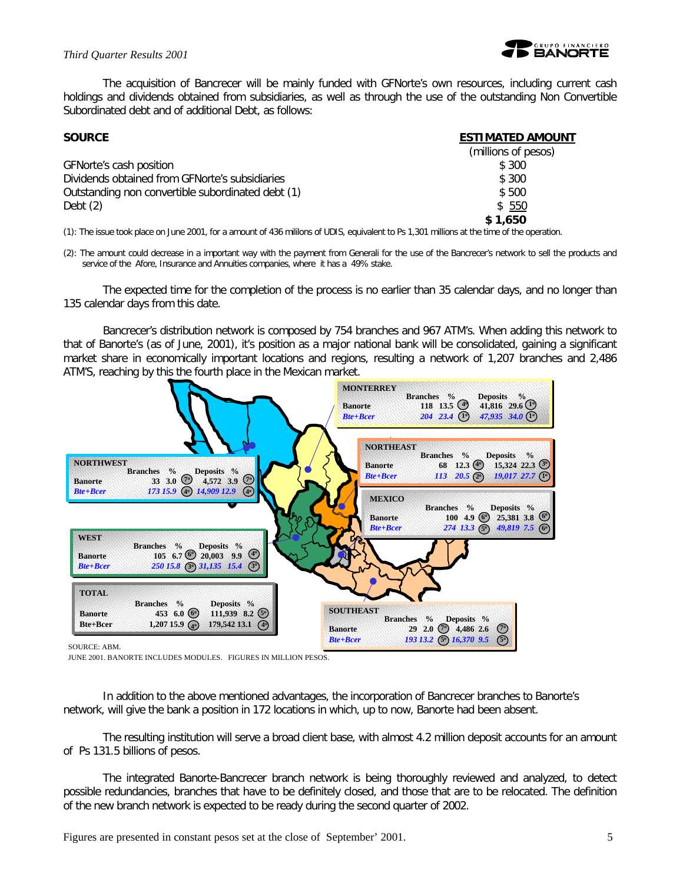

The acquisition of Bancrecer will be mainly funded with GFNorte's own resources, including current cash holdings and dividends obtained from subsidiaries, as well as through the use of the outstanding Non Convertible Subordinated debt and of additional Debt, as follows:

| <b>SOURCE</b>                                     | <b>ESTIMATED AMOUNT</b> |
|---------------------------------------------------|-------------------------|
|                                                   | (millions of pesos)     |
| GFNorte's cash position                           | \$ 300                  |
| Dividends obtained from GFNorte's subsidiaries    | \$ 300                  |
| Outstanding non convertible subordinated debt (1) | \$500                   |
| Debt $(2)$                                        | \$550                   |
|                                                   | \$1.650                 |

(1): The issue took place on June 2001, for a amount of 436 mililons of UDIS, equivalent to Ps 1,301 millions at the time of the operation.

(2): The amount could decrease in a important way with the payment from Generali for the use of the Bancrecer's network to sell the products and service of the Afore, Insurance and Annuities companies, where it has a 49% stake.

The expected time for the completion of the process is no earlier than 35 calendar days, and no longer than 135 calendar days from this date.

Bancrecer's distribution network is composed by 754 branches and 967 ATM's. When adding this network to that of Banorte's (as of June, 2001), it's position as a major national bank will be consolidated, gaining a significant market share in economically important locations and regions, resulting a network of 1,207 branches and 2,486 ATM'S, reaching by this the fourth place in the Mexican market.



JUNE 2001. BANORTE INCLUDES MODULES. FIGURES IN MILLION PESOS.

In addition to the above mentioned advantages, the incorporation of Bancrecer branches to Banorte's network, will give the bank a position in 172 locations in which, up to now, Banorte had been absent.

The resulting institution will serve a broad client base, with almost 4.2 million deposit accounts for an amount of Ps 131.5 billions of pesos.

The integrated Banorte-Bancrecer branch network is being thoroughly reviewed and analyzed, to detect possible redundancies, branches that have to be definitely closed, and those that are to be relocated. The definition of the new branch network is expected to be ready during the second quarter of 2002.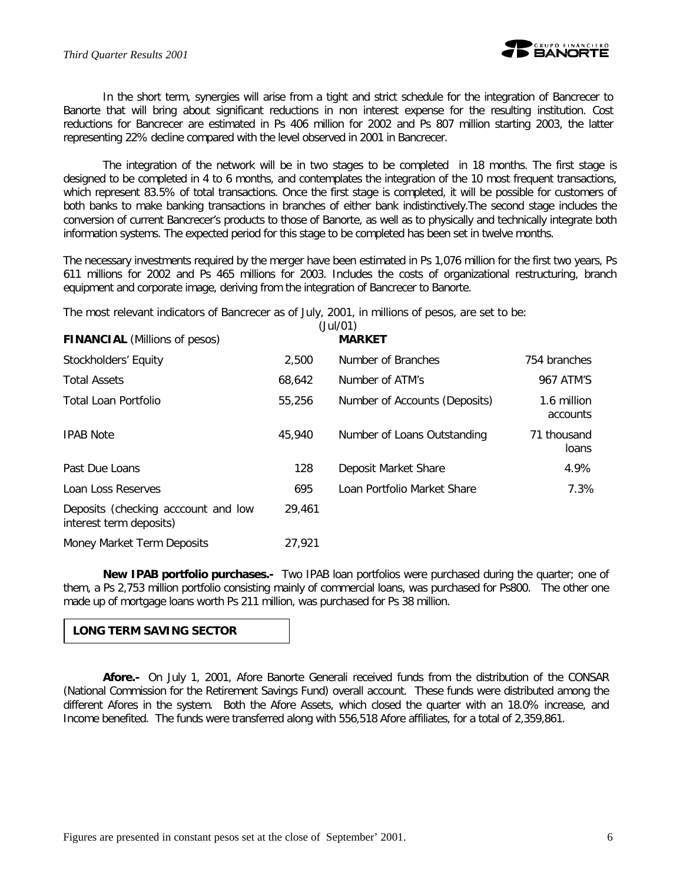

In the short term, synergies will arise from a tight and strict schedule for the integration of Bancrecer to Banorte that will bring about significant reductions in non interest expense for the resulting institution. Cost reductions for Bancrecer are estimated in Ps 406 million for 2002 and Ps 807 million starting 2003, the latter representing 22% decline compared with the level observed in 2001 in Bancrecer.

The integration of the network will be in two stages to be completed in 18 months. The first stage is designed to be completed in 4 to 6 months, and contemplates the integration of the 10 most frequent transactions, which represent 83.5% of total transactions. Once the first stage is completed, it will be possible for customers of both banks to make banking transactions in branches of either bank indistinctively.The second stage includes the conversion of current Bancrecer's products to those of Banorte, as well as to physically and technically integrate both information systems. The expected period for this stage to be completed has been set in twelve months.

The necessary investments required by the merger have been estimated in Ps 1,076 million for the first two years, Ps 611 millions for 2002 and Ps 465 millions for 2003. Includes the costs of organizational restructuring, branch equipment and corporate image, deriving from the integration of Bancrecer to Banorte.

The most relevant indicators of Bancrecer as of July, 2001, in millions of pesos, are set to be:

| <b>FINANCIAL</b> (Millions of pesos)                           |        | (Jul/01)<br><b>MARKET</b>     |                         |
|----------------------------------------------------------------|--------|-------------------------------|-------------------------|
| Stockholders' Equity                                           | 2,500  | Number of Branches            | 754 branches            |
| <b>Total Assets</b>                                            | 68,642 | Number of ATM's               | 967 ATM'S               |
| Total Loan Portfolio                                           | 55,256 | Number of Accounts (Deposits) | 1.6 million<br>accounts |
| <b>IPAB Note</b>                                               | 45,940 | Number of Loans Outstanding   | 71 thousand<br>loans    |
| Past Due Loans                                                 | 128    | Deposit Market Share          | 4.9%                    |
| Loan Loss Reserves                                             | 695    | Loan Portfolio Market Share   | 7.3%                    |
| Deposits (checking acccount and low<br>interest term deposits) | 29,461 |                               |                         |
| Money Market Term Deposits                                     | 27,921 |                               |                         |

*New IPAB portfolio purchases.*- Two IPAB loan portfolios were purchased during the quarter; one of them, a Ps 2,753 million portfolio consisting mainly of commercial loans, was purchased for Ps800. The other one made up of mortgage loans worth Ps 211 million, was purchased for Ps 38 million.

### **LONG TERM SAVING SECTOR**

*Afore.-* On July 1, 2001, Afore Banorte Generali received funds from the distribution of the CONSAR (National Commission for the Retirement Savings Fund) overall account. These funds were distributed among the different Afores in the system. Both the Afore Assets, which closed the quarter with an 18.0% increase, and Income benefited. The funds were transferred along with 556,518 Afore affiliates, for a total of 2,359,861.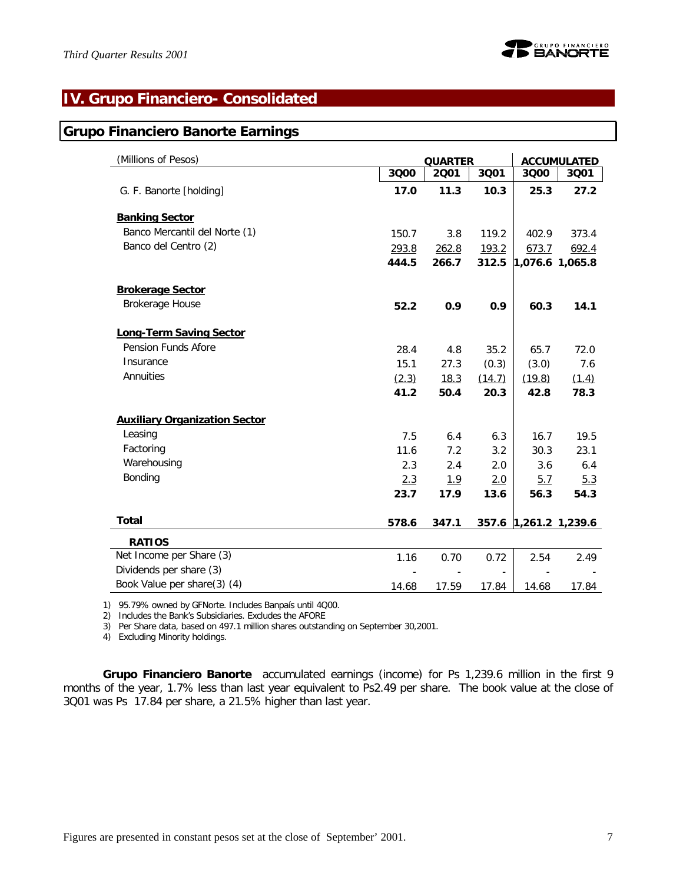# **IV. Grupo Financiero- Consolidated**

### **Grupo Financiero Banorte Earnings**

| (Millions of Pesos)                  |       | <b>QUARTER</b> |        |                   | <b>ACCUMULATED</b>    |
|--------------------------------------|-------|----------------|--------|-------------------|-----------------------|
|                                      | 3000  | 2001           | 3001   | 3000              | 3001                  |
| G. F. Banorte [holding]              | 17.0  | 11.3           | 10.3   | 25.3              | 27.2                  |
| <b>Banking Sector</b>                |       |                |        |                   |                       |
| Banco Mercantil del Norte (1)        | 150.7 | 3.8            | 119.2  | 402.9             | 373.4                 |
| Banco del Centro (2)                 | 293.8 | 262.8          | 193.2  | 673.7             | 692.4                 |
|                                      | 444.5 | 266.7          | 312.5  | $1,076.6$ 1,065.8 |                       |
| <b>Brokerage Sector</b>              |       |                |        |                   |                       |
| Brokerage House                      | 52.2  | 0.9            | 0.9    | 60.3              | 14.1                  |
| <b>Long-Term Saving Sector</b>       |       |                |        |                   |                       |
| Pension Funds Afore                  | 28.4  | 4.8            | 35.2   | 65.7              | 72.0                  |
| Insurance                            | 15.1  | 27.3           | (0.3)  | (3.0)             | 7.6                   |
| Annuities                            | (2.3) | 18.3           | (14.7) | (19.8)            | (1.4)                 |
|                                      | 41.2  | 50.4           | 20.3   | 42.8              | 78.3                  |
| <b>Auxiliary Organization Sector</b> |       |                |        |                   |                       |
| Leasing                              | 7.5   | 6.4            | 6.3    | 16.7              | 19.5                  |
| Factoring                            | 11.6  | 7.2            | 3.2    | 30.3              | 23.1                  |
| Warehousing                          | 2.3   | 2.4            | 2.0    | 3.6               | 6.4                   |
| Bonding                              | 2.3   | <u>1.9</u>     | 2.0    | 5.7               | 5.3                   |
|                                      | 23.7  | 17.9           | 13.6   | 56.3              | 54.3                  |
| <b>Total</b>                         | 578.6 | 347.1          |        |                   | 357.6 1,261.2 1,239.6 |
| <b>RATIOS</b>                        |       |                |        |                   |                       |
| Net Income per Share (3)             | 1.16  | 0.70           | 0.72   | 2.54              | 2.49                  |
| Dividends per share (3)              |       |                |        |                   |                       |
| Book Value per share(3) (4)          | 14.68 | 17.59          | 17.84  | 14.68             | 17.84                 |

1) 95.79% owned by GFNorte. Includes Banpaís until 4Q00.

2) Includes the Bank's Subsidiaries. Excludes the AFORE

3) Per Share data, based on 497.1 million shares outstanding on September 30,2001.

4) Excluding Minority holdings.

*Grupo Financiero Banorte* accumulated earnings (income) for Ps 1,239.6 million in the first 9 months of the year, 1.7% less than last year equivalent to Ps2.49 per share. The book value at the close of 3Q01 was Ps 17.84 per share, a 21.5% higher than last year.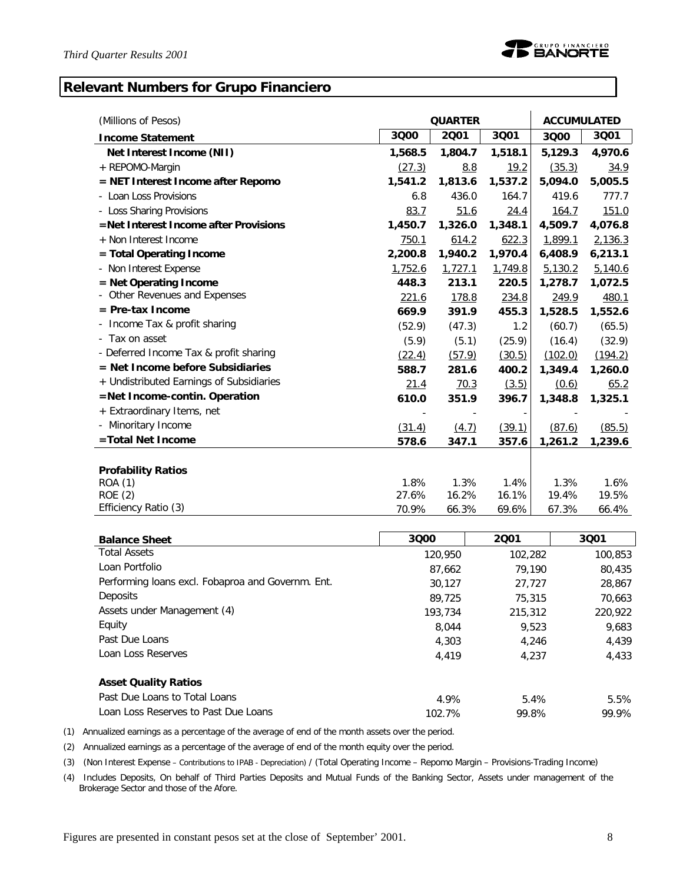# **Relevant Numbers for Grupo Financiero**

| (Millions of Pesos)                      |         | <b>QUARTER</b> |         | <b>ACCUMULATED</b> |         |  |
|------------------------------------------|---------|----------------|---------|--------------------|---------|--|
| <b>Income Statement</b>                  | 3000    | 2001           | 3001    | 3000               | 3001    |  |
| Net Interest Income (NII)                | 1,568.5 | 1,804.7        | 1,518.1 | 5,129.3            | 4,970.6 |  |
| + REPOMO-Margin                          | (27.3)  | 8.8            | 19.2    | (35.3)             | 34.9    |  |
| = NET Interest Income after Repomo       | 1,541.2 | 1,813.6        | 1,537.2 | 5,094.0            | 5,005.5 |  |
| - Loan Loss Provisions                   | 6.8     | 436.0          | 164.7   | 419.6              | 777.7   |  |
| - Loss Sharing Provisions                | 83.7    | 51.6           | 24.4    | <u>164.7</u>       | 151.0   |  |
| =Net Interest Income after Provisions    | 1,450.7 | 1,326.0        | 1,348.1 | 4,509.7            | 4,076.8 |  |
| + Non Interest Income                    | 750.1   | 614.2          | 622.3   | 1,899.1            | 2,136.3 |  |
| $=$ Total Operating Income               | 2,200.8 | 1,940.2        | 1,970.4 | 6,408.9            | 6,213.1 |  |
| - Non Interest Expense                   | 1,752.6 | 1,727.1        | 1,749.8 | 5,130.2            | 5,140.6 |  |
| = Net Operating Income                   | 448.3   | 213.1          | 220.5   | 1,278.7            | 1,072.5 |  |
| Other Revenues and Expenses              | 221.6   | 178.8          | 234.8   | 249.9              | 480.1   |  |
| $=$ Pre-tax Income                       | 669.9   | 391.9          | 455.3   | 1,528.5            | 1,552.6 |  |
| Income Tax & profit sharing              | (52.9)  | (47.3)         | 1.2     | (60.7)             | (65.5)  |  |
| - Tax on asset                           | (5.9)   | (5.1)          | (25.9)  | (16.4)             | (32.9)  |  |
| - Deferred Income Tax & profit sharing   | (22.4)  | (57.9)         | (30.5)  | (102.0)            | (194.2) |  |
| $=$ Net Income before Subsidiaries       | 588.7   | 281.6          | 400.2   | 1,349.4            | 1,260.0 |  |
| + Undistributed Earnings of Subsidiaries | 21.4    | 70.3           | (3.5)   | (0.6)              | 65.2    |  |
| =Net Income-contin. Operation            | 610.0   | 351.9          | 396.7   | 1,348.8            | 1,325.1 |  |
| + Extraordinary Items, net               |         |                |         |                    |         |  |
| - Minoritary Income                      | (31.4)  | (4.7)          | (39.1)  | (87.6)             | (85.5)  |  |
| =Total Net Income                        | 578.6   | 347.1          | 357.6   | 1,261.2            | 1,239.6 |  |
|                                          |         |                |         |                    |         |  |
| <b>Profability Ratios</b>                |         |                |         |                    |         |  |
| <b>ROA (1)</b>                           | 1.8%    | 1.3%           | 1.4%    | 1.3%               | 1.6%    |  |
| <b>ROE (2)</b>                           | 27.6%   | 16.2%          | 16.1%   | 19.4%              | 19.5%   |  |
| Efficiency Ratio (3)                     | 70.9%   | 66.3%          | 69.6%   | 67.3%              | 66.4%   |  |

| <b>Balance Sheet</b>                              | 3000    | 2001    | 3001    |
|---------------------------------------------------|---------|---------|---------|
| <b>Total Assets</b>                               | 120,950 | 102,282 | 100,853 |
| Loan Portfolio                                    | 87,662  | 79.190  | 80,435  |
| Performing loans excl. Fobaproa and Governm. Ent. | 30,127  | 27,727  | 28,867  |
| <b>Deposits</b>                                   | 89.725  | 75,315  | 70,663  |
| Assets under Management (4)                       | 193,734 | 215,312 | 220,922 |
| Equity                                            | 8,044   | 9.523   | 9.683   |
| Past Due Loans                                    | 4,303   | 4.246   | 4.439   |
| Loan Loss Reserves                                | 4.419   | 4.237   | 4,433   |
| <b>Asset Quality Ratios</b>                       |         |         |         |
| Past Due Loans to Total Loans                     | 4.9%    | 5.4%    | 5.5%    |
| Loan Loss Reserves to Past Due Loans              | 102.7%  | 99.8%   | 99.9%   |

(1) Annualized earnings as a percentage of the average of end of the month assets over the period.

(2) Annualized earnings as a percentage of the average of end of the month equity over the period.

(3) (Non Interest Expense – Contributions to IPAB - Depreciation) / (Total Operating Income – Repomo Margin – Provisions-Trading Income)

 (4) Includes Deposits, On behalf of Third Parties Deposits and Mutual Funds of the Banking Sector, Assets under management of the Brokerage Sector and those of the Afore.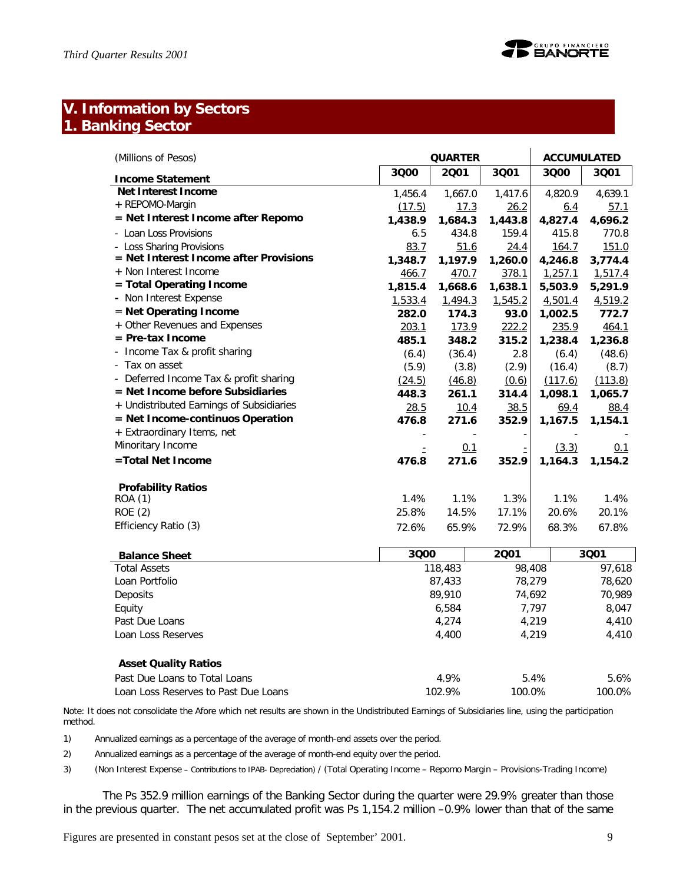

# **V. Information by Sectors 1. Banking Sector**

| (Millions of Pesos)                                    |         | <b>QUARTER</b><br><b>ACCUMULATED</b> |         |                  |            |  |
|--------------------------------------------------------|---------|--------------------------------------|---------|------------------|------------|--|
| <b>Income Statement</b>                                | 3000    | 2001                                 | 3001    | 3000             | 3001       |  |
| <b>Net Interest Income</b>                             | 1,456.4 | 1,667.0                              | 1,417.6 | 4,820.9          | 4,639.1    |  |
| + REPOMO-Margin                                        | (17.5)  | 17.3                                 | 26.2    | 6.4              | 57.1       |  |
| = Net Interest Income after Repomo                     | 1,438.9 | 1,684.3                              | 1,443.8 | 4,827.4          | 4,696.2    |  |
| Loan Loss Provisions                                   | 6.5     | 434.8                                | 159.4   | 415.8            | 770.8      |  |
| - Loss Sharing Provisions                              | 83.7    | 51.6                                 | 24.4    | 164.7            | 151.0      |  |
| = Net Interest Income after Provisions                 | 1,348.7 | 1,197.9                              | 1,260.0 | 4,246.8          | 3,774.4    |  |
| + Non Interest Income                                  | 466.7   | 470.7                                | 378.1   | 1,257.1          | 1,517.4    |  |
| = Total Operating Income                               | 1,815.4 | 1,668.6                              | 1,638.1 | 5,503.9          | 5,291.9    |  |
| - Non Interest Expense                                 | 1,533.4 | 1,494.3                              | 1,545.2 | 4,501.4          | 4,519.2    |  |
| = Net Operating Income                                 | 282.0   | 174.3                                | 93.0    | 1,002.5          | 772.7      |  |
| + Other Revenues and Expenses                          | 203.1   | <u>173.9</u>                         | 222.2   | 235.9            | 464.1      |  |
| $=$ Pre-tax Income                                     | 485.1   | 348.2                                | 315.2   | 1,238.4          | 1,236.8    |  |
| Income Tax & profit sharing                            | (6.4)   | (36.4)                               | 2.8     | (6.4)            | (48.6)     |  |
| Tax on asset                                           | (5.9)   | (3.8)                                | (2.9)   | (16.4)           | (8.7)      |  |
| Deferred Income Tax & profit sharing<br>$\blacksquare$ | (24.5)  | (46.8)                               | (0.6)   | (117.6)          | (113.8)    |  |
| = Net Income before Subsidiaries                       | 448.3   | 261.1                                | 314.4   | 1,098.1          | 1,065.7    |  |
| + Undistributed Earnings of Subsidiaries               | 28.5    | 10.4                                 | 38.5    | 69.4             | 88.4       |  |
| = Net Income-continuos Operation                       | 476.8   | 271.6                                | 352.9   | 1,167.5          | 1,154.1    |  |
| + Extraordinary Items, net                             |         |                                      |         |                  |            |  |
| Minoritary Income                                      | Ė       | 0.1                                  |         | (3.3)            | <u>0.1</u> |  |
| =Total Net Income                                      | 476.8   | 271.6                                | 352.9   | 1,164.3          | 1,154.2    |  |
| <b>Profability Ratios</b>                              |         |                                      |         |                  |            |  |
| ROA (1)                                                | 1.4%    | 1.1%                                 | 1.3%    | 1.1%             | 1.4%       |  |
| <b>ROE</b> (2)                                         | 25.8%   | 14.5%                                | 17.1%   | 20.6%            | 20.1%      |  |
| Efficiency Ratio (3)                                   | 72.6%   | 65.9%                                | 72.9%   | 68.3%            | 67.8%      |  |
| <b>Balance Sheet</b>                                   | 3000    |                                      | 2001    |                  | 3001       |  |
| <b>Total Assets</b>                                    |         | 118,483                              |         | 98,408<br>97,618 |            |  |

| <b>Balance Sheet</b>        | ouu     | 29 I   | ovu i  |
|-----------------------------|---------|--------|--------|
| <b>Total Assets</b>         | 118,483 | 98,408 | 97.618 |
| Loan Portfolio              | 87,433  | 78,279 | 78,620 |
| Deposits                    | 89,910  | 74.692 | 70.989 |
| Equity                      | 6,584   | 7,797  | 8,047  |
| Past Due Loans              | 4.274   | 4,219  | 4,410  |
| Loan Loss Reserves          | 4,400   | 4.219  | 4,410  |
|                             |         |        |        |
| <b>Asset Quality Ratios</b> |         |        |        |

| .                                    |        |        |        |
|--------------------------------------|--------|--------|--------|
| Past Due Loans to Total Loans        | 4.9%   | 5.4%   | 5.6%   |
| Loan Loss Reserves to Past Due Loans | 102.9% | 100.0% | 100.0% |

Note: It does not consolidate the Afore which net results are shown in the Undistributed Earnings of Subsidiaries line, using the participation method.

1) Annualized earnings as a percentage of the average of month-end assets over the period.

2) Annualized earnings as a percentage of the average of month-end equity over the period.

3) (Non Interest Expense – Contributions to IPAB- Depreciation) / (Total Operating Income – Repomo Margin – Provisions-Trading Income)

The Ps 352.9 million earnings of the Banking Sector during the quarter were 29.9% greater than those in the previous quarter. The net accumulated profit was Ps 1,154.2 million –0.9% lower than that of the same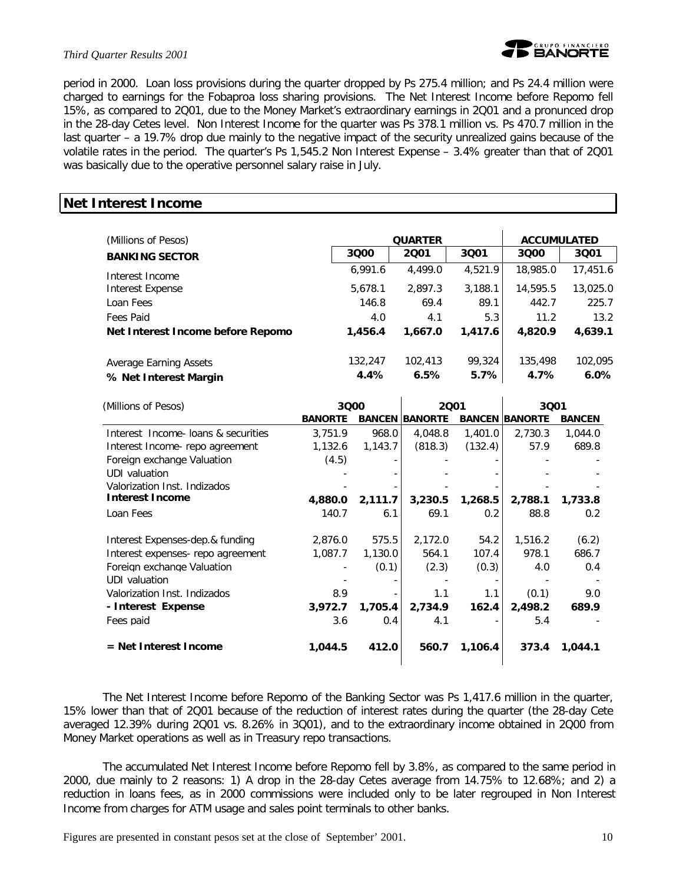### *Third Quarter Results 2001*



period in 2000. Loan loss provisions during the quarter dropped by Ps 275.4 million; and Ps 24.4 million were charged to earnings for the Fobaproa loss sharing provisions. The Net Interest Income before Repomo fell 15%, as compared to 2Q01, due to the Money Market's extraordinary earnings in 2Q01 and a pronunced drop in the 28-day Cetes level. Non Interest Income for the quarter was Ps 378.1 million vs. Ps 470.7 million in the last quarter – a 19.7% drop due mainly to the negative impact of the security unrealized gains because of the volatile rates in the period. The quarter's Ps 1,545.2 Non Interest Expense – 3.4% greater than that of 2Q01 was basically due to the operative personnel salary raise in July.

### **Net Interest Income**

| (Millions of Pesos)                             |                 | <b>QUARTER</b>  | <b>ACCUMULATED</b> |                 |                    |
|-------------------------------------------------|-----------------|-----------------|--------------------|-----------------|--------------------|
| <b>BANKING SECTOR</b>                           | 3000            | 2001            | 3001               | 3000            | 3001               |
| Interest Income                                 | 6,991.6         | 4,499.0         | 4,521.9            | 18,985.0        | 17,451.6           |
| Interest Expense                                | 5,678.1         | 2.897.3         | 3,188.1            | 14,595.5        | 13,025.0           |
| Loan Fees                                       | 146.8           | 69.4            | 89.1               | 442.7           | 225.7              |
| Fees Paid                                       | 4.0             | 4.1             | 5.3                | 11.2            | 13.2               |
| Net Interest Income before Repomo               | 1,456.4         | 1,667.0         | 1,417.6            | 4,820.9         | 4,639.1            |
| Average Earning Assets<br>% Net Interest Margin | 132,247<br>4.4% | 102,413<br>6.5% | 99,324<br>5.7%     | 135,498<br>4.7% | 102.095<br>$6.0\%$ |

| (Millions of Pesos)                | 3000           |         | 2001                  |               | 3001           |               |
|------------------------------------|----------------|---------|-----------------------|---------------|----------------|---------------|
|                                    | <b>BANORTE</b> |         | <b>BANCEN BANORTE</b> | <b>BANCEN</b> | <b>BANORTE</b> | <b>BANCEN</b> |
| Interest Income loans & securities | 3.751.9        | 968.0   | 4,048.8               | 1,401.0       | 2.730.3        | 1,044.0       |
| Interest Income- repo agreement    | 1,132.6        | 1,143.7 | (818.3)               | (132.4)       | 57.9           | 689.8         |
| Foreign exchange Valuation         | (4.5)          |         |                       |               |                |               |
| UDI valuation                      |                |         |                       |               |                |               |
| Valorization Inst. Indizados       |                |         |                       |               |                |               |
| <b>Interest Income</b>             | 4,880.0        | 2,111.7 | 3,230.5               | 1,268.5       | 2,788.1        | 1,733.8       |
| Loan Fees                          | 140.7          | 6.1     | 69.1                  | 0.2           | 88.8           | 0.2           |
| Interest Expenses-dep.& funding    | 2,876.0        | 575.5   | 2,172.0               | 54.2          | 1,516.2        | (6.2)         |
| Interest expenses- repo agreement  | 1,087.7        | 1,130.0 | 564.1                 | 107.4         | 978.1          | 686.7         |
| Foreign exchange Valuation         |                | (0.1)   | (2.3)                 | (0.3)         | 4.0            | 0.4           |
| UDI valuation                      |                |         |                       |               |                |               |
| Valorization Inst. Indizados       | 8.9            |         | 1.1                   | 1.1           | (0.1)          | 9.0           |
| - Interest Expense                 | 3,972.7        | 1,705.4 | 2,734.9               | 162.4         | 2,498.2        | 689.9         |
| Fees paid                          | 3.6            | 0.4     | 4.1                   |               | 5.4            |               |
| = Net Interest Income              | 1,044.5        | 412.0   | 560.7                 | 1,106.4       | 373.4          | 1,044.1       |

The Net Interest Income before Repomo of the Banking Sector was Ps 1,417.6 million in the quarter, 15% lower than that of 2Q01 because of the reduction of interest rates during the quarter (the 28-day Cete averaged 12.39% during 2Q01 vs. 8.26% in 3Q01), and to the extraordinary income obtained in 2Q00 from Money Market operations as well as in Treasury repo transactions.

The accumulated Net Interest Income before Repomo fell by 3.8%, as compared to the same period in 2000, due mainly to 2 reasons: 1) A drop in the 28-day Cetes average from 14.75% to 12.68%; and 2) a reduction in loans fees, as in 2000 commissions were included only to be later regrouped in Non Interest Income from charges for ATM usage and sales point terminals to other banks.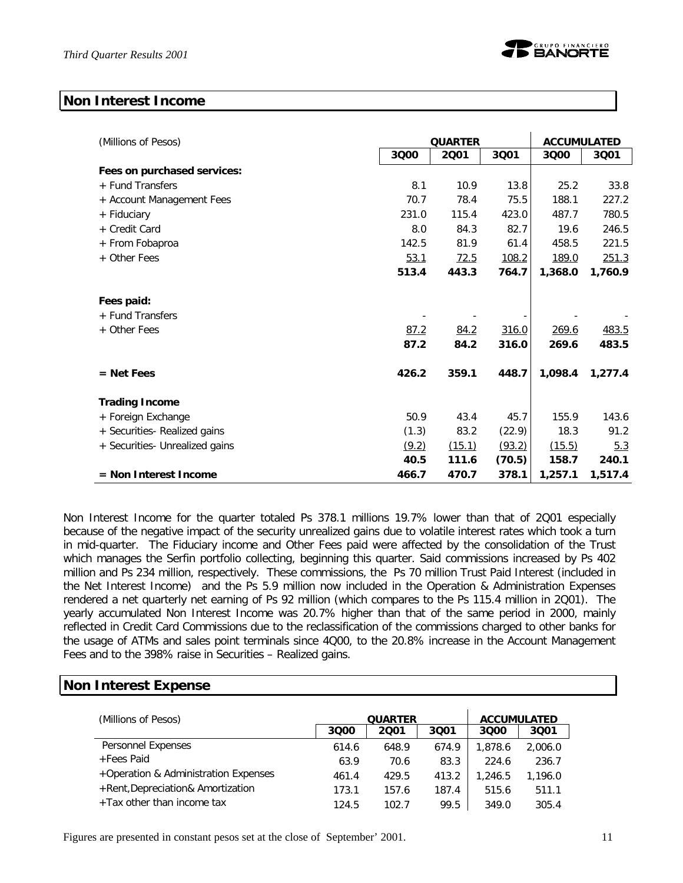### **Non Interest Income**

| (Millions of Pesos)            | <b>QUARTER</b> |        |        | <b>ACCUMULATED</b> |         |  |
|--------------------------------|----------------|--------|--------|--------------------|---------|--|
|                                | 3Q00           | 2001   | 3Q01   | 3000               | 3001    |  |
| Fees on purchased services:    |                |        |        |                    |         |  |
| + Fund Transfers               | 8.1            | 10.9   | 13.8   | 25.2               | 33.8    |  |
| + Account Management Fees      | 70.7           | 78.4   | 75.5   | 188.1              | 227.2   |  |
| + Fiduciary                    | 231.0          | 115.4  | 423.0  | 487.7              | 780.5   |  |
| + Credit Card                  | 8.0            | 84.3   | 82.7   | 19.6               | 246.5   |  |
| + From Fobaproa                | 142.5          | 81.9   | 61.4   | 458.5              | 221.5   |  |
| + Other Fees                   | 53.1           | 72.5   | 108.2  | 189.0              | 251.3   |  |
|                                | 513.4          | 443.3  | 764.7  | 1,368.0            | 1,760.9 |  |
| Fees paid:<br>+ Fund Transfers |                |        |        |                    |         |  |
| + Other Fees                   | 87.2           | 84.2   | 316.0  | 269.6              | 483.5   |  |
|                                | 87.2           | 84.2   | 316.0  | 269.6              | 483.5   |  |
| $=$ Net Fees                   | 426.2          | 359.1  | 448.7  | 1,098.4            | 1,277.4 |  |
| <b>Trading Income</b>          |                |        |        |                    |         |  |
| + Foreign Exchange             | 50.9           | 43.4   | 45.7   | 155.9              | 143.6   |  |
| + Securities- Realized gains   | (1.3)          | 83.2   | (22.9) | 18.3               | 91.2    |  |
| + Securities- Unrealized gains | (9.2)          | (15.1) | (93.2) | (15.5)             | 5.3     |  |
|                                | 40.5           | 111.6  | (70.5) | 158.7              | 240.1   |  |
| $=$ Non Interest Income        | 466.7          | 470.7  | 378.1  | 1,257.1            | 1,517.4 |  |

Non Interest Income for the quarter totaled Ps 378.1 millions 19.7% lower than that of 2Q01 especially because of the negative impact of the security unrealized gains due to volatile interest rates which took a turn in mid-quarter. The Fiduciary income and Other Fees paid were affected by the consolidation of the Trust which manages the Serfin portfolio collecting, beginning this quarter. Said commissions increased by Ps 402 million and Ps 234 million, respectively. These commissions, the Ps 70 million Trust Paid Interest (included in the Net Interest Income) and the Ps 5.9 million now included in the Operation & Administration Expenses rendered a net quarterly net earning of Ps 92 million (which compares to the Ps 115.4 million in 2Q01). The yearly accumulated Non Interest Income was 20.7% higher than that of the same period in 2000, mainly reflected in Credit Card Commissions due to the reclassification of the commissions charged to other banks for the usage of ATMs and sales point terminals since 4Q00, to the 20.8% increase in the Account Management Fees and to the 398% raise in Securities – Realized gains.

### **Non Interest Expense**

| (Millions of Pesos)                  |       | <b>QUARTER</b> | <b>ACCUMULATED</b> |         |         |
|--------------------------------------|-------|----------------|--------------------|---------|---------|
|                                      | 3000  | 2001           | 3001               | 3000    | 3001    |
| Personnel Expenses                   | 614.6 | 648.9          | 674.9              | 1,878.6 | 2,006.0 |
| +Fees Paid                           | 63.9  | 70.6           | 83.3               | 224.6   | 236.7   |
| +Operation & Administration Expenses | 461.4 | 429.5          | 413.2              | 1,246.5 | 1,196.0 |
| +Rent, Depreciation& Amortization    | 173.1 | 157.6          | 187.4              | 515.6   | 511.1   |
| +Tax other than income tax           | 124.5 | 102.7          | 99.5               | 349.0   | 305.4   |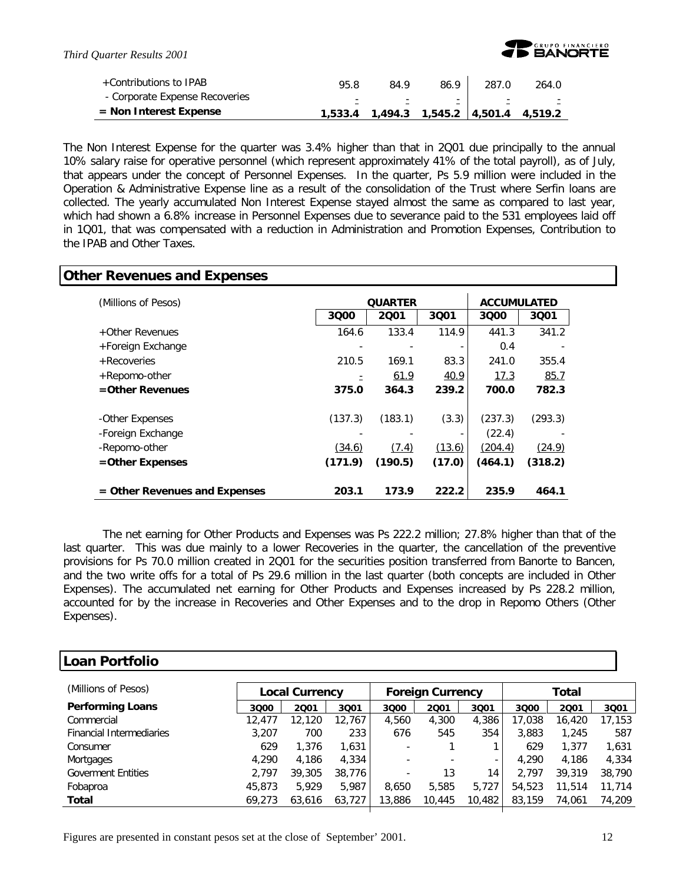

 $\mathbf{I}$ 

| +Contributions to IPAB         | 95.8 | 84.9 | 86.9                                    | 287.0 | 264.0 |
|--------------------------------|------|------|-----------------------------------------|-------|-------|
| - Corporate Expense Recoveries | Ξ.   | Ξ.   | Ξ.                                      |       | E.    |
| $=$ Non Interest Expense       |      |      | 1,533.4 1,494.3 1,545.2 4,501.4 4,519.2 |       |       |

The Non Interest Expense for the quarter was 3.4% higher than that in 2Q01 due principally to the annual 10% salary raise for operative personnel (which represent approximately 41% of the total payroll), as of July, that appears under the concept of Personnel Expenses. In the quarter, Ps 5.9 million were included in the Operation & Administrative Expense line as a result of the consolidation of the Trust where Serfin loans are collected. The yearly accumulated Non Interest Expense stayed almost the same as compared to last year, which had shown a 6.8% increase in Personnel Expenses due to severance paid to the 531 employees laid off in 1Q01, that was compensated with a reduction in Administration and Promotion Expenses, Contribution to the IPAB and Other Taxes.

# **Other Revenues and Expenses**

| (Millions of Pesos)             |         | <b>QUARTER</b> |        | <b>ACCUMULATED</b> |         |  |
|---------------------------------|---------|----------------|--------|--------------------|---------|--|
|                                 | 3000    | 2001           | 3001   | 3000               | 3001    |  |
| +Other Revenues                 | 164.6   | 133.4          | 114.9  | 441.3              | 341.2   |  |
| +Foreign Exchange               |         |                |        | 0.4                |         |  |
| + Recoveries                    | 210.5   | 169.1          | 83.3   | 241.0              | 355.4   |  |
| +Repomo-other                   |         | 61.9           | 40.9   | 17.3               | 85.7    |  |
| $=$ Other Revenues              | 375.0   | 364.3          | 239.2  | 700.0              | 782.3   |  |
|                                 |         |                |        |                    |         |  |
| -Other Expenses                 | (137.3) | (183.1)        | (3.3)  | (237.3)            | (293.3) |  |
| -Foreign Exchange               |         |                |        | (22.4)             |         |  |
| -Repomo-other                   | (34.6)  | (7.4)          | (13.6) | (204.4)            | (24.9)  |  |
| =Other Expenses                 | (171.9) | (190.5)        | (17.0) | (464.1)            | (318.2) |  |
|                                 |         |                |        |                    |         |  |
| $=$ Other Revenues and Expenses | 203.1   | 173.9          | 222.2  | 235.9              | 464.1   |  |

The net earning for Other Products and Expenses was Ps 222.2 million; 27.8% higher than that of the last quarter. This was due mainly to a lower Recoveries in the quarter, the cancellation of the preventive provisions for Ps 70.0 million created in 2Q01 for the securities position transferred from Banorte to Bancen, and the two write offs for a total of Ps 29.6 million in the last quarter (both concepts are included in Other Expenses). The accumulated net earning for Other Products and Expenses increased by Ps 228.2 million, accounted for by the increase in Recoveries and Other Expenses and to the drop in Repomo Others (Other Expenses).

### **Loan Portfolio**

| (Millions of Pesos)             | <b>Local Currency</b> |        |        | <b>Foreign Currency</b>  |        |        | Total  |        |        |  |
|---------------------------------|-----------------------|--------|--------|--------------------------|--------|--------|--------|--------|--------|--|
| <b>Performing Loans</b>         | 3000                  | 2001   | 3Q01   | 3000                     | 2001   | 3Q01   | 3Q00   | 2001   | 3Q01   |  |
| Commercial                      | 12,477                | 12,120 | 12,767 | 4,560                    | 4,300  | 4,386  | 17.038 | 16,420 | 17,153 |  |
| <b>Financial Intermediaries</b> | 3,207                 | 700    | 233    | 676                      | 545    | 354    | 3,883  | 1,245  | 587    |  |
| Consumer                        | 629                   | 1,376  | 1,631  | $\overline{\phantom{a}}$ |        |        | 629    | 1,377  | 1,631  |  |
| Mortgages                       | 4,290                 | 4,186  | 4,334  |                          |        | ۰      | 4.290  | 4.186  | 4,334  |  |
| <b>Goverment Entities</b>       | 2.797                 | 39,305 | 38,776 | $\overline{\phantom{a}}$ | 13     | 14.    | 2.797  | 39,319 | 38,790 |  |
| Fobaproa                        | 45,873                | 5.929  | 5.987  | 8.650                    | 5,585  | 5.727  | 54,523 | 11,514 | 11,714 |  |
| Total                           | 69.273                | 63,616 | 63,727 | 13,886                   | 10,445 | 10,482 | 83,159 | 74,061 | 74,209 |  |
|                                 |                       |        |        |                          |        |        |        |        |        |  |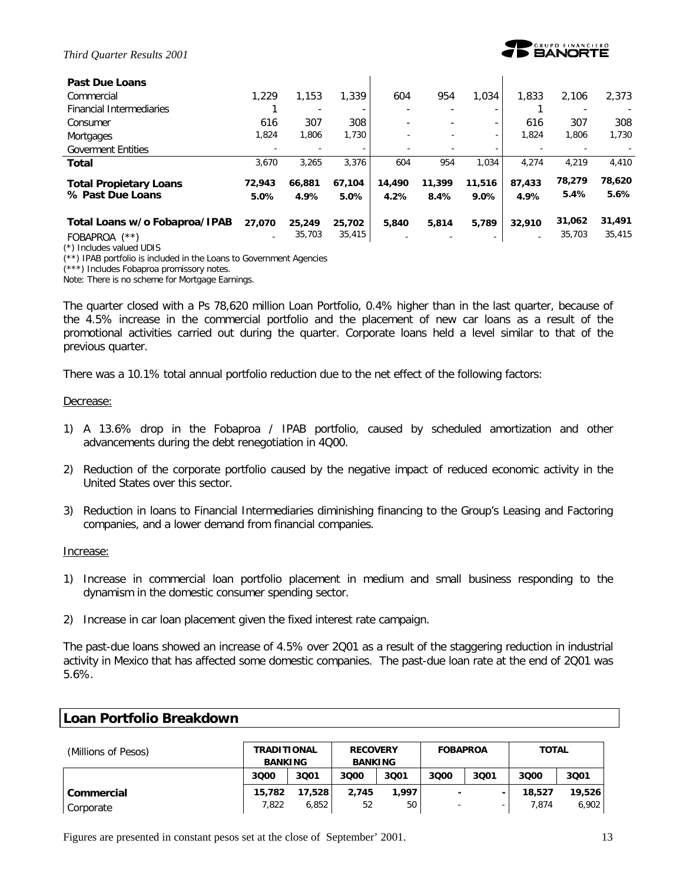

| <b>Past Due Loans</b>           |                          |        |        |        |        |         |                |        |        |
|---------------------------------|--------------------------|--------|--------|--------|--------|---------|----------------|--------|--------|
| Commercial                      | 1.229                    | 1,153  | 1,339  | 604    | 954    | 1,034   | 1,833          | 2,106  | 2,373  |
| <b>Financial Intermediaries</b> |                          |        |        |        |        |         |                |        |        |
| Consumer                        | 616                      | 307    | 308    |        |        | -       | 616            | 307    | 308    |
| Mortgages                       | 1.824                    | 1,806  | 1,730  |        |        |         | 1.824          | 1,806  | 1,730  |
| <b>Goverment Entities</b>       |                          |        |        |        |        |         |                |        |        |
| <b>Total</b>                    | 3.670                    | 3,265  | 3.376  | 604    | 954    | 1.034   | 4.274          | 4.219  | 4,410  |
| <b>Total Propietary Loans</b>   | 72,943                   | 66.881 | 67.104 | 14,490 | 11,399 | 11,516  | 87,433         | 78,279 | 78,620 |
| % Past Due Loans                | 5.0%                     | 4.9%   | 5.0%   | 4.2%   | 8.4%   | $9.0\%$ | 4.9%           | 5.4%   | 5.6%   |
| Total Loans w/o Fobaproa/IPAB   | 27.070                   | 25,249 | 25,702 | 5,840  | 5,814  | 5.789   | 32,910         | 31,062 | 31,491 |
| $(***)$<br><b>FOBAPROA</b>      | $\overline{\phantom{a}}$ | 35,703 | 35,415 |        |        |         | $\overline{a}$ | 35,703 | 35,415 |

(\*) Includes valued UDIS

(\*\*) IPAB portfolio is included in the Loans to Government Agencies

(\*\*\*) Includes Fobaproa promissory notes.

Note: There is no scheme for Mortgage Earnings.

The quarter closed with a Ps 78,620 million Loan Portfolio, 0.4% higher than in the last quarter, because of the 4.5% increase in the commercial portfolio and the placement of new car loans as a result of the promotional activities carried out during the quarter. Corporate loans held a level similar to that of the previous quarter.

There was a 10.1% total annual portfolio reduction due to the net effect of the following factors:

#### Decrease:

- 1) A 13.6% drop in the Fobaproa / IPAB portfolio, caused by scheduled amortization and other advancements during the debt renegotiation in 4Q00.
- 2) Reduction of the corporate portfolio caused by the negative impact of reduced economic activity in the United States over this sector.
- 3) Reduction in loans to Financial Intermediaries diminishing financing to the Group's Leasing and Factoring companies, and a lower demand from financial companies.

#### Increase:

- 1) Increase in commercial loan portfolio placement in medium and small business responding to the dynamism in the domestic consumer spending sector.
- 2) Increase in car loan placement given the fixed interest rate campaign.

The past-due loans showed an increase of 4.5% over 2Q01 as a result of the staggering reduction in industrial activity in Mexico that has affected some domestic companies. The past-due loan rate at the end of 2Q01 was 5.6%.

| (Millions of Pesos) |        | <b>TRADITIONAL</b><br><b>RECOVERY</b><br><b>BANKING</b><br><b>BANKING</b> |       |       | <b>FOBAPROA</b> |      | <b>TOTAL</b> |        |  |
|---------------------|--------|---------------------------------------------------------------------------|-------|-------|-----------------|------|--------------|--------|--|
|                     | 3Q00   | 3001                                                                      | 3000  | 3001  | 3000            | 3001 | 3000         | 3Q01   |  |
| Commercial          | 15,782 | 17,528                                                                    | 2.745 | 1,997 |                 |      | 18,527       | 19,526 |  |
| Corporate           | 7,822  | 6,852                                                                     | 52    | 50    |                 |      | 7.874        | 6,902  |  |

### **Loan Portfolio Breakdown**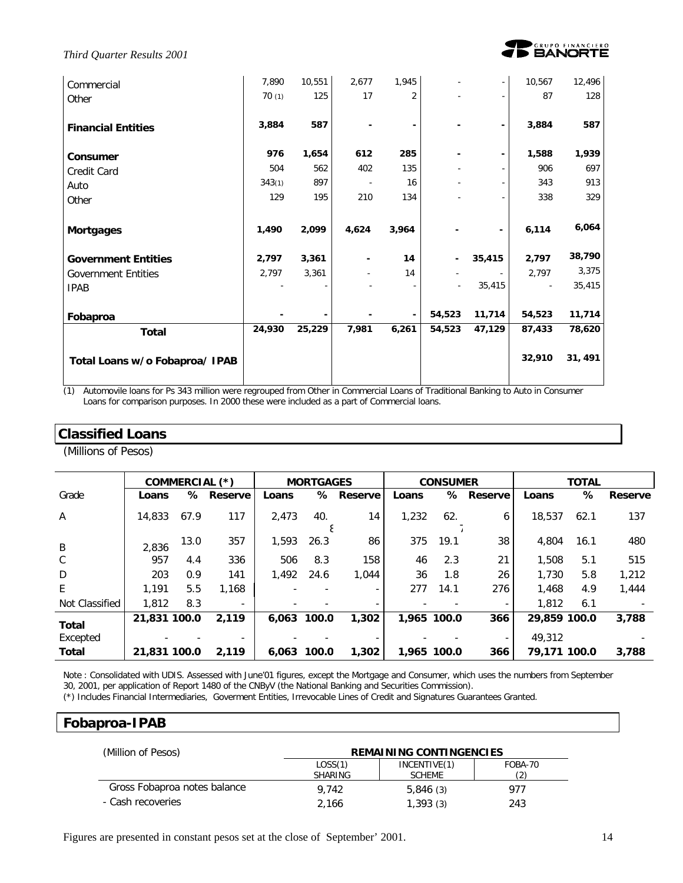

*Third Quarter Results 2001*

| Commercial                     | 7,890  | 10,551 | 2,677 | 1,945                    |                          | $\overline{\phantom{a}}$ | 10,567 | 12,496  |
|--------------------------------|--------|--------|-------|--------------------------|--------------------------|--------------------------|--------|---------|
| Other                          | 70(1)  | 125    | 17    | $\overline{2}$           |                          |                          | 87     | 128     |
|                                |        |        |       |                          |                          |                          |        |         |
| <b>Financial Entities</b>      | 3,884  | 587    |       |                          |                          | $\overline{\phantom{a}}$ | 3,884  | 587     |
|                                |        |        |       |                          |                          |                          |        |         |
| Consumer                       | 976    | 1,654  | 612   | 285                      |                          | $\overline{\phantom{a}}$ | 1,588  | 1,939   |
| Credit Card                    | 504    | 562    | 402   | 135                      |                          |                          | 906    | 697     |
| Auto                           | 343(1) | 897    |       | 16                       |                          |                          | 343    | 913     |
| Other                          | 129    | 195    | 210   | 134                      |                          |                          | 338    | 329     |
|                                |        |        |       |                          |                          |                          |        |         |
| <b>Mortgages</b>               | 1,490  | 2,099  | 4,624 | 3,964                    |                          | ۰                        | 6,114  | 6,064   |
| <b>Government Entities</b>     | 2,797  | 3,361  |       | 14                       |                          | 35,415                   | 2,797  | 38,790  |
| <b>Government Entities</b>     | 2,797  | 3,361  |       | 14                       |                          | $\overline{\phantom{a}}$ | 2,797  | 3,375   |
| <b>IPAB</b>                    |        |        |       |                          | $\overline{\phantom{a}}$ | 35,415                   |        | 35,415  |
|                                |        |        |       |                          |                          |                          |        |         |
| Fobaproa                       |        |        |       | $\overline{\phantom{a}}$ | 54,523                   | 11,714                   | 54,523 | 11,714  |
| <b>Total</b>                   | 24,930 | 25,229 | 7,981 | 6,261                    | 54,523                   | 47,129                   | 87,433 | 78,620  |
| Total Loans w/o Fobaproa/ IPAB |        |        |       |                          |                          |                          | 32,910 | 31, 491 |
|                                |        |        |       |                          |                          |                          |        |         |

(1) Automovile loans for Ps 343 million were regrouped from Other in Commercial Loans of Traditional Banking to Auto in Consumer Loans for comparison purposes. In 2000 these were included as a part of Commercial loans.

### **Classified Loans**

(Millions of Pesos)

|                          |              | COMMERCIAL (*) |         |             | <b>MORTGAGES</b> |                          |       | <b>CONSUMER</b> |                          |                        | <b>TOTAL</b> |         |
|--------------------------|--------------|----------------|---------|-------------|------------------|--------------------------|-------|-----------------|--------------------------|------------------------|--------------|---------|
| Grade                    | Loans        | ℅              | Reserve | Loans       |                  | % Reserve                | Loans |                 | % Reserve                | Loans                  | ℅            | Reserve |
| $\mathsf{A}$             | 14,833       | 67.9           | 117     | 2.473       | 40.<br>ε         | 14                       | 1,232 | 62.             | 6                        | 18,537                 | 62.1         | 137     |
| B                        | 2.836        | 13.0           | 357     | 1,593       | 26.3             | 86                       | 375   | 19.1            | 38                       | 4,804                  | 16.1         | 480     |
| $\mathcal{C}$            | 957          | 4.4            | 336     | 506         | 8.3              | 158                      | 46    | 2.3             | 21                       | 1,508                  | 5.1          | 515     |
| D                        | 203          | 0.9            | 141     | 1.492       | 24.6             | 1.044                    | 36    | 1.8             | 26                       | 1,730                  | 5.8          | 1,212   |
| E                        | 1.191        | 5.5            | 1.168   |             |                  |                          | 277   | 14.1            | 276                      | 1,468                  | 4.9          | 1,444   |
| Not Classified           | 1,812        | 8.3            | $\sim$  |             |                  | $\overline{\phantom{0}}$ |       |                 | $\overline{\phantom{a}}$ | 1,812                  | 6.1          |         |
| Total                    | 21.831 100.0 |                | 2.119   | 6.063 100.0 |                  | 1,302                    |       | 1.965 100.0     | 366                      | 29,859 100.0<br>49,312 |              | 3.788   |
| Excepted<br><b>Total</b> | 21,831 100.0 |                | 2.119   | 6.063 100.0 |                  | 1,302                    |       | 1,965 100.0     | 366                      | 79,171 100.0           |              | 3,788   |

Note : Consolidated with UDIS. Assessed with June'01 figures, except the Mortgage and Consumer, which uses the numbers from September 30, 2001, per application of Report 1480 of the CNByV (the National Banking and Securities Commission).

(\*) Includes Financial Intermediaries, Goverment Entities, Irrevocable Lines of Credit and Signatures Guarantees Granted.

### **Fobaproa-IPAB**

| (Million of Pesos)           | <b>REMAINING CONTINGENCIES</b> |               |         |  |  |  |  |
|------------------------------|--------------------------------|---------------|---------|--|--|--|--|
|                              | LOSS(1)                        | INCENTIVE(1)  | FOBA-70 |  |  |  |  |
|                              | SHARING                        | <b>SCHEME</b> |         |  |  |  |  |
| Gross Fobaproa notes balance | 9.742                          | 5,846(3)      | 977     |  |  |  |  |
| - Cash recoveries            | 2.166                          | 1,393(3)      | 243     |  |  |  |  |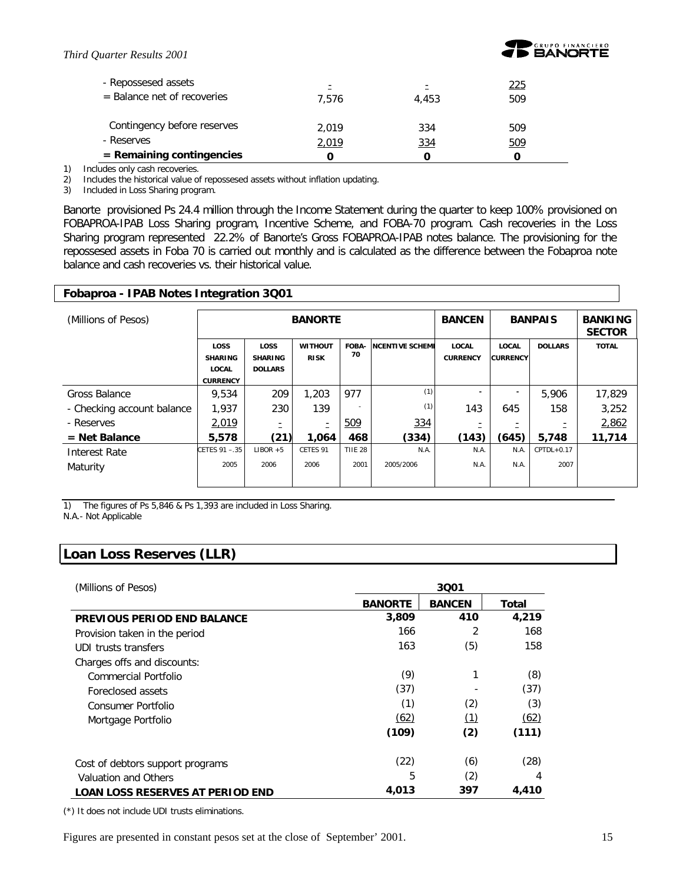

| - Repossesed assets<br>$=$ Balance net of recoveries | $\overline{\phantom{0}}$<br>7.576 | Ξ<br>4.453 | 225<br>509 |
|------------------------------------------------------|-----------------------------------|------------|------------|
| Contingency before reserves                          | 2.019                             | 334        | 509        |
| - Reserves                                           | 2,019                             | 334        | 509        |
| $=$ Remaining contingencies                          |                                   |            |            |

1) Includes only cash recoveries.

2) Includes the historical value of repossesed assets without inflation updating.

3) Included in Loss Sharing program.

Banorte provisioned Ps 24.4 million through the Income Statement during the quarter to keep 100% provisioned on FOBAPROA-IPAB Loss Sharing program, Incentive Scheme, and FOBA-70 program. Cash recoveries in the Loss Sharing program represented 22.2% of Banorte's Gross FOBAPROA-IPAB notes balance. The provisioning for the repossesed assets in Foba 70 is carried out monthly and is calculated as the difference between the Fobaproa note balance and cash recoveries vs. their historical value.

### **Fobaproa - IPAB Notes Integration 3Q01**

| (Millions of Pesos)        |                                                                  |                                                 | <b>BANORTE</b>                |                | <b>BANCEN</b>          |                                 | <b>BANPAIS</b>                  | <b>BANKING</b><br><b>SECTOR</b> |              |
|----------------------------|------------------------------------------------------------------|-------------------------------------------------|-------------------------------|----------------|------------------------|---------------------------------|---------------------------------|---------------------------------|--------------|
|                            | <b>LOSS</b><br><b>SHARING</b><br><b>LOCAL</b><br><b>CURRENCY</b> | <b>LOSS</b><br><b>SHARING</b><br><b>DOLLARS</b> | <b>WITHOUT</b><br><b>RISK</b> | FOBA-<br>70    | <b>NCENTIVE SCHEME</b> | <b>LOCAL</b><br><b>CURRENCY</b> | <b>LOCAL</b><br><b>CURRENCY</b> | <b>DOLLARS</b>                  | <b>TOTAL</b> |
| Gross Balance              | 9,534                                                            | 209                                             | 1,203                         | 977            | (1)                    |                                 | ۰                               | 5,906                           | 17,829       |
| - Checking account balance | 1.937                                                            | 230                                             | 139                           |                | (1)                    | 143                             | 645                             | 158                             | 3,252        |
| - Reserves                 | 2,019                                                            | Ξ                                               | Ξ                             | <u>509</u>     | 334                    |                                 |                                 |                                 | 2,862        |
| $=$ Net Balance            | 5,578                                                            | (21)                                            | 1,064                         | 468            | (334)                  | (143)                           | (645)                           | 5,748                           | 11,714       |
| <b>Interest Rate</b>       | CETES 91 - 35                                                    | $LIBOR + 5$                                     | CETES 91                      | <b>TIIE 28</b> | N.A.                   | N.A.                            | N.A.                            | $CPTDL+0.17$                    |              |
| Maturity                   | 2005                                                             | 2006                                            | 2006                          | 2001           | 2005/2006              | N.A.                            | N.A.                            | 2007                            |              |

1) The figures of Ps 5,846 & Ps 1,393 are included in Loss Sharing.

N.A.- Not Applicable

### **Loan Loss Reserves (LLR)**

| (Millions of Pesos)                     | 3001           |               |              |  |  |  |
|-----------------------------------------|----------------|---------------|--------------|--|--|--|
|                                         | <b>BANORTE</b> | <b>BANCEN</b> | <b>Total</b> |  |  |  |
| <b>PREVIOUS PERIOD END BALANCE</b>      | 3,809          | 410           | 4,219        |  |  |  |
| Provision taken in the period           | 166            | 2             | 168          |  |  |  |
| UDI trusts transfers                    | 163            | (5)           | 158          |  |  |  |
| Charges offs and discounts:             |                |               |              |  |  |  |
| Commercial Portfolio                    | (9)            |               | (8)          |  |  |  |
| Foreclosed assets                       | (37)           |               | (37)         |  |  |  |
| Consumer Portfolio                      | (1)            | (2)           | (3)          |  |  |  |
| Mortgage Portfolio                      | (62)           | (1)           | (62)         |  |  |  |
|                                         | (109)          | (2)           | (111)        |  |  |  |
| Cost of debtors support programs        | (22)           | (6)           | (28)         |  |  |  |
| Valuation and Others                    | 5              | (2)           | 4            |  |  |  |
| <b>LOAN LOSS RESERVES AT PERIOD END</b> | 4,013          | 397           | 4,410        |  |  |  |

(\*) It does not include UDI trusts eliminations.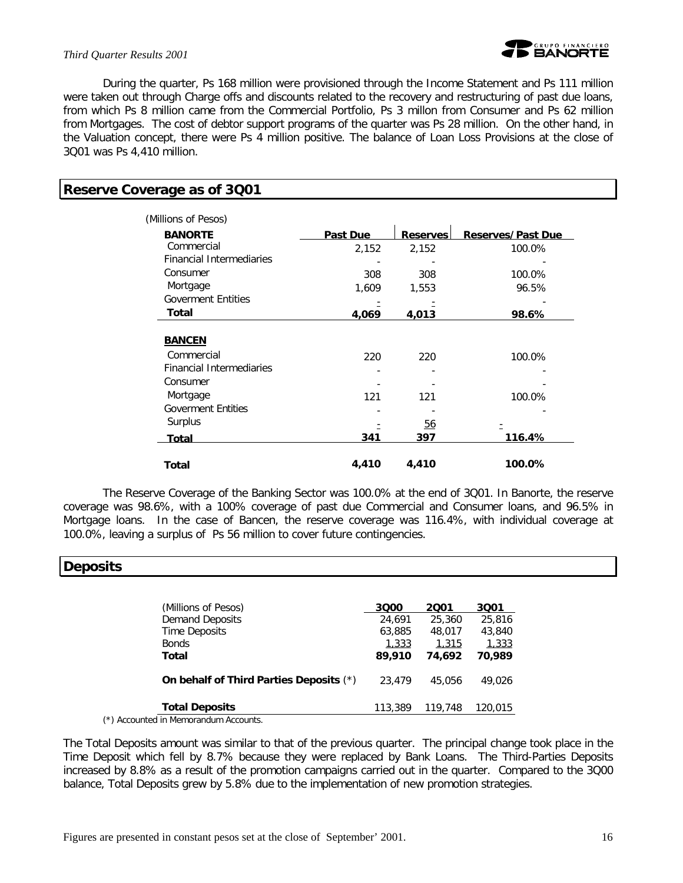### *Third Quarter Results 2001*



During the quarter, Ps 168 million were provisioned through the Income Statement and Ps 111 million were taken out through Charge offs and discounts related to the recovery and restructuring of past due loans, from which Ps 8 million came from the Commercial Portfolio, Ps 3 millon from Consumer and Ps 62 million from Mortgages. The cost of debtor support programs of the quarter was Ps 28 million. On the other hand, in the Valuation concept, there were Ps 4 million positive. The balance of Loan Loss Provisions at the close of 3Q01 was Ps 4,410 million.

### **Reserve Coverage as of 3Q01**

| (Millions of Pesos)<br><b>BANORTE</b> | <b>Past Due</b> | <b>Reserves</b> | <b>Reserves/Past Due</b> |
|---------------------------------------|-----------------|-----------------|--------------------------|
| Commercial                            | 2,152           | 2,152           | 100.0%                   |
| <b>Financial Intermediaries</b>       |                 |                 |                          |
| Consumer                              |                 |                 |                          |
|                                       | 308             | 308             | 100.0%                   |
| Mortgage                              | 1,609           | 1,553           | 96.5%                    |
| <b>Goverment Entities</b>             |                 |                 |                          |
| Total                                 | 4,069           | 4,013           | 98.6%                    |
|                                       |                 |                 |                          |
| <b>BANCEN</b>                         |                 |                 |                          |
| Commercial                            | 220             | 220             | 100.0%                   |
| <b>Financial Intermediaries</b>       |                 |                 |                          |
| Consumer                              |                 |                 |                          |
| Mortgage                              | 121             | 121             | 100.0%                   |
| <b>Goverment Entities</b>             |                 |                 |                          |
| Surplus                               |                 | <u>56</u>       |                          |
| Total                                 | 341             | 397             | 116.4%                   |
| Total                                 | 4,410           | 4,410           | 100.0%                   |

The Reserve Coverage of the Banking Sector was 100.0% at the end of 3Q01. In Banorte, the reserve coverage was 98.6%, with a 100% coverage of past due Commercial and Consumer loans, and 96.5% in Mortgage loans. In the case of Bancen, the reserve coverage was 116.4%, with individual coverage at 100.0%, leaving a surplus of Ps 56 million to cover future contingencies.

### **Deposits**

| (Millions of Pesos)                     | 3000    | 2001    | 3001    |
|-----------------------------------------|---------|---------|---------|
| <b>Demand Deposits</b>                  | 24.691  | 25,360  | 25,816  |
| Time Deposits                           | 63,885  | 48,017  | 43,840  |
| <b>Bonds</b>                            | 1,333   | 1,315   | 1,333   |
| Total                                   | 89,910  | 74.692  | 70.989  |
| On behalf of Third Parties Deposits (*) | 23,479  | 45,056  | 49.026  |
| <b>Total Deposits</b>                   | 113,389 | 119,748 | 120,015 |
|                                         |         |         |         |

(\*) Accounted in Memorandum Accounts.

The Total Deposits amount was similar to that of the previous quarter. The principal change took place in the Time Deposit which fell by 8.7% because they were replaced by Bank Loans. The Third-Parties Deposits increased by 8.8% as a result of the promotion campaigns carried out in the quarter. Compared to the 3Q00 balance, Total Deposits grew by 5.8% due to the implementation of new promotion strategies.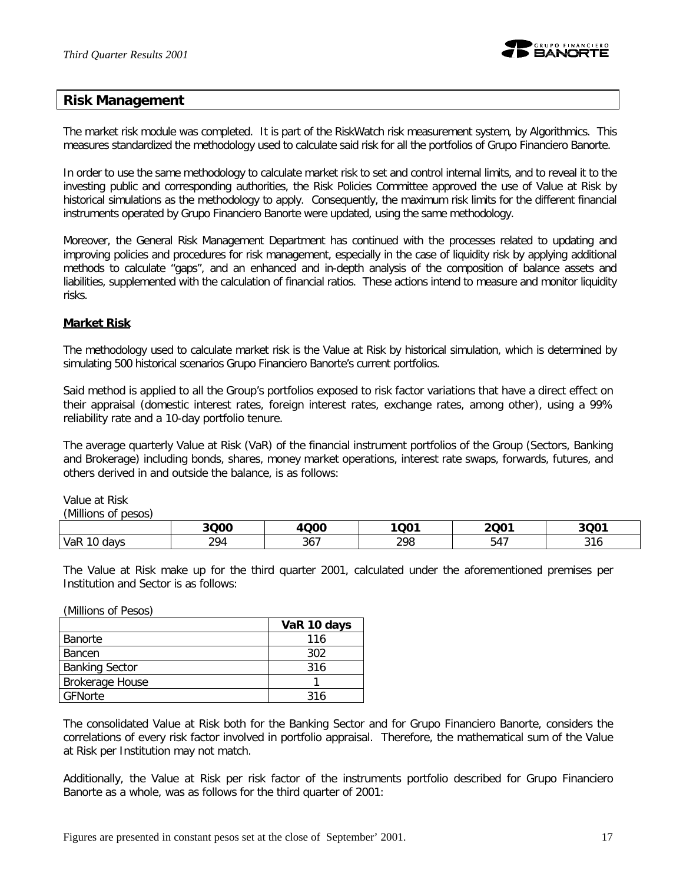

### **Risk Management**

The market risk module was completed. It is part of the RiskWatch risk measurement system, by Algorithmics. This measures standardized the methodology used to calculate said risk for all the portfolios of Grupo Financiero Banorte.

In order to use the same methodology to calculate market risk to set and control internal limits, and to reveal it to the investing public and corresponding authorities, the Risk Policies Committee approved the use of Value at Risk by historical simulations as the methodology to apply. Consequently, the maximum risk limits for the different financial instruments operated by Grupo Financiero Banorte were updated, using the same methodology.

Moreover, the General Risk Management Department has continued with the processes related to updating and improving policies and procedures for risk management, especially in the case of liquidity risk by applying additional methods to calculate "gaps", and an enhanced and in-depth analysis of the composition of balance assets and liabilities, supplemented with the calculation of financial ratios. These actions intend to measure and monitor liquidity risks.

### **Market Risk**

The methodology used to calculate market risk is the Value at Risk by historical simulation, which is determined by simulating 500 historical scenarios Grupo Financiero Banorte's current portfolios.

Said method is applied to all the Group's portfolios exposed to risk factor variations that have a direct effect on their appraisal (domestic interest rates, foreign interest rates, exchange rates, among other), using a 99% reliability rate and a 10-day portfolio tenure.

The average quarterly Value at Risk (VaR) of the financial instrument portfolios of the Group (Sectors, Banking and Brokerage) including bonds, shares, money market operations, interest rate swaps, forwards, futures, and others derived in and outside the balance, is as follows:

Value at Risk *(Millions of pesos)*

|                   | 3Q00                    | <b>Q00</b><br>Δ. | 1001<br>QU. | 2Q01                   | 3QO <sup>7</sup>     |
|-------------------|-------------------------|------------------|-------------|------------------------|----------------------|
| VaR<br>10<br>days | 20 <sub>1</sub><br>27 T | ົ່<br>30 I       | 298<br>270  | $\overline{1}$<br>54 I | $\sim$<br><b>JIV</b> |

The Value at Risk make up for the third quarter 2001, calculated under the aforementioned premises per Institution and Sector is as follows:

(Millions of Pesos)

|                       | VaR 10 days |
|-----------------------|-------------|
| l Banorte             | 116         |
| <b>Bancen</b>         | 302         |
| <b>Banking Sector</b> | 316         |
| Brokerage House       |             |
| GFNorte               | 316         |

The consolidated Value at Risk both for the Banking Sector and for Grupo Financiero Banorte, considers the correlations of every risk factor involved in portfolio appraisal. Therefore, the mathematical sum of the Value at Risk per Institution may not match.

Additionally, the Value at Risk per risk factor of the instruments portfolio described for Grupo Financiero Banorte as a whole, was as follows for the third quarter of 2001: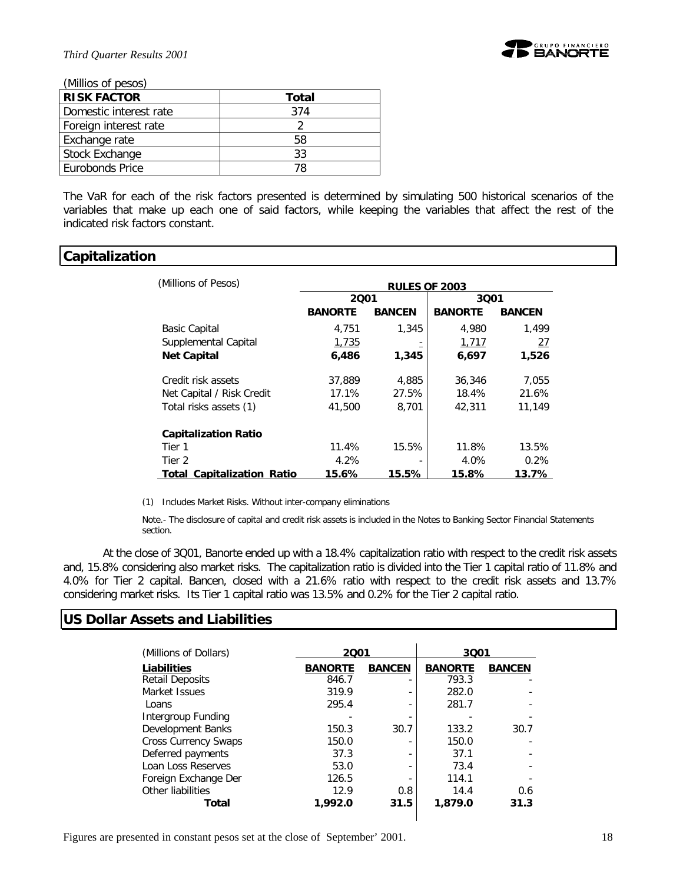

*(Millios of pesos)*

| וטטטע וט טטוווויון     |       |
|------------------------|-------|
| <b>RISK FACTOR</b>     | Total |
| Domestic interest rate | 374   |
| Foreign interest rate  |       |
| Exchange rate          | 58    |
| Stock Exchange         | 33    |
| Eurobonds Price        | 78    |

The VaR for each of the risk factors presented is determined by simulating 500 historical scenarios of the variables that make up each one of said factors, while keeping the variables that affect the rest of the indicated risk factors constant.

### **Capitalization**

| (Millions of Pesos)               | <b>RULES OF 2003</b> |               |                |               |  |
|-----------------------------------|----------------------|---------------|----------------|---------------|--|
|                                   | 2001                 |               | 3001           |               |  |
|                                   | <b>BANORTE</b>       | <b>BANCEN</b> | <b>BANORTE</b> | <b>BANCEN</b> |  |
| <b>Basic Capital</b>              | 4.751                | 1,345         | 4.980          | 1.499         |  |
| Supplemental Capital              | 1,735                |               | 1.717          | 27            |  |
| <b>Net Capital</b>                | 6,486                | 1,345         | 6,697          | 1,526         |  |
| Credit risk assets                | 37,889               | 4,885         | 36,346         | 7,055         |  |
| Net Capital / Risk Credit         | 17.1%                | 27.5%         | 18.4%          | 21.6%         |  |
| Total risks assets (1)            | 41,500               | 8,701         | 42,311         | 11.149        |  |
| <b>Capitalization Ratio</b>       |                      |               |                |               |  |
| Tier 1                            | 11.4%                | 15.5%         | 11.8%          | 13.5%         |  |
| Tier 2                            | 4.2%                 |               | 4.0%           | 0.2%          |  |
| <b>Total Capitalization Ratio</b> | 15.6%                | 15.5%         | 15.8%          | 13.7%         |  |

(1) Includes Market Risks. Without inter-company eliminations

Note.- The disclosure of capital and credit risk assets is included in the Notes to Banking Sector Financial Statements section.

At the close of 3Q01, Banorte ended up with a 18.4% capitalization ratio with respect to the credit risk assets and, 15.8% considering also market risks. The capitalization ratio is divided into the Tier 1 capital ratio of 11.8% and 4.0% for Tier 2 capital. Bancen, closed with a 21.6% ratio with respect to the credit risk assets and 13.7% considering market risks. Its Tier 1 capital ratio was 13.5% and 0.2% for the Tier 2 capital ratio.

### **US Dollar Assets and Liabilities**

| (Millions of Dollars)       | 2001                            |      | 3001           |               |  |
|-----------------------------|---------------------------------|------|----------------|---------------|--|
| Liabilities                 | <b>BANCEN</b><br><b>BANORTE</b> |      | <b>BANORTE</b> | <b>BANCEN</b> |  |
| <b>Retail Deposits</b>      | 846.7                           |      | 793.3          |               |  |
| Market Issues               | 319.9                           | ٠    | 282.0          |               |  |
| Loans                       | 295.4                           | ٠    | 281.7          |               |  |
| Intergroup Funding          |                                 |      |                |               |  |
| Development Banks           | 150.3                           | 30.7 | 133.2          | 30.7          |  |
| <b>Cross Currency Swaps</b> | 150.0                           |      | 150.0          |               |  |
| Deferred payments           | 37.3                            |      | 37.1           |               |  |
| Loan Loss Reserves          | 53.0                            |      | 73.4           |               |  |
| Foreign Exchange Der        | 126.5                           |      | 114.1          |               |  |
| Other liabilities           | 12.9                            | 0.8  | 14.4           | 0.6           |  |
| Total                       | 1,992.0                         | 31.5 | 1,879.0        | 31.3          |  |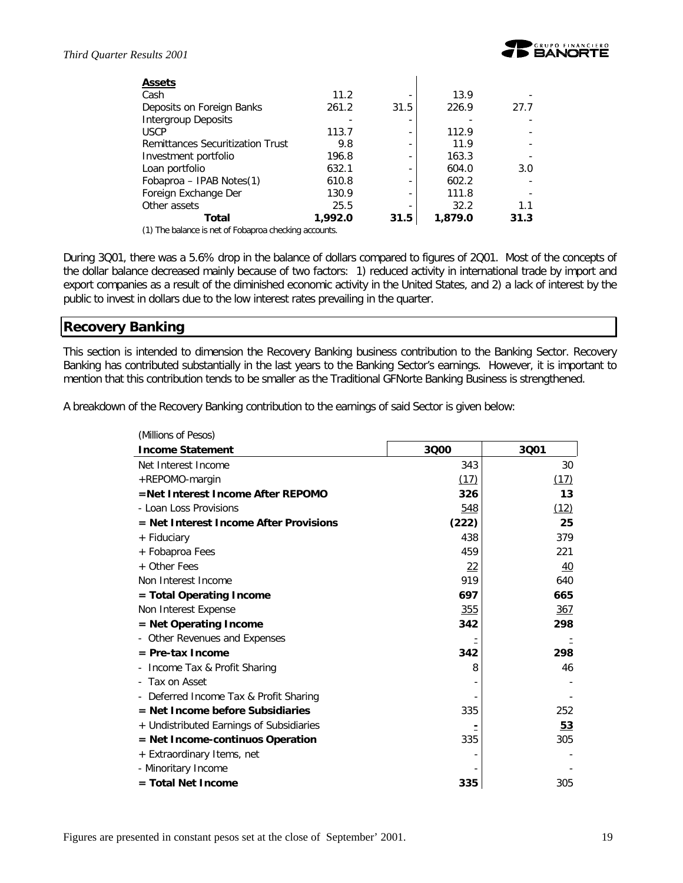| <b>Assets</b>                                         |         |      |         |      |
|-------------------------------------------------------|---------|------|---------|------|
| Cash                                                  | 11.2    |      | 13.9    |      |
| Deposits on Foreign Banks                             | 261.2   | 31.5 | 226.9   | 27.7 |
| Intergroup Deposits                                   |         | ۰    |         |      |
| <b>USCP</b>                                           | 113.7   | ٠    | 112.9   |      |
| Remittances Securitization Trust                      | 9.8     | ۰    | 11.9    |      |
| Investment portfolio                                  | 196.8   | ۰    | 163.3   |      |
| Loan portfolio                                        | 632.1   | ۰    | 604.0   | 3.0  |
| Fobaproa - IPAB Notes(1)                              | 610.8   | ۰    | 602.2   |      |
| Foreign Exchange Der                                  | 130.9   | ۰    | 111.8   |      |
| Other assets                                          | 25.5    | -    | 32.2    | 1.1  |
| Total                                                 | 1,992.0 | 31.5 | 1,879.0 | 31.3 |
| (1) The belower is not of February election care unto |         |      |         |      |

(1) The balance is net of Fobaproa checking accounts.

During 3Q01, there was a 5.6% drop in the balance of dollars compared to figures of 2Q01. Most of the concepts of the dollar balance decreased mainly because of two factors: 1) reduced activity in international trade by import and export companies as a result of the diminished economic activity in the United States, and 2) a lack of interest by the public to invest in dollars due to the low interest rates prevailing in the quarter.

### **Recovery Banking**

This section is intended to dimension the Recovery Banking business contribution to the Banking Sector. Recovery Banking has contributed substantially in the last years to the Banking Sector's earnings. However, it is important to mention that this contribution tends to be smaller as the Traditional GFNorte Banking Business is strengthened.

A breakdown of the Recovery Banking contribution to the earnings of said Sector is given below:

| (Millions of Pesos)                      |       |      |
|------------------------------------------|-------|------|
| <b>Income Statement</b>                  | 3000  | 3001 |
| Net Interest Income                      | 343   | 30   |
| +REPOMO-margin                           | (17)  | (17) |
| =Net Interest Income After REPOMO        | 326   | 13   |
| - Loan Loss Provisions                   | 548   | (12) |
| = Net Interest Income After Provisions   | (222) | 25   |
| + Fiduciary                              | 438   | 379  |
| + Fobaproa Fees                          | 459   | 221  |
| + Other Fees                             | 22    | 40   |
| Non Interest Income                      | 919   | 640  |
| = Total Operating Income                 | 697   | 665  |
| Non Interest Expense                     | 355   | 367  |
| = Net Operating Income                   | 342   | 298  |
| Other Revenues and Expenses              |       |      |
| $=$ Pre-tax Income                       | 342   | 298  |
| Income Tax & Profit Sharing              | 8     | 46   |
| - Tax on Asset                           |       |      |
| Deferred Income Tax & Profit Sharing     |       |      |
| = Net Income before Subsidiaries         | 335   | 252  |
| + Undistributed Earnings of Subsidiaries |       | 53   |
| = Net Income-continuos Operation         | 335   | 305  |
| + Extraordinary Items, net               |       |      |
| - Minoritary Income                      |       |      |
| $=$ Total Net Income                     | 335   | 305  |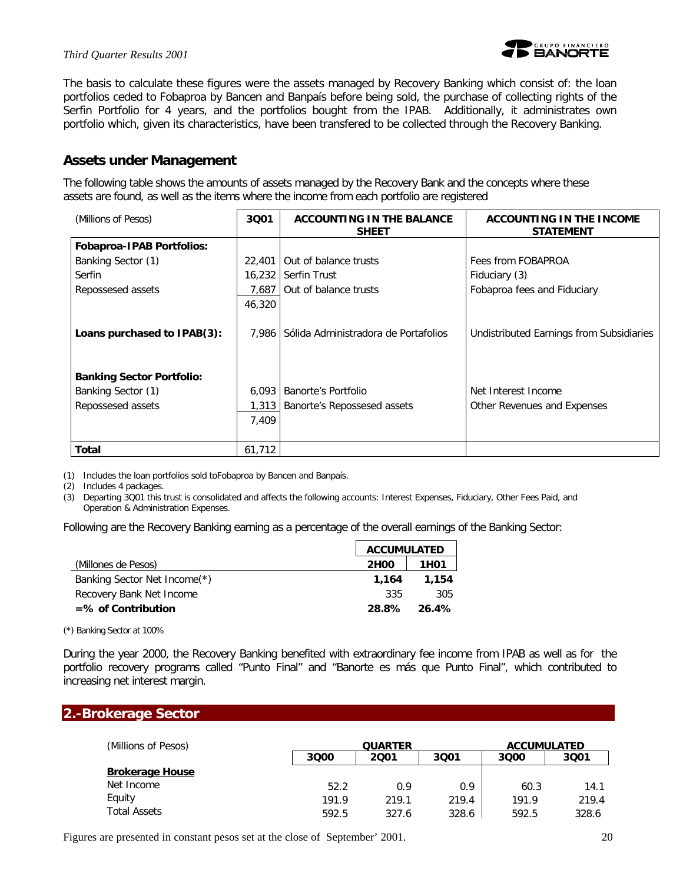

The basis to calculate these figures were the assets managed by Recovery Banking which consist of: the loan portfolios ceded to Fobaproa by Bancen and Banpaís before being sold, the purchase of collecting rights of the Serfin Portfolio for 4 years, and the portfolios bought from the IPAB. Additionally, it administrates own portfolio which, given its characteristics, have been transfered to be collected through the Recovery Banking.

### **Assets under Management**

The following table shows the amounts of assets managed by the Recovery Bank and the concepts where these assets are found, as well as the items where the income from each portfolio are registered

| (Millions of Pesos)              | 3001   | <b>ACCOUNTING IN THE BALANCE</b><br><b>SHEET</b> | ACCOUNTING IN THE INCOME<br><b>STATEMENT</b> |
|----------------------------------|--------|--------------------------------------------------|----------------------------------------------|
| <b>Fobaproa-IPAB Portfolios:</b> |        |                                                  |                                              |
| Banking Sector (1)               | 22,401 | Out of balance trusts                            | Fees from FOBAPROA                           |
| Serfin                           | 16,232 | <b>Serfin Trust</b>                              | Fiduciary (3)                                |
| Repossesed assets                | 7,687  | Out of balance trusts                            | Fobaproa fees and Fiduciary                  |
|                                  | 46,320 |                                                  |                                              |
| Loans purchased to IPAB(3):      | 7.986  | Sólida Administradora de Portafolios             | Undistributed Earnings from Subsidiaries     |
| <b>Banking Sector Portfolio:</b> |        |                                                  |                                              |
| Banking Sector (1)               | 6,093  | Banorte's Portfolio                              | Net Interest Income                          |
| Repossesed assets                | 1,313  | Banorte's Repossesed assets                      | Other Revenues and Expenses                  |
|                                  | 7,409  |                                                  |                                              |
| Total                            | 61,712 |                                                  |                                              |

(1) Includes the loan portfolios sold toFobaproa by Bancen and Banpaís.

(2) Includes 4 packages.

(3) Departing 3Q01 this trust is consolidated and affects the following accounts: Interest Expenses, Fiduciary, Other Fees Paid, and Operation & Administration Expenses.

Following are the Recovery Banking earning as a percentage of the overall earnings of the Banking Sector:

|                              | <b>ACCUMULATED</b> |                   |
|------------------------------|--------------------|-------------------|
| (Millones de Pesos)          | <b>2H00</b>        | 1H <sub>0</sub> 1 |
| Banking Sector Net Income(*) | 1.164              | 1,154             |
| Recovery Bank Net Income     | 335                | 305               |
| $=$ % of Contribution        | 28.8%              | $26.4\%$          |

(\*) Banking Sector at 100%

During the year 2000, the Recovery Banking benefited with extraordinary fee income from IPAB as well as for the portfolio recovery programs called "Punto Final" and "Banorte es más que Punto Final", which contributed to increasing net interest margin.

### **2.-Brokerage Sector**

| (Millions of Pesos)    |       | <b>QUARTER</b> |       |       | <b>ACCUMULATED</b> |  |
|------------------------|-------|----------------|-------|-------|--------------------|--|
|                        | 3000  | 2001           | 3001  | 3000  | 3001               |  |
| <b>Brokerage House</b> |       |                |       |       |                    |  |
| Net Income             | 52.2  | 0.9            | 0.9   | 60.3  | 14.1               |  |
| Equity                 | 191.9 | 219.1          | 219.4 | 191.9 | 219.4              |  |
| <b>Total Assets</b>    | 592.5 | 327.6          | 328.6 | 592.5 | 328.6              |  |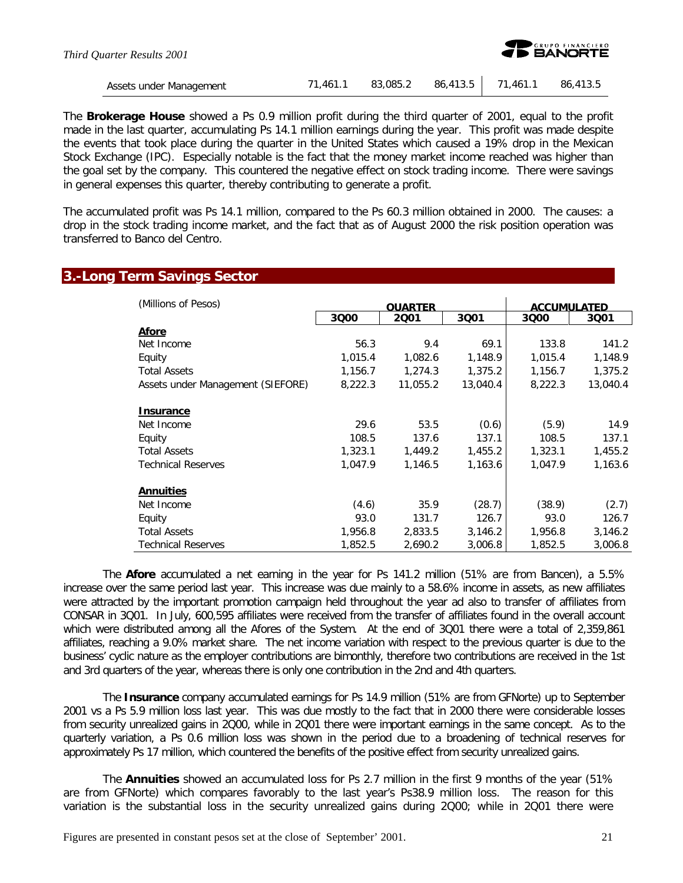| Third Ouarter Results 2001 |          |          |                   | <b>EXP GRUPO FINANCIERO</b> |
|----------------------------|----------|----------|-------------------|-----------------------------|
| Assets under Management    | 71.461.1 | 83,085.2 | 86,413.5 71,461.1 | 86,413.5                    |

The *Brokerage House* showed a Ps 0.9 million profit during the third quarter of 2001, equal to the profit made in the last quarter, accumulating Ps 14.1 million earnings during the year. This profit was made despite the events that took place during the quarter in the United States which caused a 19% drop in the Mexican Stock Exchange (IPC). Especially notable is the fact that the money market income reached was higher than the goal set by the company. This countered the negative effect on stock trading income. There were savings in general expenses this quarter, thereby contributing to generate a profit.

The accumulated profit was Ps 14.1 million, compared to the Ps 60.3 million obtained in 2000. The causes: a drop in the stock trading income market, and the fact that as of August 2000 the risk position operation was transferred to Banco del Centro.

### **3.-Long Term Savings Sector**

| (Millions of Pesos)               |         |                        | <b>ACCUMULATED</b> |         |          |
|-----------------------------------|---------|------------------------|--------------------|---------|----------|
|                                   | 3000    | <b>OUARTER</b><br>2001 | 3001               | 3000    | 3001     |
| <b>Afore</b>                      |         |                        |                    |         |          |
| Net Income                        | 56.3    | 9.4                    | 69.1               | 133.8   | 141.2    |
| Equity                            | 1,015.4 | 1,082.6                | 1,148.9            | 1,015.4 | 1,148.9  |
| <b>Total Assets</b>               | 1,156.7 | 1,274.3                | 1,375.2            | 1,156.7 | 1,375.2  |
| Assets under Management (SIEFORE) | 8,222.3 | 11,055.2               | 13,040.4           | 8,222.3 | 13,040.4 |
| Insurance                         |         |                        |                    |         |          |
| Net Income                        | 29.6    | 53.5                   | (0.6)              | (5.9)   | 14.9     |
| Equity                            | 108.5   | 137.6                  | 137.1              | 108.5   | 137.1    |
| <b>Total Assets</b>               | 1,323.1 | 1,449.2                | 1,455.2            | 1,323.1 | 1,455.2  |
| <b>Technical Reserves</b>         | 1.047.9 | 1,146.5                | 1,163.6            | 1,047.9 | 1,163.6  |
| <b>Annuities</b>                  |         |                        |                    |         |          |
| Net Income                        | (4.6)   | 35.9                   | (28.7)             | (38.9)  | (2.7)    |
| Equity                            | 93.0    | 131.7                  | 126.7              | 93.0    | 126.7    |
| <b>Total Assets</b>               | 1,956.8 | 2,833.5                | 3,146.2            | 1,956.8 | 3,146.2  |
| <b>Technical Reserves</b>         | 1,852.5 | 2,690.2                | 3,006.8            | 1,852.5 | 3,006.8  |

The *Afore* accumulated a net earning in the year for Ps 141.2 million (51% are from Bancen), a 5.5% increase over the same period last year. This increase was due mainly to a 58.6% income in assets, as new affiliates were attracted by the important promotion campaign held throughout the year ad also to transfer of affiliates from CONSAR in 3Q01. In July, 600,595 affiliates were received from the transfer of affiliates found in the overall account which were distributed among all the Afores of the System. At the end of 3Q01 there were a total of 2,359,861 affiliates, reaching a 9.0% market share. The net income variation with respect to the previous quarter is due to the business' cyclic nature as the employer contributions are bimonthly, therefore two contributions are received in the 1st and 3rd quarters of the year, whereas there is only one contribution in the 2nd and 4th quarters.

The *Insurance* company accumulated earnings for Ps 14.9 million (51% are from GFNorte) up to September 2001 vs a Ps 5.9 million loss last year. This was due mostly to the fact that in 2000 there were considerable losses from security unrealized gains in 2Q00, while in 2Q01 there were important earnings in the same concept. As to the quarterly variation, a Ps 0.6 million loss was shown in the period due to a broadening of technical reserves for approximately Ps 17 million, which countered the benefits of the positive effect from security unrealized gains.

The *Annuities* showed an accumulated loss for Ps 2.7 million in the first 9 months of the year (51% are from GFNorte) which compares favorably to the last year's Ps38.9 million loss. The reason for this variation is the substantial loss in the security unrealized gains during 2Q00; while in 2Q01 there were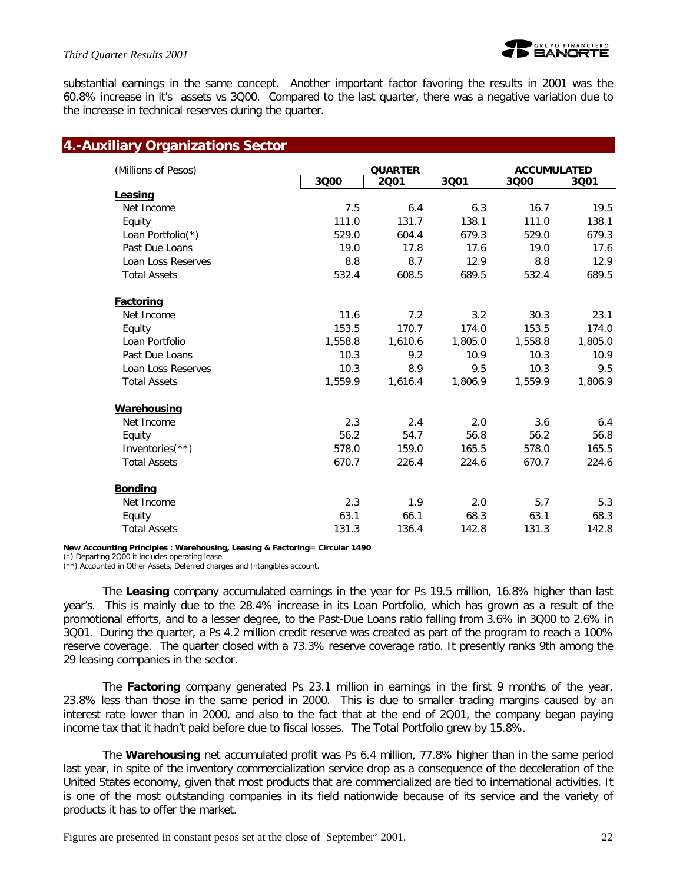

### *Third Quarter Results 2001*

substantial earnings in the same concept. Another important factor favoring the results in 2001 was the 60.8% increase in it's assets vs 3Q00. Compared to the last quarter, there was a negative variation due to the increase in technical reserves during the quarter.

| (Millions of Pesos) |         | <b>QUARTER</b> |         |         | <b>ACCUMULATED</b> |  |
|---------------------|---------|----------------|---------|---------|--------------------|--|
|                     | 3000    | 2001           | 3001    | 3000    | 3001               |  |
| Leasing             |         |                |         |         |                    |  |
| Net Income          | 7.5     | 6.4            | 6.3     | 16.7    | 19.5               |  |
| Equity              | 111.0   | 131.7          | 138.1   | 111.0   | 138.1              |  |
| Loan Portfolio(*)   | 529.0   | 604.4          | 679.3   | 529.0   | 679.3              |  |
| Past Due Loans      | 19.0    | 17.8           | 17.6    | 19.0    | 17.6               |  |
| Loan Loss Reserves  | 8.8     | 8.7            | 12.9    | 8.8     | 12.9               |  |
| <b>Total Assets</b> | 532.4   | 608.5          | 689.5   | 532.4   | 689.5              |  |
| Factoring           |         |                |         |         |                    |  |
| Net Income          | 11.6    | 7.2            | 3.2     | 30.3    | 23.1               |  |
| Equity              | 153.5   | 170.7          | 174.0   | 153.5   | 174.0              |  |
| Loan Portfolio      | 1,558.8 | 1,610.6        | 1,805.0 | 1,558.8 | 1,805.0            |  |
| Past Due Loans      | 10.3    | 9.2            | 10.9    | 10.3    | 10.9               |  |
| Loan Loss Reserves  | 10.3    | 8.9            | 9.5     | 10.3    | 9.5                |  |
| <b>Total Assets</b> | 1,559.9 | 1,616.4        | 1,806.9 | 1,559.9 | 1,806.9            |  |
| <b>Warehousing</b>  |         |                |         |         |                    |  |
| Net Income          | 2.3     | 2.4            | 2.0     | 3.6     | 6.4                |  |
| Equity              | 56.2    | 54.7           | 56.8    | 56.2    | 56.8               |  |
| Inventories $(**)$  | 578.0   | 159.0          | 165.5   | 578.0   | 165.5              |  |
| <b>Total Assets</b> | 670.7   | 226.4          | 224.6   | 670.7   | 224.6              |  |
| <b>Bonding</b>      |         |                |         |         |                    |  |
| Net Income          | 2.3     | 1.9            | 2.0     | 5.7     | 5.3                |  |
| Equity              | 63.1    | 66.1           | 68.3    | 63.1    | 68.3               |  |
| <b>Total Assets</b> | 131.3   | 136.4          | 142.8   | 131.3   | 142.8              |  |

**New Accounting Principles : Warehousing, Leasing & Factoring= Circular 1490**

(\*) Departing 2Q00 it includes operating lease.

(\*\*) Accounted in Other Assets, Deferred charges and Intangibles account.

The *Leasing* company accumulated earnings in the year for Ps 19.5 million, 16.8% higher than last year's. This is mainly due to the 28.4% increase in its Loan Portfolio, which has grown as a result of the promotional efforts, and to a lesser degree, to the Past-Due Loans ratio falling from 3.6% in 3Q00 to 2.6% in 3Q01. During the quarter, a Ps 4.2 million credit reserve was created as part of the program to reach a 100% reserve coverage. The quarter closed with a 73.3% reserve coverage ratio. It presently ranks 9th among the 29 leasing companies in the sector.

The *Factoring* company generated Ps 23.1 million in earnings in the first 9 months of the year, 23.8% less than those in the same period in 2000. This is due to smaller trading margins caused by an interest rate lower than in 2000, and also to the fact that at the end of 2Q01, the company began paying income tax that it hadn't paid before due to fiscal losses. The Total Portfolio grew by 15.8%.

The *Warehousing* net accumulated profit was Ps 6.4 million, 77.8% higher than in the same period last year, in spite of the inventory commercialization service drop as a consequence of the deceleration of the United States economy, given that most products that are commercialized are tied to international activities. It is one of the most outstanding companies in its field nationwide because of its service and the variety of products it has to offer the market.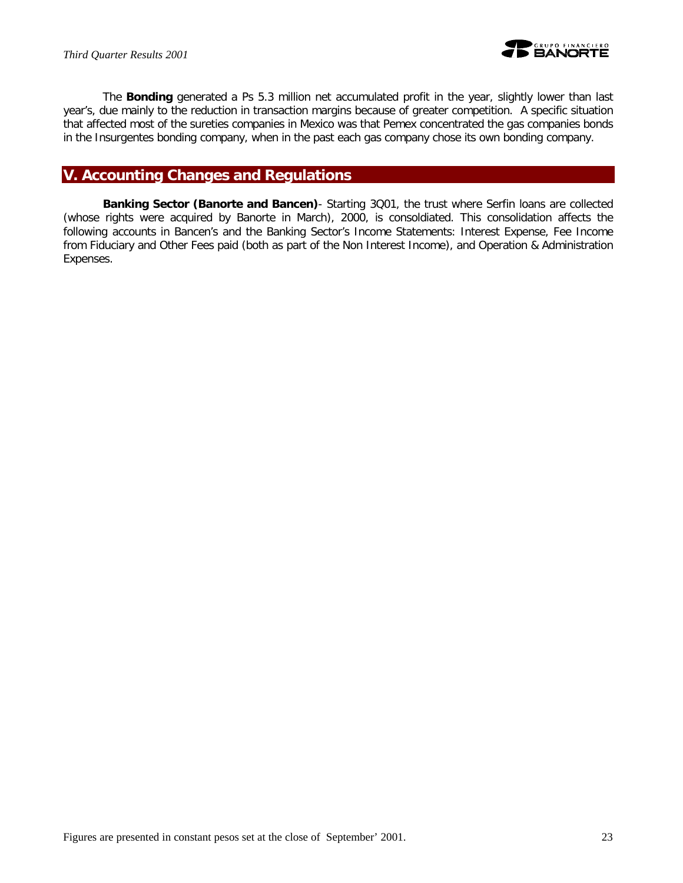

The *Bonding* generated a Ps 5.3 million net accumulated profit in the year, slightly lower than last year's, due mainly to the reduction in transaction margins because of greater competition. A specific situation that affected most of the sureties companies in Mexico was that Pemex concentrated the gas companies bonds in the Insurgentes bonding company, when in the past each gas company chose its own bonding company.

# **V. Accounting Changes and Regulations**

*Banking Sector (Banorte and Bancen)*- Starting 3Q01, the trust where Serfin loans are collected (whose rights were acquired by Banorte in March), 2000, is consoldiated. This consolidation affects the following accounts in Bancen's and the Banking Sector's Income Statements: Interest Expense, Fee Income from Fiduciary and Other Fees paid (both as part of the Non Interest Income), and Operation & Administration Expenses.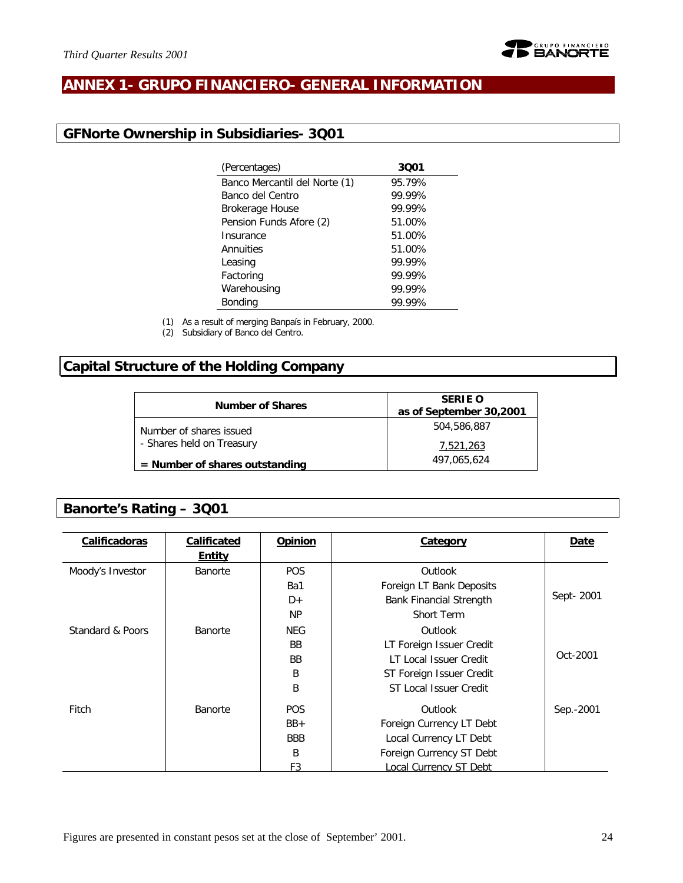

# **ANNEX 1- GRUPO FINANCIERO- GENERAL INFORMATION**

# **GFNorte Ownership in Subsidiaries- 3Q01**

| (Percentages)                 | 3001   |
|-------------------------------|--------|
| Banco Mercantil del Norte (1) | 95.79% |
| Banco del Centro              | 99.99% |
| <b>Brokerage House</b>        | 99.99% |
| Pension Funds Afore (2)       | 51.00% |
| Insurance                     | 51.00% |
| Annuities                     | 51.00% |
| Leasing                       | 99.99% |
| Factoring                     | 99.99% |
| Warehousing                   | 99.99% |
| <b>Bonding</b>                | 99.99% |
|                               |        |

(1) As a result of merging Banpaís in February, 2000.

(2) Subsidiary of Banco del Centro.

# **Capital Structure of the Holding Company**

| <b>Number of Shares</b>          | <b>SERIE O</b><br>as of September 30,2001 |
|----------------------------------|-------------------------------------------|
| Number of shares issued          | 504,586,887                               |
| - Shares held on Treasury        | 7.521.263                                 |
| $=$ Number of shares outstanding | 497,065,624                               |

# **Banorte's Rating – 3Q01**

| Calificadoras    | <b>Calificated</b> | <b>Opinion</b> | Category                       | Date      |
|------------------|--------------------|----------------|--------------------------------|-----------|
|                  | <b>Entity</b>      |                |                                |           |
| Moody's Investor | <b>Banorte</b>     | <b>POS</b>     | Outlook                        |           |
|                  |                    | Ba1            | Foreign LT Bank Deposits       |           |
|                  |                    | D+             | <b>Bank Financial Strength</b> | Sept-2001 |
|                  |                    | <b>NP</b>      | Short Term                     |           |
| Standard & Poors | Banorte            | <b>NEG</b>     | Outlook                        |           |
|                  |                    | <b>BB</b>      | LT Foreign Issuer Credit       |           |
|                  |                    | <b>BB</b>      | LT Local Issuer Credit         | Oct-2001  |
|                  |                    | B              | ST Foreign Issuer Credit       |           |
|                  |                    | B              | ST Local Issuer Credit         |           |
| Fitch            | Banorte            | POS.           | Outlook                        | Sep.-2001 |
|                  |                    | $BB+$          | Foreign Currency LT Debt       |           |
|                  |                    | <b>BBB</b>     | Local Currency LT Debt         |           |
|                  |                    | B              | Foreign Currency ST Debt       |           |
|                  |                    | F3             | ocal Currency ST Debt          |           |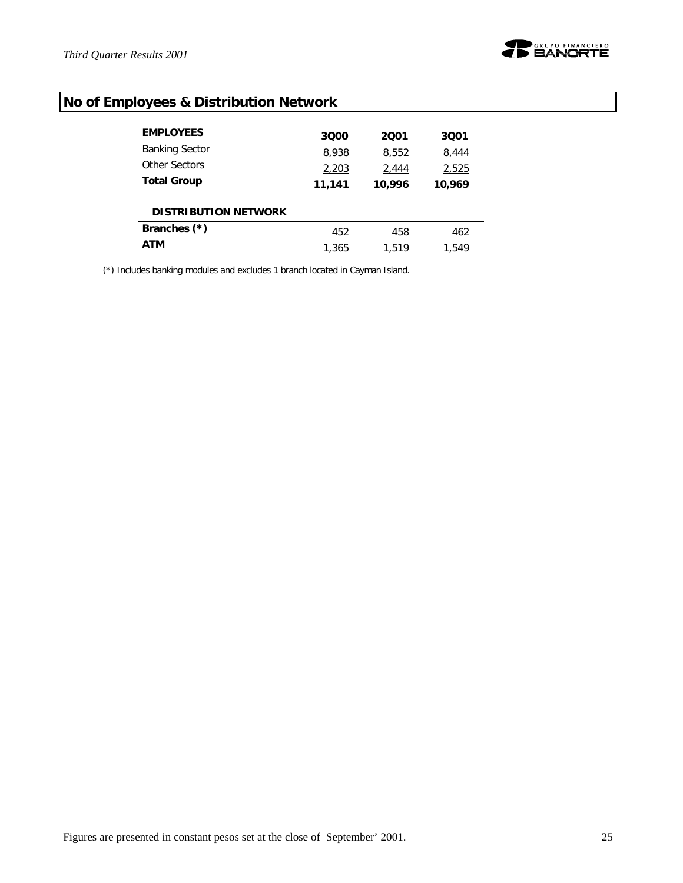

# **No of Employees & Distribution Network**

| <b>EMPLOYEES</b>            | 3000   | 2001   | 3001   |
|-----------------------------|--------|--------|--------|
| <b>Banking Sector</b>       | 8,938  | 8,552  | 8,444  |
| Other Sectors               | 2,203  | 2,444  | 2,525  |
| <b>Total Group</b>          | 11,141 | 10,996 | 10,969 |
| <b>DISTRIBUTION NETWORK</b> |        |        |        |
| Branches (*)                | 452    | 458    | 462    |
| <b>ATM</b>                  | 1,365  | 1.519  | 1.549  |

(\*) Includes banking modules and excludes 1 branch located in Cayman Island.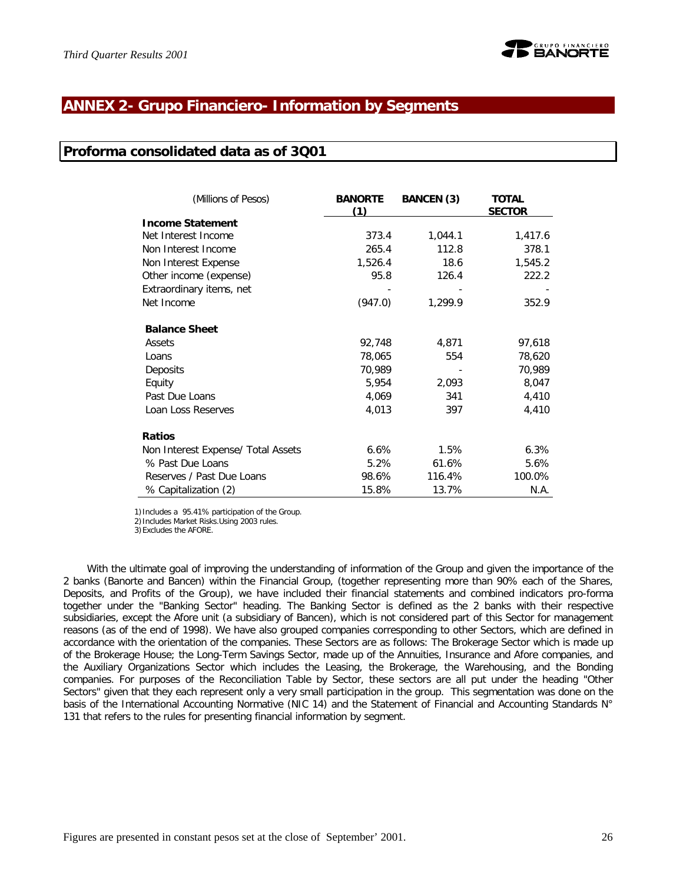# **ANNEX 2- Grupo Financiero- Information by Segments**

### **Proforma consolidated data as of 3Q01**

| (Millions of Pesos)                | <b>BANORTE</b><br>(1) | <b>BANCEN (3)</b> | <b>TOTAL</b><br><b>SECTOR</b> |
|------------------------------------|-----------------------|-------------------|-------------------------------|
| <b>Income Statement</b>            |                       |                   |                               |
| Net Interest Income                | 373.4                 | 1,044.1           | 1,417.6                       |
| Non Interest Income                | 265.4                 | 112.8             | 378.1                         |
| Non Interest Expense               | 1,526.4               | 18.6              | 1,545.2                       |
| Other income (expense)             | 95.8                  | 126.4             | 222.2                         |
| Extraordinary items, net           |                       |                   |                               |
| Net Income                         | (947.0)               | 1,299.9           | 352.9                         |
| <b>Balance Sheet</b>               |                       |                   |                               |
| Assets                             | 92,748                | 4,871             | 97,618                        |
| Loans                              | 78,065                | 554               | 78,620                        |
| Deposits                           | 70,989                |                   | 70,989                        |
| Equity                             | 5,954                 | 2,093             | 8,047                         |
| Past Due Loans                     | 4,069                 | 341               | 4,410                         |
| Loan Loss Reserves                 | 4,013                 | 397               | 4,410                         |
| <b>Ratios</b>                      |                       |                   |                               |
| Non Interest Expense/ Total Assets | 6.6%                  | 1.5%              | 6.3%                          |
| % Past Due Loans                   | 5.2%                  | 61.6%             | 5.6%                          |
| Reserves / Past Due Loans          | 98.6%                 | 116.4%            | 100.0%                        |
| % Capitalization (2)               | 15.8%                 | 13.7%             | N.A.                          |

1)Includes a 95.41% participation of the Group.

2)Includes Market Risks.Using 2003 rules.

3)Excludes the AFORE.

With the ultimate goal of improving the understanding of information of the Group and given the importance of the 2 banks (Banorte and Bancen) within the Financial Group, (together representing more than 90% each of the Shares, Deposits, and Profits of the Group), we have included their financial statements and combined indicators pro-forma together under the "Banking Sector" heading. The Banking Sector is defined as the 2 banks with their respective subsidiaries, except the Afore unit (a subsidiary of Bancen), which is not considered part of this Sector for management reasons (as of the end of 1998). We have also grouped companies corresponding to other Sectors, which are defined in accordance with the orientation of the companies. These Sectors are as follows: The Brokerage Sector which is made up of the Brokerage House; the Long-Term Savings Sector, made up of the Annuities, Insurance and Afore companies, and the Auxiliary Organizations Sector which includes the Leasing, the Brokerage, the Warehousing, and the Bonding companies. For purposes of the Reconciliation Table by Sector, these sectors are all put under the heading "Other Sectors" given that they each represent only a very small participation in the group. This segmentation was done on the basis of the International Accounting Normative (NIC 14) and the Statement of Financial and Accounting Standards N° 131 that refers to the rules for presenting financial information by segment.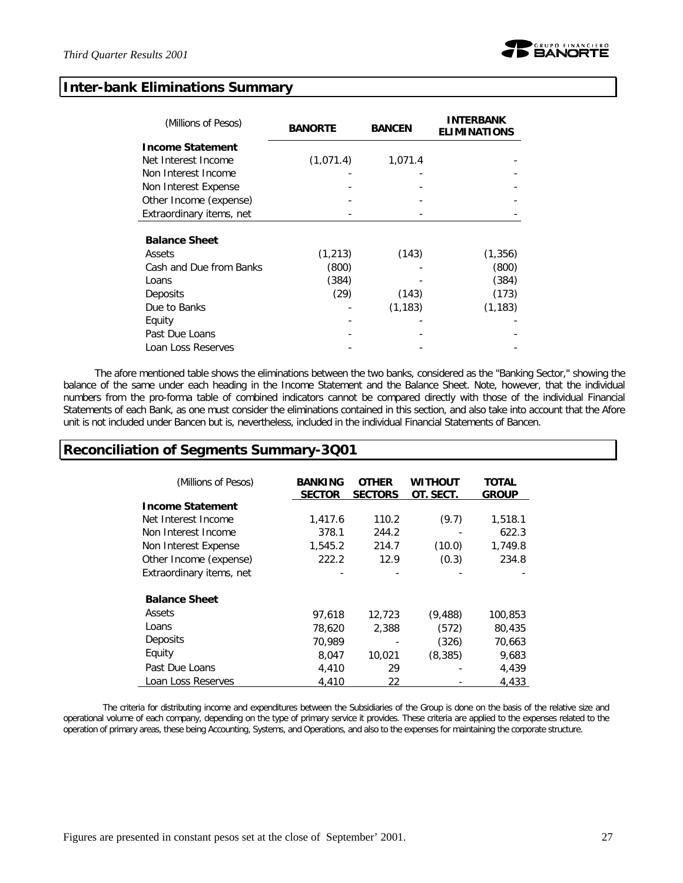

### **Inter-bank Eliminations Summary**

| (Millions of Pesos)      | <b>BANORTE</b> | <b>BANCEN</b> | <b>INTERBANK</b><br><b>ELIMINATIONS</b> |
|--------------------------|----------------|---------------|-----------------------------------------|
| <b>Income Statement</b>  |                |               |                                         |
| Net Interest Income      | (1,071.4)      | 1,071.4       |                                         |
| Non Interest Income      |                |               |                                         |
| Non Interest Expense     |                |               |                                         |
| Other Income (expense)   |                |               |                                         |
| Extraordinary items, net |                |               |                                         |
| <b>Balance Sheet</b>     |                |               |                                         |
| Assets                   | (1, 213)       | (143)         | (1, 356)                                |
| Cash and Due from Banks  | (800)          |               | (800)                                   |
| Loans                    | (384)          |               | (384)                                   |
| Deposits                 | (29)           | (143)         | (173)                                   |
| Due to Banks             |                | (1, 183)      | (1, 183)                                |
| Equity                   |                |               |                                         |
| Past Due Loans           |                |               |                                         |
| Loan Loss Reserves       |                |               |                                         |

The afore mentioned table shows the eliminations between the two banks, considered as the "Banking Sector," showing the balance of the same under each heading in the Income Statement and the Balance Sheet. Note, however, that the individual numbers from the pro-forma table of combined indicators cannot be compared directly with those of the individual Financial Statements of each Bank, as one must consider the eliminations contained in this section, and also take into account that the Afore unit is not included under Bancen but *i*s, nevertheless, included in the individual Financial Statements of Bancen.

### **Reconciliation of Segments Summary-3Q01**

| (Millions of Pesos)      | <b>BANKING</b><br><b>SECTOR</b> | <b>OTHER</b><br><b>SECTORS</b> | Without<br>OT. SECT. | <b>TOTAL</b><br><b>GROUP</b> |
|--------------------------|---------------------------------|--------------------------------|----------------------|------------------------------|
| <b>Income Statement</b>  |                                 |                                |                      |                              |
| Net Interest Income      | 1,417.6                         | 110.2                          | (9.7)                | 1,518.1                      |
| Non Interest Income      | 378.1                           | 244.2                          |                      | 622.3                        |
| Non Interest Expense     | 1,545.2                         | 214.7                          | (10.0)               | 1,749.8                      |
| Other Income (expense)   | 222.2                           | 12.9                           | (0.3)                | 234.8                        |
| Extraordinary items, net |                                 |                                |                      |                              |
| <b>Balance Sheet</b>     |                                 |                                |                      |                              |
| Assets                   | 97,618                          | 12,723                         | (9, 488)             | 100,853                      |
| Loans                    | 78,620                          | 2,388                          | (572)                | 80,435                       |
| Deposits                 | 70,989                          |                                | (326)                | 70,663                       |
| Equity                   | 8,047                           | 10.021                         | (8, 385)             | 9,683                        |
| Past Due Loans           | 4,410                           | 29                             |                      | 4,439                        |
| Loan Loss Reserves       | 4,410                           | 22                             |                      | 4,433                        |

The criteria for distributing income and expenditures between the Subsidiaries of the Group is done on the basis of the relative size and operational volume of each company, depending on the type of primary service it provides. These criteria are applied to the expenses related to the operation of primary areas, these being Accounting, Systems, and Operations, and also to the expenses for maintaining the corporate structure.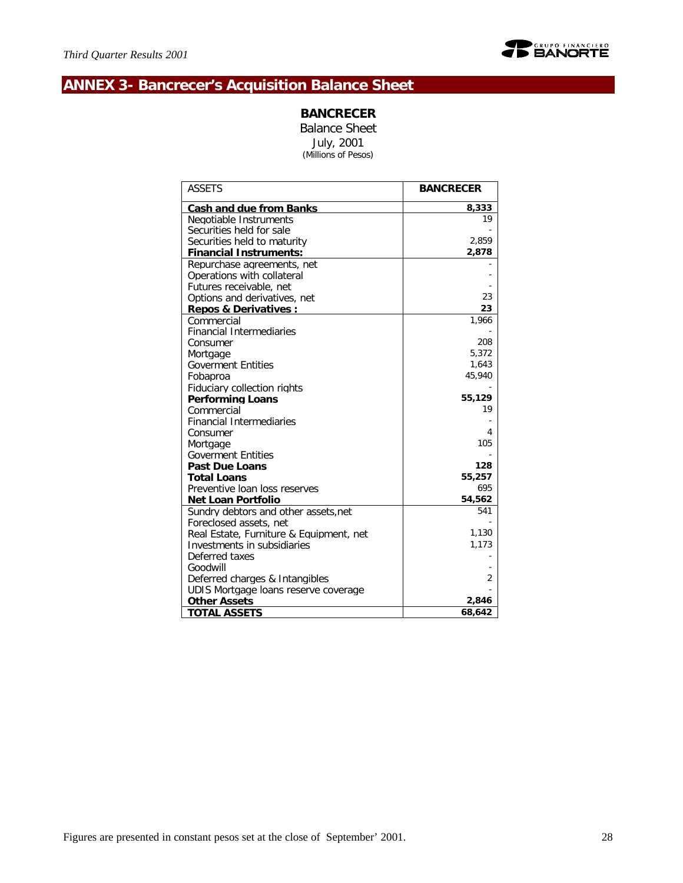

# **ANNEX 3- Bancrecer's Acquisition Balance Sheet**

### **BANCRECER**

Balance Sheet July, 2001 *(Millions of Pesos)*

| <b>ASSETS</b>                                                          | <b>BANCRECER</b> |
|------------------------------------------------------------------------|------------------|
| <b>Cash and due from Banks</b>                                         | 8,333            |
| Negotiable Instruments                                                 | 19               |
| Securities held for sale                                               |                  |
| Securities held to maturity                                            | 2,859            |
| <b>Financial Instruments:</b>                                          | 2,878            |
| Repurchase agreements, net                                             |                  |
| Operations with collateral                                             |                  |
| Futures receivable, net                                                |                  |
| Options and derivatives, net                                           | 23               |
| <b>Repos &amp; Derivatives:</b>                                        | 23               |
| Commercial                                                             | 1,966            |
| <b>Financial Intermediaries</b>                                        |                  |
| Consumer                                                               | 208              |
| Mortgage                                                               | 5.372            |
| <b>Goverment Entities</b>                                              | 1,643            |
| Fobaproa                                                               | 45,940           |
| Fiduciary collection rights                                            |                  |
| <b>Performing Loans</b>                                                | 55,129           |
| Commercial                                                             | 19               |
| <b>Financial Intermediaries</b>                                        |                  |
| Consumer                                                               | 4                |
| Mortgage                                                               | 105              |
| <b>Goverment Entities</b>                                              |                  |
| Past Due Loans                                                         | 128              |
| <b>Total Loans</b>                                                     | 55,257<br>695    |
| Preventive loan loss reserves                                          | 54,562           |
| <b>Net Loan Portfolio</b>                                              | 541              |
| Sundry debtors and other assets.net                                    |                  |
| Foreclosed assets, net                                                 | 1,130            |
| Real Estate, Furniture & Equipment, net<br>Investments in subsidiaries | 1,173            |
| Deferred taxes                                                         |                  |
| Goodwill                                                               |                  |
| Deferred charges & Intangibles                                         | $\overline{2}$   |
| UDIS Mortgage loans reserve coverage                                   |                  |
| <b>Other Assets</b>                                                    | 2,846            |
| <b>TOTAL ASSETS</b>                                                    | 68,642           |
|                                                                        |                  |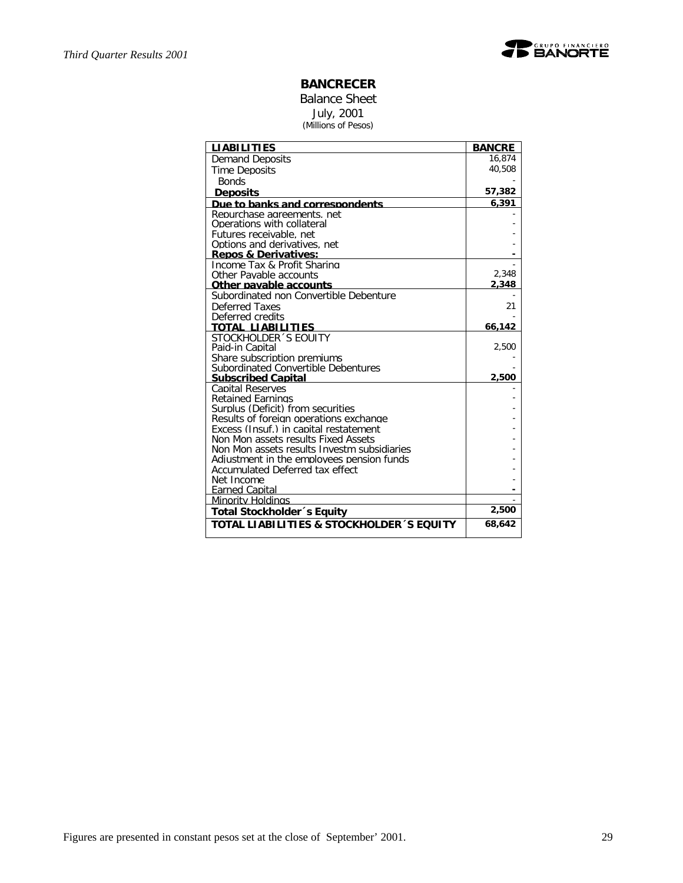

### **BANCRECER**

Balance Sheet July, 2001 *(Millions of Pesos)*

| <b>LIABILITIES</b>                                               | <b>BANCRE</b>  |
|------------------------------------------------------------------|----------------|
| <b>Demand Deposits</b>                                           | 16,874         |
| <b>Time Deposits</b>                                             | 40,508         |
| <b>Bonds</b>                                                     |                |
| <b>Deposits</b>                                                  | 57,382         |
| Due to banks and correspondents                                  | 6,391          |
| Repurchase agreements, net                                       |                |
| Operations with collateral                                       |                |
| Futures receivable, net                                          |                |
| Options and derivatives, net                                     |                |
| <b>Repos &amp; Derivatives:</b>                                  |                |
| Income Tax & Profit Sharing                                      |                |
| Other Pavable accounts                                           | 2,348<br>2,348 |
| Other pavable accounts<br>Subordinated non Convertible Debenture |                |
| Deferred Taxes                                                   | 21             |
| Deferred credits                                                 |                |
| TOTAL LIABILITIES                                                | 66,142         |
| STOCKHOLDER 'S FOULTY                                            |                |
| Paid-in Capital                                                  | 2,500          |
| Share subscription premiums                                      |                |
| Subordinated Convertible Debentures                              |                |
| <b>Subscribed Capital</b>                                        | 2,500          |
| <b>Capital Reserves</b>                                          |                |
| <b>Retained Earnings</b>                                         |                |
| Surplus (Deficit) from securities                                |                |
| Results of foreign operations exchange                           |                |
| Excess (Insuf.) in capital restatement                           |                |
| Non Mon assets results Fixed Assets                              |                |
| Non Mon assets results Investm subsidiaries                      |                |
| Adjustment in the employees pension funds                        |                |
| Accumulated Deferred tax effect                                  |                |
| Net Income                                                       |                |
| <b>Farned Capital</b>                                            |                |
| Minority Holdinas                                                | 2,500          |
| Total Stockholder 's Equity                                      |                |
| TOTAL LIABILITIES & STOCKHOLDER 'S EQUITY                        | 68,642         |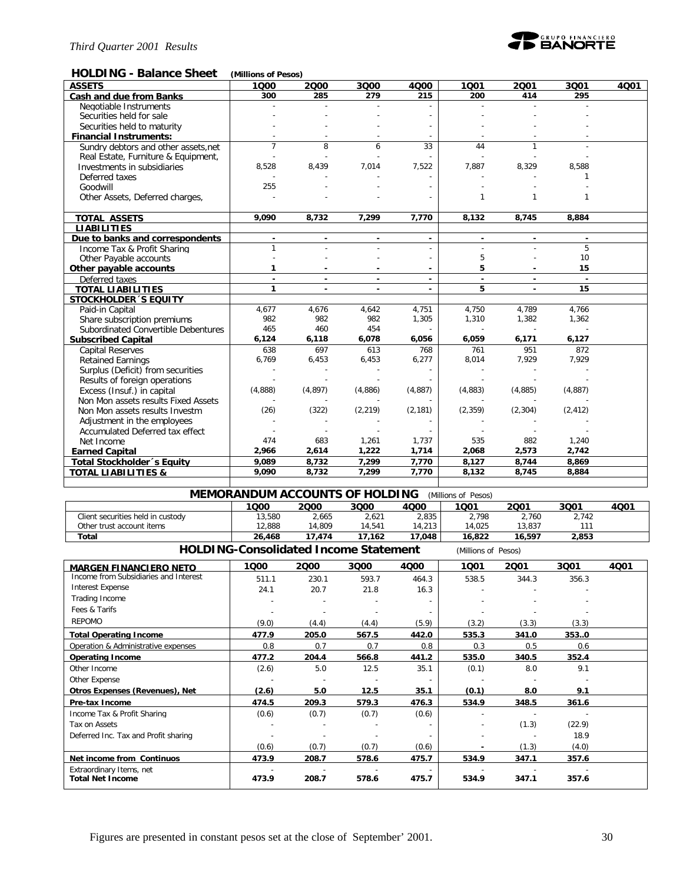

### **HOLDING - Balance Sheet** *(Millions of Pesos)*

| <b>ASSETS</b>                        | 1000           | 2000                     | 3000                     | 4000     | 1001         | 2001                     | 3Q01                     | 4001 |
|--------------------------------------|----------------|--------------------------|--------------------------|----------|--------------|--------------------------|--------------------------|------|
| Cash and due from Banks              | 300            | 285                      | 279                      | 215      | 200          | 414                      | 295                      |      |
| Negotiable Instruments               |                |                          |                          |          |              |                          |                          |      |
| Securities held for sale             |                |                          |                          |          |              |                          |                          |      |
| Securities held to maturity          |                |                          |                          |          |              |                          |                          |      |
| <b>Financial Instruments:</b>        |                |                          |                          |          |              |                          |                          |      |
| Sundry debtors and other assets, net | $\overline{7}$ | 8                        | 6                        | 33       | 44           | 1                        |                          |      |
| Real Estate, Furniture & Equipment,  |                |                          |                          |          |              |                          |                          |      |
| Investments in subsidiaries          | 8,528          | 8,439                    | 7,014                    | 7,522    | 7,887        | 8,329                    | 8,588                    |      |
| Deferred taxes                       |                |                          |                          |          |              |                          | 1                        |      |
| Goodwill                             | 255            |                          |                          |          |              |                          |                          |      |
| Other Assets, Deferred charges,      |                |                          |                          |          | 1            | $\mathbf{1}$             | 1                        |      |
|                                      |                |                          |                          |          |              |                          |                          |      |
| <b>TOTAL ASSETS</b>                  | 9,090          | 8,732                    | 7,299                    | 7,770    | 8,132        | 8,745                    | 8,884                    |      |
| <b>LIABILITIES</b>                   |                |                          |                          |          |              |                          |                          |      |
| Due to banks and correspondents      | $\blacksquare$ |                          | $\overline{\phantom{a}}$ | $\sim$   |              | $\overline{\phantom{a}}$ | $\overline{\phantom{a}}$ |      |
| Income Tax & Profit Sharing          | 1              |                          |                          |          |              |                          | 5                        |      |
| Other Payable accounts               |                |                          |                          |          | 5            |                          | 10                       |      |
| Other payable accounts               | 1              |                          |                          |          | 5            |                          | 15                       |      |
| Deferred taxes                       | $\overline{a}$ | $\overline{a}$           | $\blacksquare$           | $\sim$   | $\mathbf{r}$ | $\blacksquare$           | $\mathbf{r}$             |      |
| <b>TOTAL LIABILITIES</b>             | $\mathbf{1}$   | $\overline{\phantom{a}}$ | $\blacksquare$           |          | 5            | $\blacksquare$           | 15                       |      |
| <b>STOCKHOLDER 'S EQUITY</b>         |                |                          |                          |          |              |                          |                          |      |
| Paid-in Capital                      | 4,677          | 4,676                    | 4,642                    | 4,751    | 4,750        | 4,789                    | 4,766                    |      |
| Share subscription premiums          | 982            | 982                      | 982                      | 1,305    | 1,310        | 1,382                    | 1,362                    |      |
| Subordinated Convertible Debentures  | 465            | 460                      | 454                      |          |              |                          |                          |      |
| <b>Subscribed Capital</b>            | 6,124          | 6,118                    | 6,078                    | 6,056    | 6,059        | 6,171                    | 6,127                    |      |
| <b>Capital Reserves</b>              | 638            | 697                      | 613                      | 768      | 761          | 951                      | 872                      |      |
| <b>Retained Earnings</b>             | 6,769          | 6,453                    | 6,453                    | 6,277    | 8,014        | 7,929                    | 7,929                    |      |
| Surplus (Deficit) from securities    |                |                          |                          |          |              |                          |                          |      |
| Results of foreign operations        |                |                          |                          |          |              |                          |                          |      |
| Excess (Insuf.) in capital           | (4,888)        | (4, 897)                 | (4,886)                  | (4,887)  | (4,883)      | (4,885)                  | (4,887)                  |      |
| Non Mon assets results Fixed Assets  |                |                          |                          |          |              |                          |                          |      |
| Non Mon assets results Investm       | (26)           | (322)                    | (2, 219)                 | (2, 181) | (2, 359)     | (2, 304)                 | (2, 412)                 |      |
| Adjustment in the employees          |                |                          |                          |          |              |                          |                          |      |
| Accumulated Deferred tax effect      |                |                          |                          |          |              |                          |                          |      |
| Net Income                           | 474            | 683                      | 1,261                    | 1,737    | 535          | 882                      | 1,240                    |      |
| <b>Earned Capital</b>                | 2,966          | 2,614                    | 1,222                    | 1,714    | 2,068        | 2,573                    | 2,742                    |      |
| Total Stockholder's Equity           | 9.089          | 8,732                    | 7,299                    | 7,770    | 8,127        | 8,744                    | 8,869                    |      |
| <b>TOTAL LIABILITIES &amp;</b>       | 9,090          | 8,732                    | 7,299                    | 7,770    | 8,132        | 8,745                    | 8,884                    |      |
|                                      |                |                          |                          |          |              |                          |                          |      |

| <b>MEMORANDUM ACCOUNTS OF HOLDING</b><br>(Millions of Pesos) |        |        |        |        |        |        |       |      |
|--------------------------------------------------------------|--------|--------|--------|--------|--------|--------|-------|------|
|                                                              | 1000   | 2000   | 3000   | 4Q00   | 1001   | 2001   | 3001  | 4Q01 |
| Client securities held in custody                            | 13.580 | 2.665  | 2.621  | 2,835  | 2.798  | 2.760  | 2,742 |      |
| Other trust account items                                    | 12.888 | 14.809 | 14.541 | 14.213 | 14.025 | 13.837 |       |      |
| Total                                                        | 26,468 | 17.474 | 17.162 | 17.048 | 16,822 | 16,597 | 2,853 |      |

**HOLDING-Consolidated Income Statement** *(Millions of Pesos)*

| 1000  | 2000  | 3000  | 4000  | 1001                     | 2001  | 3Q01   | 4Q01 |
|-------|-------|-------|-------|--------------------------|-------|--------|------|
| 511.1 | 230.1 | 593.7 | 464.3 | 538.5                    | 344.3 | 356.3  |      |
| 24.1  | 20.7  | 21.8  | 16.3  |                          |       |        |      |
|       |       |       |       |                          |       |        |      |
|       |       |       |       |                          |       |        |      |
| (9.0) | (4.4) | (4.4) | (5.9) | (3.2)                    | (3.3) | (3.3)  |      |
| 477.9 | 205.0 | 567.5 | 442.0 | 535.3                    | 341.0 | 353.0  |      |
| 0.8   | 0.7   | 0.7   | 0.8   | 0.3                      | 0.5   | 0.6    |      |
| 477.2 | 204.4 | 566.8 | 441.2 | 535.0                    | 340.5 | 352.4  |      |
| (2.6) | 5.0   | 12.5  | 35.1  | (0.1)                    | 8.0   | 9.1    |      |
|       |       |       |       |                          |       |        |      |
| (2.6) | 5.0   | 12.5  | 35.1  | (0.1)                    | 8.0   | 9.1    |      |
| 474.5 | 209.3 | 579.3 | 476.3 | 534.9                    | 348.5 | 361.6  |      |
| (0.6) | (0.7) | (0.7) | (0.6) |                          |       |        |      |
|       |       |       |       | $\overline{\phantom{0}}$ | (1.3) | (22.9) |      |
|       |       |       |       |                          |       | 18.9   |      |
| (0.6) | (0.7) | (0.7) | (0.6) |                          | (1.3) | (4.0)  |      |
| 473.9 | 208.7 | 578.6 | 475.7 | 534.9                    | 347.1 | 357.6  |      |
| 473.9 | 208.7 | 578.6 | 475.7 | 534.9                    | 347.1 | 357.6  |      |
|       |       |       |       |                          |       |        |      |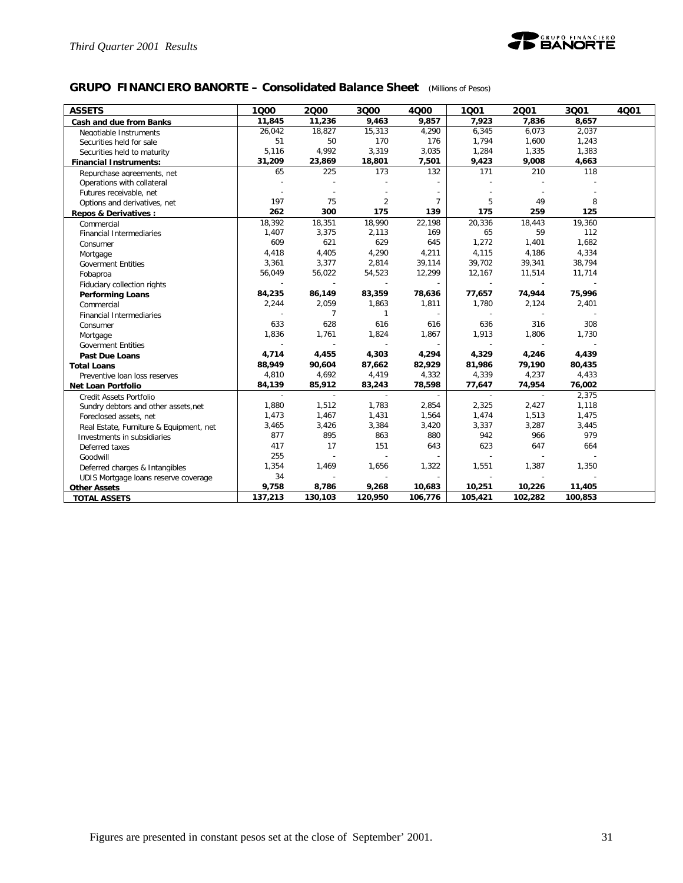

### **GRUPO FINANCIERO BANORTE – Consolidated Balance Sheet** *(Millions of Pesos)*

| <b>ASSETS</b>                           | 1000    | 2000    | 3000                        | 4000           | 1001    | 2001    | 3Q01    | 4Q01 |
|-----------------------------------------|---------|---------|-----------------------------|----------------|---------|---------|---------|------|
| Cash and due from Banks                 | 11,845  | 11,236  | 9,463                       | 9,857          | 7,923   | 7,836   | 8,657   |      |
| Negotiable Instruments                  | 26,042  | 18,827  | 15,313                      | 4,290          | 6,345   | 6,073   | 2,037   |      |
| Securities held for sale                | 51      | 50      | 170                         | 176            | 1,794   | 1,600   | 1,243   |      |
| Securities held to maturity             | 5,116   | 4,992   | 3,319                       | 3,035          | 1,284   | 1,335   | 1,383   |      |
| <b>Financial Instruments:</b>           | 31,209  | 23,869  | 18,801                      | 7,501          | 9,423   | 9,008   | 4,663   |      |
| Repurchase agreements, net              | 65      | 225     | 173                         | 132            | 171     | 210     | 118     |      |
| Operations with collateral              |         |         |                             |                |         |         |         |      |
| Futures receivable, net                 |         |         |                             |                |         |         |         |      |
| Options and derivatives, net            | 197     | 75      | $\overline{2}$              | $\overline{7}$ | 5       | 49      | 8       |      |
| Repos & Derivatives :                   | 262     | 300     | 175                         | 139            | 175     | 259     | 125     |      |
| Commercial                              | 18,392  | 18,351  | 18,990                      | 22,198         | 20,336  | 18,443  | 19,360  |      |
| Financial Intermediaries                | 1,407   | 3,375   | 2,113                       | 169            | 65      | 59      | 112     |      |
| Consumer                                | 609     | 621     | 629                         | 645            | 1,272   | 1,401   | 1,682   |      |
| Mortgage                                | 4,418   | 4,405   | 4,290                       | 4,211          | 4,115   | 4,186   | 4,334   |      |
| <b>Goverment Entities</b>               | 3,361   | 3,377   | 2,814                       | 39,114         | 39,702  | 39,341  | 38,794  |      |
| Fobaproa                                | 56,049  | 56,022  | 54,523                      | 12,299         | 12,167  | 11,514  | 11,714  |      |
| Fiduciary collection rights             |         |         |                             |                |         |         |         |      |
| <b>Performing Loans</b>                 | 84,235  | 86,149  | 83,359                      | 78,636         | 77,657  | 74,944  | 75,996  |      |
| Commercial                              | 2,244   | 2,059   | 1,863                       | 1,811          | 1,780   | 2,124   | 2,401   |      |
| <b>Financial Intermediaries</b>         |         | 7       | $\mathbf{1}$                | $\blacksquare$ |         |         |         |      |
| Consumer                                | 633     | 628     | 616                         | 616            | 636     | 316     | 308     |      |
| Mortgage                                | 1,836   | 1,761   | 1,824                       | 1,867          | 1,913   | 1,806   | 1,730   |      |
| <b>Goverment Entities</b>               |         |         |                             |                |         |         |         |      |
| <b>Past Due Loans</b>                   | 4,714   | 4,455   | 4,303                       | 4,294          | 4,329   | 4,246   | 4,439   |      |
| <b>Total Loans</b>                      | 88,949  | 90,604  | 87,662                      | 82,929         | 81,986  | 79,190  | 80,435  |      |
| Preventive loan loss reserves           | 4,810   | 4,692   | 4,419                       | 4,332          | 4,339   | 4,237   | 4,433   |      |
| <b>Net Loan Portfolio</b>               | 84,139  | 85,912  | 83,243                      | 78,598         | 77,647  | 74,954  | 76,002  |      |
| Credit Assets Portfolio                 | $\sim$  | $\sim$  | $\mathcal{L}_{\mathcal{A}}$ | $\sim$         | $\sim$  | $\sim$  | 2,375   |      |
| Sundry debtors and other assets, net    | 1,880   | 1,512   | 1,783                       | 2,854          | 2,325   | 2,427   | 1,118   |      |
| Foreclosed assets, net                  | 1,473   | 1,467   | 1,431                       | 1,564          | 1,474   | 1,513   | 1,475   |      |
| Real Estate, Furniture & Equipment, net | 3,465   | 3,426   | 3,384                       | 3,420          | 3,337   | 3,287   | 3,445   |      |
| Investments in subsidiaries             | 877     | 895     | 863                         | 880            | 942     | 966     | 979     |      |
| Deferred taxes                          | 417     | 17      | 151                         | 643            | 623     | 647     | 664     |      |
| Goodwill                                | 255     | ÷,      | $\overline{\phantom{a}}$    |                |         |         |         |      |
| Deferred charges & Intangibles          | 1,354   | 1,469   | 1,656                       | 1,322          | 1,551   | 1,387   | 1,350   |      |
| UDIS Mortgage loans reserve coverage    | 34      |         |                             |                |         |         |         |      |
| <b>Other Assets</b>                     | 9,758   | 8,786   | 9,268                       | 10,683         | 10,251  | 10,226  | 11,405  |      |
| <b>TOTAL ASSETS</b>                     | 137,213 | 130,103 | 120,950                     | 106,776        | 105,421 | 102,282 | 100,853 |      |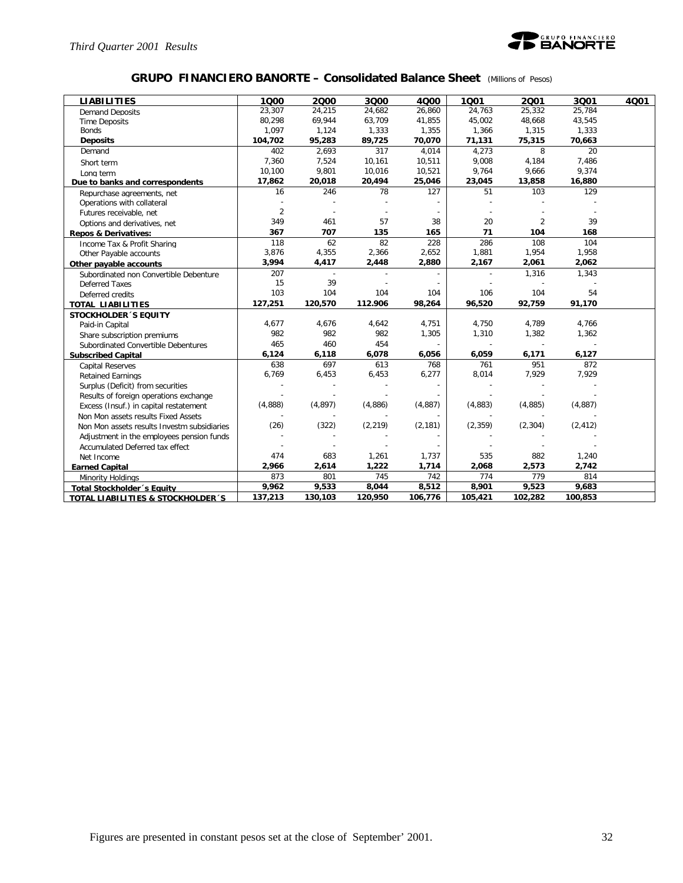

### **GRUPO FINANCIERO BANORTE – Consolidated Balance Sheet** *(Millions of Pesos)*

| <b>LIABILITIES</b>                          | 1000           | 2000           | 3Q00     | 4000     | 1001     | 2001           | 3001     | 4001 |
|---------------------------------------------|----------------|----------------|----------|----------|----------|----------------|----------|------|
| <b>Demand Deposits</b>                      | 23,307         | 24,215         | 24,682   | 26,860   | 24,763   | 25,332         | 25,784   |      |
| <b>Time Deposits</b>                        | 80,298         | 69,944         | 63,709   | 41,855   | 45,002   | 48,668         | 43,545   |      |
| <b>Bonds</b>                                | 1,097          | 1,124          | 1,333    | 1,355    | 1,366    | 1,315          | 1,333    |      |
| <b>Deposits</b>                             | 104,702        | 95,283         | 89,725   | 70,070   | 71,131   | 75,315         | 70,663   |      |
| Demand                                      | 402            | 2,693          | 317      | 4.014    | 4.273    | 8              | 20       |      |
| Short term                                  | 7,360          | 7,524          | 10,161   | 10,511   | 9,008    | 4,184          | 7,486    |      |
| Long term                                   | 10.100         | 9,801          | 10,016   | 10,521   | 9,764    | 9,666          | 9,374    |      |
| Due to banks and correspondents             | 17,862         | 20,018         | 20,494   | 25,046   | 23,045   | 13,858         | 16,880   |      |
| Repurchase agreements, net                  | 16             | 246            | 78       | 127      | 51       | 103            | 129      |      |
| Operations with collateral                  |                |                |          |          |          |                |          |      |
| Futures receivable, net                     | $\overline{2}$ |                |          |          |          |                |          |      |
| Options and derivatives, net                | 349            | 461            | 57       | 38       | 20       | $\overline{2}$ | 39       |      |
| <b>Repos &amp; Derivatives:</b>             | 367            | 707            | 135      | 165      | 71       | 104            | 168      |      |
| Income Tax & Profit Sharing                 | 118            | 62             | 82       | 228      | 286      | 108            | 104      |      |
| Other Payable accounts                      | 3,876          | 4,355          | 2,366    | 2,652    | 1,881    | 1,954          | 1,958    |      |
| Other payable accounts                      | 3,994          | 4,417          | 2,448    | 2,880    | 2,167    | 2,061          | 2,062    |      |
| Subordinated non Convertible Debenture      | 207            | $\overline{a}$ |          |          |          | 1,316          | 1,343    |      |
| <b>Deferred Taxes</b>                       | 15             | 39             |          |          |          |                |          |      |
| Deferred credits                            | 103            | 104            | 104      | 104      | 106      | 104            | 54       |      |
| <b>TOTAL LIABILITIES</b>                    | 127,251        | 120,570        | 112.906  | 98,264   | 96,520   | 92,759         | 91,170   |      |
| <b>STOCKHOLDER 'S EQUITY</b>                |                |                |          |          |          |                |          |      |
| Paid-in Capital                             | 4,677          | 4,676          | 4,642    | 4,751    | 4,750    | 4,789          | 4,766    |      |
| Share subscription premiums                 | 982            | 982            | 982      | 1,305    | 1,310    | 1,382          | 1,362    |      |
| Subordinated Convertible Debentures         | 465            | 460            | 454      |          |          |                |          |      |
| <b>Subscribed Capital</b>                   | 6,124          | 6,118          | 6,078    | 6,056    | 6,059    | 6,171          | 6,127    |      |
| <b>Capital Reserves</b>                     | 638            | 697            | 613      | 768      | 761      | 951            | 872      |      |
| <b>Retained Earnings</b>                    | 6,769          | 6,453          | 6,453    | 6,277    | 8,014    | 7,929          | 7,929    |      |
| Surplus (Deficit) from securities           |                |                |          |          |          |                |          |      |
| Results of foreign operations exchange      |                |                |          |          |          |                |          |      |
| Excess (Insuf.) in capital restatement      | (4,888)        | (4,897)        | (4,886)  | (4,887)  | (4,883)  | (4,885)        | (4,887)  |      |
| Non Mon assets results Fixed Assets         |                |                |          |          |          |                |          |      |
| Non Mon assets results Investm subsidiaries | (26)           | (322)          | (2, 219) | (2, 181) | (2, 359) | (2, 304)       | (2, 412) |      |
| Adjustment in the employees pension funds   |                |                |          |          |          |                |          |      |
| Accumulated Deferred tax effect             |                |                |          |          |          |                |          |      |
| Net Income                                  | 474            | 683            | 1,261    | 1,737    | 535      | 882            | 1,240    |      |
| <b>Earned Capital</b>                       | 2,966          | 2,614          | 1,222    | 1,714    | 2,068    | 2,573          | 2,742    |      |
| Minority Holdings                           | 873            | 801            | 745      | 742      | 774      | 779            | 814      |      |
| <b>Total Stockholder</b> 's Equity          | 9,962          | 9,533          | 8,044    | 8,512    | 8,901    | 9,523          | 9,683    |      |
| TOTAL LIABILITIES & STOCKHOLDER 'S          | 137,213        | 130,103        | 120,950  | 106,776  | 105,421  | 102,282        | 100,853  |      |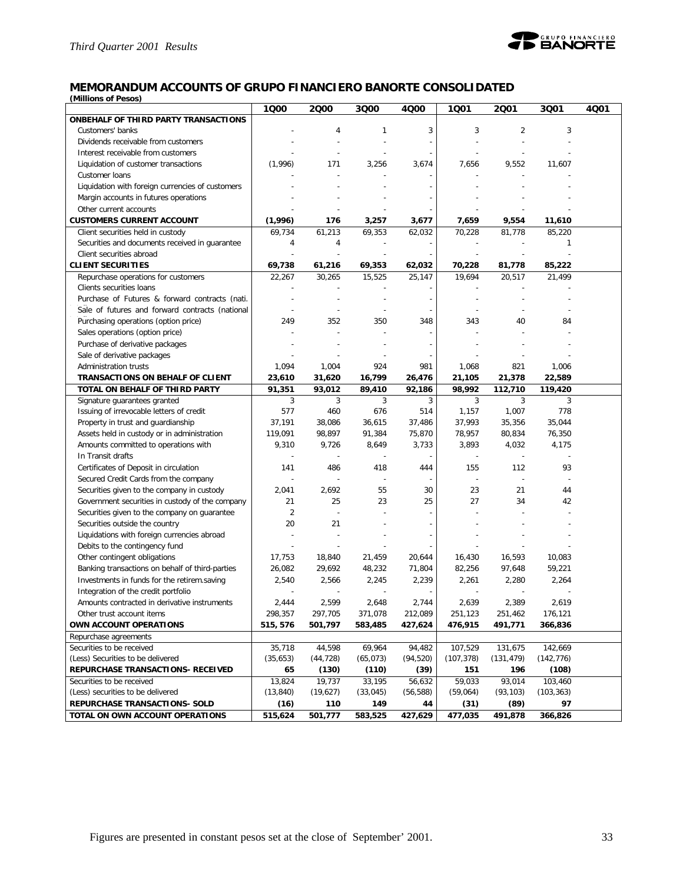

# **MEMORANDUM ACCOUNTS OF GRUPO FINANCIERO BANORTE CONSOLIDATED**

*(Millions of Pesos)*

|                                                  | 1000           | 2000      | 3Q00           | 4Q00                     | 1001                     | 2001           | 3Q01       | 4Q01 |
|--------------------------------------------------|----------------|-----------|----------------|--------------------------|--------------------------|----------------|------------|------|
| <b>ONBEHALF OF THIRD PARTY TRANSACTIONS</b>      |                |           |                |                          |                          |                |            |      |
| Customers' banks                                 |                | 4         | 1              | 3                        | 3                        | $\overline{2}$ | 3          |      |
| Dividends receivable from customers              |                |           |                |                          |                          |                |            |      |
| Interest receivable from customers               |                |           | $\overline{a}$ |                          | L,                       |                |            |      |
| Liquidation of customer transactions             | (1,996)        | 171       | 3,256          | 3,674                    | 7,656                    | 9,552          | 11,607     |      |
| Customer loans                                   |                |           |                |                          |                          |                |            |      |
| Liquidation with foreign currencies of customers |                |           |                |                          |                          |                |            |      |
| Margin accounts in futures operations            |                |           |                |                          |                          |                |            |      |
| Other current accounts                           |                |           |                |                          |                          |                |            |      |
| <b>CUSTOMERS CURRENT ACCOUNT</b>                 | (1,996)        | 176       | 3,257          | 3,677                    | 7,659                    | 9,554          | 11,610     |      |
| Client securities held in custody                | 69,734         | 61,213    | 69,353         | 62,032                   | 70,228                   | 81,778         | 85,220     |      |
| Securities and documents received in guarantee   | 4              | 4         |                |                          |                          |                | -1         |      |
| Client securities abroad                         |                |           | ÷,             |                          |                          |                |            |      |
| <b>CLIENT SECURITIES</b>                         | 69,738         | 61,216    | 69,353         | 62,032                   | 70,228                   | 81,778         | 85,222     |      |
| Repurchase operations for customers              | 22,267         | 30,265    | 15,525         | 25,147                   | 19,694                   | 20,517         | 21,499     |      |
| Clients securities loans                         |                |           |                |                          |                          |                |            |      |
| Purchase of Futures & forward contracts (nati.   |                |           |                | $\overline{\phantom{a}}$ |                          |                |            |      |
| Sale of futures and forward contracts (national  |                |           |                |                          |                          |                |            |      |
| Purchasing operations (option price)             | 249            | 352       | 350            | 348                      | 343                      | 40             | 84         |      |
| Sales operations (option price)                  |                |           |                |                          |                          |                |            |      |
| Purchase of derivative packages                  |                |           |                |                          |                          |                |            |      |
| Sale of derivative packages                      |                |           |                |                          |                          |                |            |      |
| Administration trusts                            | 1,094          | 1,004     | 924            | 981                      | 1,068                    | 821            | 1,006      |      |
| TRANSACTIONS ON BEHALF OF CLIENT                 | 23,610         | 31,620    | 16,799         | 26,476                   | 21,105                   | 21,378         | 22,589     |      |
| TOTAL ON BEHALF OF THIRD PARTY                   | 91,351         | 93,012    | 89,410         | 92,186                   | 98,992                   | 112,710        | 119,420    |      |
| Signature guarantees granted                     | 3              | 3         | 3              | 3                        | 3                        | 3              | 3          |      |
| Issuing of irrevocable letters of credit         | 577            | 460       | 676            | 514                      | 1,157                    | 1,007          | 778        |      |
| Property in trust and guardianship               | 37,191         | 38,086    | 36,615         | 37,486                   | 37,993                   | 35,356         | 35,044     |      |
| Assets held in custody or in administration      | 119,091        | 98,897    | 91,384         | 75,870                   | 78,957                   | 80,834         | 76,350     |      |
| Amounts committed to operations with             | 9,310          | 9,726     | 8,649          | 3,733                    | 3,893                    | 4,032          | 4,175      |      |
| In Transit drafts                                |                |           |                |                          |                          |                |            |      |
| Certificates of Deposit in circulation           | 141            | 486       | 418            | 444                      | 155                      | 112            | 93         |      |
| Secured Credit Cards from the company            | ÷,             |           | $\overline{a}$ |                          | $\overline{\phantom{a}}$ | ÷,             |            |      |
| Securities given to the company in custody       | 2,041          | 2,692     | 55             | 30                       | 23                       | 21             | 44         |      |
| Government securities in custody of the company  | 21             | 25        | 23             | 25                       | 27                       | 34             | 42         |      |
| Securities given to the company on guarantee     | $\overline{2}$ |           |                |                          |                          |                |            |      |
| Securities outside the country                   | 20             | 21        |                |                          |                          |                |            |      |
| Liquidations with foreign currencies abroad      |                |           |                |                          |                          |                |            |      |
| Debits to the contingency fund                   |                |           |                |                          |                          |                |            |      |
| Other contingent obligations                     | 17,753         | 18,840    | 21,459         | 20,644                   | 16,430                   | 16,593         | 10,083     |      |
| Banking transactions on behalf of third-parties  | 26,082         | 29,692    | 48,232         | 71,804                   | 82,256                   | 97,648         | 59,221     |      |
| Investments in funds for the retirem.saving      | 2,540          | 2,566     | 2,245          | 2,239                    | 2,261                    | 2,280          | 2,264      |      |
| Integration of the credit portfolio              |                |           |                |                          |                          |                |            |      |
| Amounts contracted in derivative instruments     | 2,444          | 2,599     | 2,648          | 2,744                    | 2,639                    | 2,389          | 2,619      |      |
| Other trust account items                        | 298,357        | 297,705   | 371,078        | 212,089                  | 251,123                  | 251,462        | 176,121    |      |
| OWN ACCOUNT OPERATIONS                           | 515, 576       | 501,797   | 583,485        | 427,624                  | 476,915                  | 491,771        | 366,836    |      |
| Repurchase agreements                            |                |           |                |                          |                          |                |            |      |
| Securities to be received                        | 35,718         | 44,598    | 69,964         | 94,482                   | 107,529                  | 131,675        | 142,669    |      |
| (Less) Securities to be delivered                | (35,653)       | (44, 728) | (65, 073)      | (94, 520)                | (107, 378)               | (131, 479)     | (142, 776) |      |
| REPURCHASE TRANSACTIONS- RECEIVED                | 65             | (130)     | (110)          | (39)                     | 151                      | 196            | (108)      |      |
| Securities to be received                        | 13,824         | 19,737    | 33,195         | 56,632                   | 59,033                   | 93,014         | 103,460    |      |
| (Less) securities to be delivered                | (13, 840)      | (19,627)  | (33, 045)      | (56, 588)                | (59,064)                 | (93, 103)      | (103, 363) |      |
| REPURCHASE TRANSACTIONS- SOLD                    | (16)           | 110       | 149            | 44                       | (31)                     | (89)           | 97         |      |
| TOTAL ON OWN ACCOUNT OPERATIONS                  | 515,624        | 501,777   | 583,525        | 427,629                  | 477,035                  | 491,878        | 366,826    |      |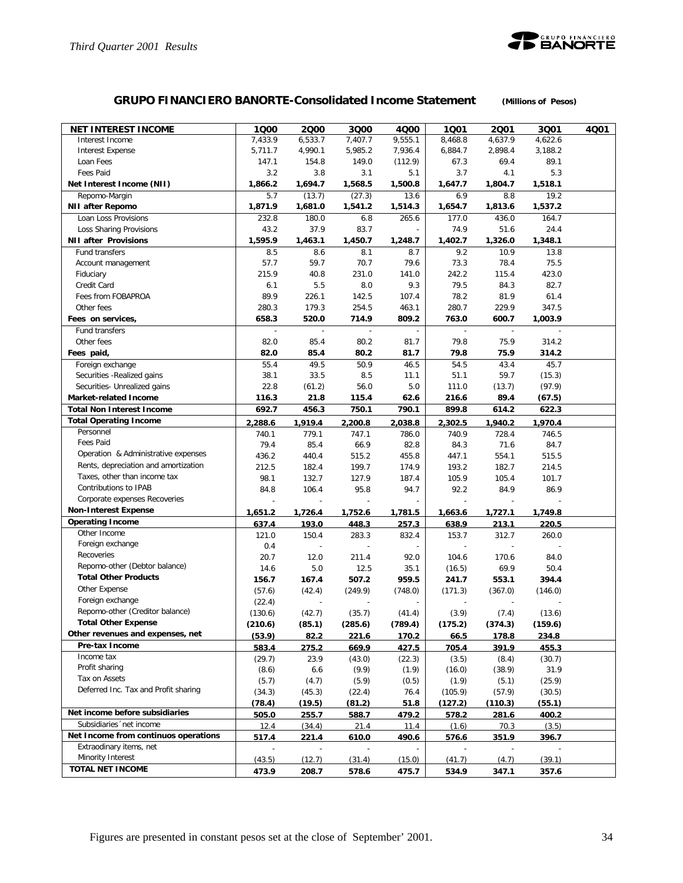

# **GRUPO FINANCIERO BANORTE-Consolidated Income Statement** *(Millions of Pesos)*

| <b>NET INTEREST INCOME</b>           | 1Q00    | 2000           | 3Q00    | 4000    | 1001    | 2001    | 3001    | 4Q01 |
|--------------------------------------|---------|----------------|---------|---------|---------|---------|---------|------|
| Interest Income                      | 7,433.9 | 6,533.7        | 7,407.7 | 9,555.1 | 8,468.8 | 4,637.9 | 4,622.6 |      |
| <b>Interest Expense</b>              | 5,711.7 | 4,990.1        | 5,985.2 | 7,936.4 | 6,884.7 | 2,898.4 | 3,188.2 |      |
| Loan Fees                            | 147.1   | 154.8          | 149.0   | (112.9) | 67.3    | 69.4    | 89.1    |      |
| <b>Fees Paid</b>                     | 3.2     | 3.8            | 3.1     | 5.1     | 3.7     | 4.1     | 5.3     |      |
| Net Interest Income (NII)            | 1,866.2 | 1,694.7        | 1,568.5 | 1,500.8 | 1,647.7 | 1,804.7 | 1,518.1 |      |
| Repomo-Margin                        | 5.7     | (13.7)         | (27.3)  | 13.6    | 6.9     | 8.8     | 19.2    |      |
| <b>NII after Repomo</b>              | 1,871.9 | 1,681.0        | 1,541.2 | 1,514.3 | 1,654.7 | 1,813.6 | 1,537.2 |      |
| Loan Loss Provisions                 | 232.8   | 180.0          | 6.8     | 265.6   | 177.0   | 436.0   | 164.7   |      |
| Loss Sharing Provisions              | 43.2    | 37.9           | 83.7    |         | 74.9    | 51.6    | 24.4    |      |
| <b>NII after Provisions</b>          | 1,595.9 | 1,463.1        | 1,450.7 | 1,248.7 | 1,402.7 | 1,326.0 | 1,348.1 |      |
| Fund transfers                       | 8.5     | 8.6            | 8.1     | 8.7     | 9.2     | 10.9    | 13.8    |      |
| Account management                   | 57.7    | 59.7           | 70.7    | 79.6    | 73.3    | 78.4    | 75.5    |      |
| Fiduciary                            | 215.9   | 40.8           | 231.0   | 141.0   | 242.2   | 115.4   | 423.0   |      |
| Credit Card                          | 6.1     | 5.5            | 8.0     | 9.3     | 79.5    | 84.3    | 82.7    |      |
| Fees from FOBAPROA                   | 89.9    | 226.1          | 142.5   | 107.4   | 78.2    | 81.9    | 61.4    |      |
| Other fees                           | 280.3   | 179.3          | 254.5   | 463.1   | 280.7   | 229.9   | 347.5   |      |
| Fees on services,                    | 658.3   | 520.0          | 714.9   | 809.2   | 763.0   | 600.7   | 1,003.9 |      |
| Fund transfers                       |         |                |         |         |         |         |         |      |
| Other fees                           | 82.0    | 85.4           | 80.2    | 81.7    | 79.8    | 75.9    | 314.2   |      |
| Fees paid,                           | 82.0    | 85.4           | 80.2    | 81.7    | 79.8    | 75.9    | 314.2   |      |
| Foreign exchange                     | 55.4    | 49.5           | 50.9    | 46.5    | 54.5    | 43.4    | 45.7    |      |
| Securities - Realized gains          | 38.1    | 33.5           | 8.5     | 11.1    | 51.1    | 59.7    | (15.3)  |      |
| Securities- Unrealized gains         | 22.8    | (61.2)         | 56.0    | 5.0     | 111.0   | (13.7)  | (97.9)  |      |
| <b>Market-related Income</b>         | 116.3   | 21.8           | 115.4   | 62.6    | 216.6   | 89.4    | (67.5)  |      |
| <b>Total Non Interest Income</b>     | 692.7   | 456.3          | 750.1   | 790.1   | 899.8   | 614.2   | 622.3   |      |
| <b>Total Operating Income</b>        | 2,288.6 | 1.919.4        | 2,200.8 | 2,038.8 | 2.302.5 | 1,940.2 | 1,970.4 |      |
| Personnel                            | 740.1   | 779.1          | 747.1   | 786.0   | 740.9   | 728.4   | 746.5   |      |
| <b>Fees Paid</b>                     | 79.4    | 85.4           | 66.9    | 82.8    | 84.3    | 71.6    | 84.7    |      |
| Operation & Administrative expenses  | 436.2   | 440.4          | 515.2   | 455.8   | 447.1   | 554.1   | 515.5   |      |
| Rents, depreciation and amortization | 212.5   | 182.4          | 199.7   | 174.9   | 193.2   | 182.7   | 214.5   |      |
| Taxes, other than income tax         | 98.1    | 132.7          | 127.9   | 187.4   | 105.9   | 105.4   | 101.7   |      |
| Contributions to IPAB                | 84.8    | 106.4          | 95.8    | 94.7    | 92.2    | 84.9    | 86.9    |      |
| Corporate expenses Recoveries        |         | $\overline{a}$ | Ĭ.      |         |         |         |         |      |
| <b>Non-Interest Expense</b>          | 1,651.2 | 1,726.4        | 1,752.6 | 1,781.5 | 1,663.6 | 1,727.1 | 1,749.8 |      |
| <b>Operating Income</b>              | 637.4   | 193.0          | 448.3   | 257.3   | 638.9   | 213.1   | 220.5   |      |
| Other Income                         | 121.0   | 150.4          | 283.3   | 832.4   | 153.7   | 312.7   | 260.0   |      |
| Foreign exchange                     | 0.4     |                |         |         |         |         |         |      |
| Recoveries                           | 20.7    | 12.0           | 211.4   | 92.0    | 104.6   | 170.6   | 84.0    |      |
| Repomo-other (Debtor balance)        | 14.6    | 5.0            | 12.5    | 35.1    | (16.5)  | 69.9    | 50.4    |      |
| <b>Total Other Products</b>          | 156.7   | 167.4          | 507.2   | 959.5   | 241.7   | 553.1   | 394.4   |      |
| Other Expense                        | (57.6)  | (42.4)         | (249.9) | (748.0) | (171.3) | (367.0) | (146.0) |      |
| Foreign exchange                     | (22.4)  |                |         |         |         |         |         |      |
| Repomo-other (Creditor balance)      | (130.6) | (42.7)         | (35.7)  | (41.4)  | (3.9)   | (7.4)   | (13.6)  |      |
| <b>Total Other Expense</b>           | (210.6) | (85.1)         | (285.6) | (789.4) | (175.2) | (374.3) | (159.6) |      |
| Other revenues and expenses, net     | (53.9)  | 82.2           | 221.6   | 170.2   | 66.5    | 178.8   | 234.8   |      |
| Pre-tax Income                       | 583.4   | 275.2          | 669.9   | 427.5   | 705.4   | 391.9   | 455.3   |      |
| Income tax                           | (29.7)  | 23.9           | (43.0)  | (22.3)  | (3.5)   | (8.4)   | (30.7)  |      |
| Profit sharing                       | (8.6)   | 6.6            | (9.9)   | (1.9)   | (16.0)  | (38.9)  | 31.9    |      |
| Tax on Assets                        | (5.7)   | (4.7)          | (5.9)   | (0.5)   | (1.9)   | (5.1)   | (25.9)  |      |
| Deferred Inc. Tax and Profit sharing | (34.3)  | (45.3)         | (22.4)  | 76.4    | (105.9) | (57.9)  | (30.5)  |      |
|                                      | (78.4)  | (19.5)         | (81.2)  | 51.8    | (127.2) | (110.3) | (55.1)  |      |
| Net income before subsidiaries       | 505.0   | 255.7          | 588.7   | 479.2   | 578.2   | 281.6   | 400.2   |      |
| Subsidiaries 'net income             | 12.4    | (34.4)         | 21.4    | 11.4    | (1.6)   | 70.3    | (3.5)   |      |
| Net Income from continuos operations | 517.4   | 221.4          | 610.0   | 490.6   | 576.6   | 351.9   | 396.7   |      |
| Extraodinary items, net              |         |                |         |         |         |         |         |      |
| Minority Interest                    | (43.5)  | (12.7)         | (31.4)  | (15.0)  | (41.7)  | (4.7)   | (39.1)  |      |
| TOTAL NET INCOME                     | 473.9   | 208.7          | 578.6   | 475.7   | 534.9   | 347.1   | 357.6   |      |
|                                      |         |                |         |         |         |         |         |      |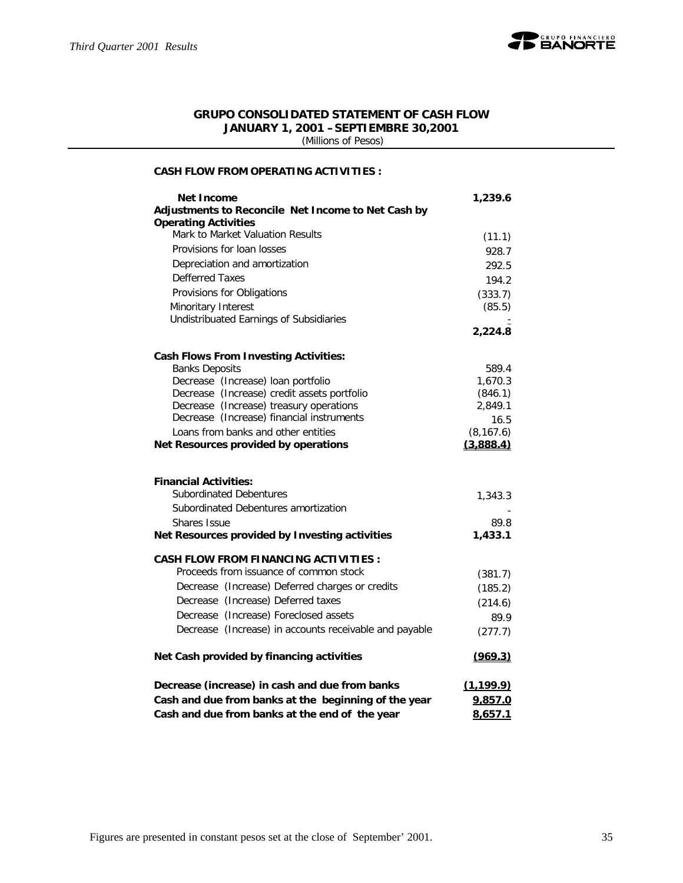

### **GRUPO CONSOLIDATED STATEMENT OF CASH FLOW JANUARY 1, 2001 –SEPTIEMBRE 30,2001**

 *(Millions of Pesos)*

### **CASH FLOW FROM OPERATING ACTIVITIES :**

| <b>Net Income</b>                                      | 1,239.6    |
|--------------------------------------------------------|------------|
| Adjustments to Reconcile Net Income to Net Cash by     |            |
| <b>Operating Activities</b>                            |            |
| Mark to Market Valuation Results                       | (11.1)     |
| Provisions for loan losses                             | 928.7      |
| Depreciation and amortization                          | 292.5      |
| Defferred Taxes                                        | 194.2      |
| Provisions for Obligations                             | (333.7)    |
| Minoritary Interest                                    | (85.5)     |
| Undistribuated Earnings of Subsidiaries                |            |
|                                                        | 2,224.8    |
| <b>Cash Flows From Investing Activities:</b>           |            |
| <b>Banks Deposits</b>                                  | 589.4      |
| Decrease (Increase) loan portfolio                     | 1,670.3    |
| Decrease (Increase) credit assets portfolio            | (846.1)    |
| Decrease (Increase) treasury operations                | 2,849.1    |
| Decrease (Increase) financial instruments              | 16.5       |
| Loans from banks and other entities                    | (8, 167.6) |
| Net Resources provided by operations                   | (3,888.4)  |
|                                                        |            |
| <b>Financial Activities:</b>                           |            |
| <b>Subordinated Debentures</b>                         | 1,343.3    |
| Subordinated Debentures amortization                   |            |
| Shares Issue                                           | 89.8       |
| Net Resources provided by Investing activities         | 1,433.1    |
| <b>CASH FLOW FROM FINANCING ACTIVITIES:</b>            |            |
| Proceeds from issuance of common stock                 | (381.7)    |
| Decrease (Increase) Deferred charges or credits        | (185.2)    |
| Decrease (Increase) Deferred taxes                     | (214.6)    |
| Decrease (Increase) Foreclosed assets                  | 89.9       |
| Decrease (Increase) in accounts receivable and payable | (277.7)    |
|                                                        |            |
| Net Cash provided by financing activities              | (969.3)    |
| Decrease (increase) in cash and due from banks         | (1, 199.9) |
| Cash and due from banks at the beginning of the year   | 9,857.0    |
| Cash and due from banks at the end of the year         | 8,657.1    |
|                                                        |            |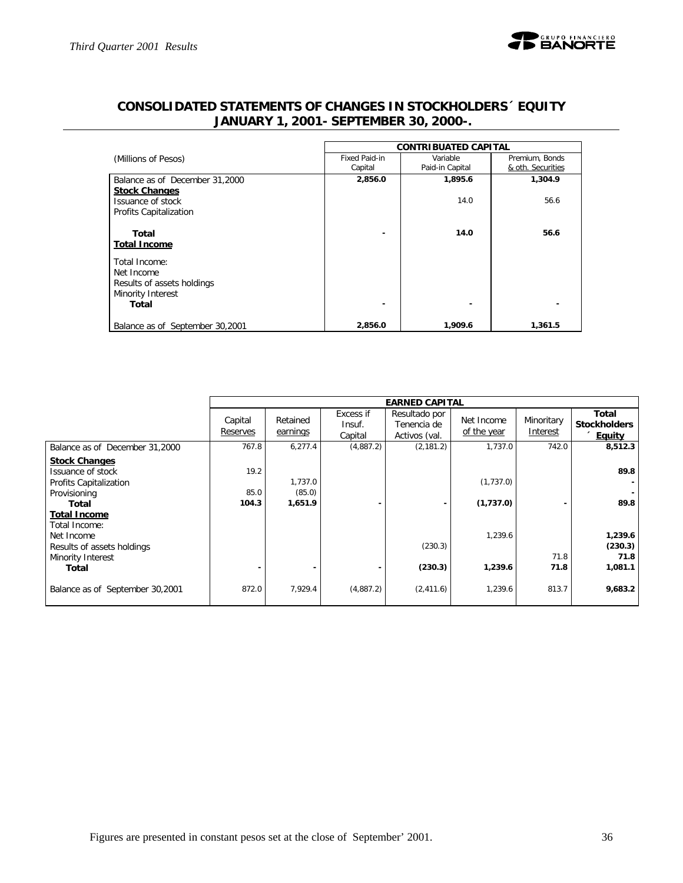

|                                 | <b>CONTRIBUATED CAPITAL</b> |                             |                                     |  |  |  |  |  |
|---------------------------------|-----------------------------|-----------------------------|-------------------------------------|--|--|--|--|--|
| (Millions of Pesos)             | Fixed Paid-in<br>Capital    | Variable<br>Paid-in Capital | Premium, Bonds<br>& oth. Securities |  |  |  |  |  |
| Balance as of December 31,2000  | 2,856.0                     | 1,895.6                     | 1,304.9                             |  |  |  |  |  |
| <b>Stock Changes</b>            |                             |                             |                                     |  |  |  |  |  |
| Issuance of stock               |                             | 14.0                        | 56.6                                |  |  |  |  |  |
| Profits Capitalization          |                             |                             |                                     |  |  |  |  |  |
| Total                           |                             | 14.0                        | 56.6                                |  |  |  |  |  |
| <b>Total Income</b>             |                             |                             |                                     |  |  |  |  |  |
| Total Income:                   |                             |                             |                                     |  |  |  |  |  |
| Net Income                      |                             |                             |                                     |  |  |  |  |  |
| Results of assets holdings      |                             |                             |                                     |  |  |  |  |  |
| Minority Interest               |                             |                             |                                     |  |  |  |  |  |
| Total                           |                             |                             |                                     |  |  |  |  |  |
| Balance as of September 30,2001 | 2,856.0                     | 1,909.6                     | 1,361.5                             |  |  |  |  |  |

# **CONSOLIDATED STATEMENTS OF CHANGES IN STOCKHOLDERS´ EQUITY JANUARY 1, 2001- SEPTEMBER 30, 2000-.**

|                                               |                     |                      |                                | <b>EARNED CAPITAL</b>                         |                           |                        |                                               |
|-----------------------------------------------|---------------------|----------------------|--------------------------------|-----------------------------------------------|---------------------------|------------------------|-----------------------------------------------|
|                                               | Capital<br>Reserves | Retained<br>earnings | Excess if<br>Insuf.<br>Capital | Resultado por<br>Tenencia de<br>Activos (val. | Net Income<br>of the year | Minoritary<br>Interest | Total<br><b>Stockholders</b><br><b>Equity</b> |
| Balance as of December 31,2000                | 767.8               | 6,277.4              | (4,887.2)                      | (2, 181.2)                                    | 1,737.0                   | 742.0                  | 8,512.3                                       |
| <b>Stock Changes</b><br>Issuance of stock     | 19.2                |                      |                                |                                               |                           |                        | 89.8                                          |
| Profits Capitalization                        |                     | 1,737.0              |                                |                                               | (1,737.0)                 |                        |                                               |
| Provisioning                                  | 85.0                | (85.0)               |                                |                                               |                           |                        |                                               |
| Total<br><b>Total Income</b><br>Total Income: | 104.3               | 1,651.9              |                                |                                               | (1,737.0)                 |                        | 89.8                                          |
| Net Income<br>Results of assets holdings      |                     |                      |                                | (230.3)                                       | 1,239.6                   | 71.8                   | 1,239.6<br>(230.3)<br>71.8                    |
| Minority Interest<br>Total                    |                     |                      |                                | (230.3)                                       | 1,239.6                   | 71.8                   | 1,081.1                                       |
| Balance as of September 30,2001               | 872.0               | 7,929.4              | (4,887.2)                      | (2,411.6)                                     | 1,239.6                   | 813.7                  | 9,683.2                                       |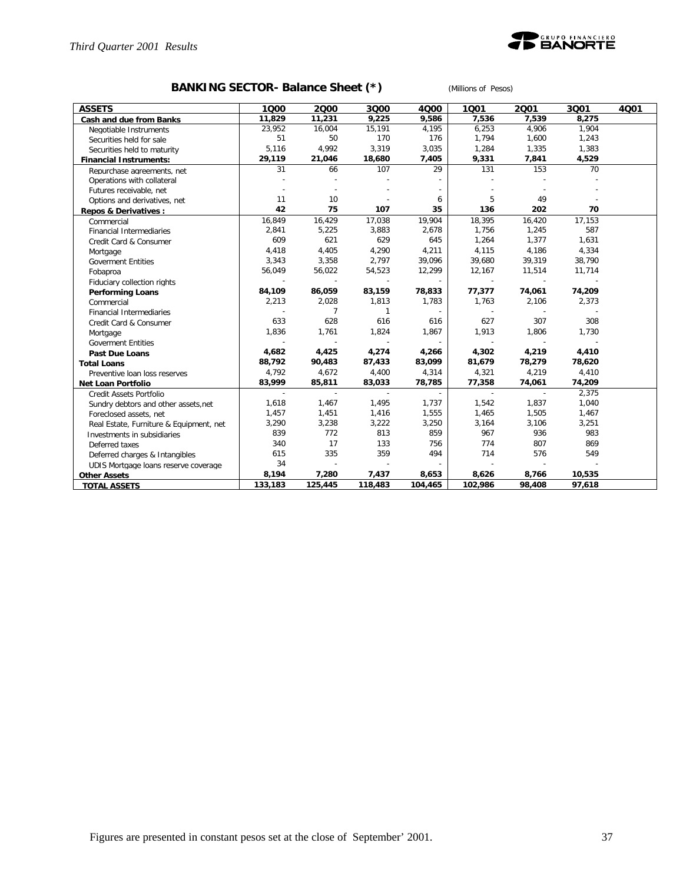

# **BANKING SECTOR- Balance Sheet (\*)** *(Millions of Pesos)*

| <b>ASSETS</b>                           | 1000                     | 2000    | 3000                     | 4000                     | 1001                     | 2001                     | 3Q01   | 4Q01 |
|-----------------------------------------|--------------------------|---------|--------------------------|--------------------------|--------------------------|--------------------------|--------|------|
| Cash and due from Banks                 | 11,829                   | 11,231  | 9,225                    | 9,586                    | 7,536                    | 7,539                    | 8,275  |      |
| Negotiable Instruments                  | 23,952                   | 16,004  | 15,191                   | 4,195                    | 6,253                    | 4,906                    | 1,904  |      |
| Securities held for sale                | 51                       | 50      | 170                      | 176                      | 1,794                    | 1,600                    | 1,243  |      |
| Securities held to maturity             | 5,116                    | 4,992   | 3,319                    | 3,035                    | 1,284                    | 1,335                    | 1,383  |      |
| <b>Financial Instruments:</b>           | 29,119                   | 21,046  | 18,680                   | 7,405                    | 9,331                    | 7,841                    | 4,529  |      |
| Repurchase agreements, net              | 31                       | 66      | 107                      | 29                       | 131                      | 153                      | 70     |      |
| Operations with collateral              |                          |         |                          |                          |                          |                          |        |      |
| Futures receivable, net                 |                          |         |                          |                          |                          |                          |        |      |
| Options and derivatives, net            | 11                       | 10      |                          | 6                        | 5                        | 49                       |        |      |
| <b>Repos &amp; Derivatives:</b>         | 42                       | 75      | 107                      | 35                       | 136                      | 202                      | 70     |      |
| Commercial                              | 16,849                   | 16,429  | 17,038                   | 19,904                   | 18,395                   | 16,420                   | 17,153 |      |
| <b>Financial Intermediaries</b>         | 2,841                    | 5,225   | 3,883                    | 2,678                    | 1,756                    | 1,245                    | 587    |      |
| Credit Card & Consumer                  | 609                      | 621     | 629                      | 645                      | 1,264                    | 1,377                    | 1,631  |      |
| Mortgage                                | 4,418                    | 4,405   | 4,290                    | 4,211                    | 4,115                    | 4,186                    | 4,334  |      |
| <b>Goverment Entities</b>               | 3,343                    | 3,358   | 2,797                    | 39,096                   | 39,680                   | 39,319                   | 38,790 |      |
| Fobaproa                                | 56,049                   | 56,022  | 54,523                   | 12,299                   | 12,167                   | 11,514                   | 11,714 |      |
| Fiduciary collection rights             | $\overline{a}$           |         | $\sim$                   |                          | $\sim$                   | $\sim$                   |        |      |
| <b>Performing Loans</b>                 | 84,109                   | 86,059  | 83,159                   | 78,833                   | 77,377                   | 74,061                   | 74,209 |      |
| Commercial                              | 2,213                    | 2,028   | 1,813                    | 1,783                    | 1,763                    | 2,106                    | 2,373  |      |
| <b>Financial Intermediaries</b>         |                          | 7       | $\mathbf{1}$             | $\overline{\phantom{a}}$ | $\overline{\phantom{a}}$ |                          |        |      |
| Credit Card & Consumer                  | 633                      | 628     | 616                      | 616                      | 627                      | 307                      | 308    |      |
| Mortgage                                | 1,836                    | 1,761   | 1,824                    | 1,867                    | 1,913                    | 1,806                    | 1,730  |      |
| <b>Goverment Entities</b>               | $\overline{\phantom{a}}$ |         | $\overline{\phantom{a}}$ | $\overline{\phantom{a}}$ | $\sim$                   | $\overline{\phantom{a}}$ |        |      |
| <b>Past Due Loans</b>                   | 4,682                    | 4,425   | 4,274                    | 4,266                    | 4,302                    | 4,219                    | 4,410  |      |
| <b>Total Loans</b>                      | 88,792                   | 90,483  | 87,433                   | 83,099                   | 81,679                   | 78,279                   | 78,620 |      |
| Preventive loan loss reserves           | 4,792                    | 4,672   | 4,400                    | 4,314                    | 4,321                    | 4,219                    | 4,410  |      |
| Net Loan Portfolio                      | 83,999                   | 85,811  | 83,033                   | 78,785                   | 77,358                   | 74,061                   | 74,209 |      |
| Credit Assets Portfolio                 | $\sim$                   | $\sim$  | $\overline{\phantom{a}}$ | $\overline{\phantom{a}}$ | $\sim$                   | $\sim$                   | 2,375  |      |
| Sundry debtors and other assets, net    | 1,618                    | 1,467   | 1,495                    | 1,737                    | 1,542                    | 1,837                    | 1,040  |      |
| Foreclosed assets, net                  | 1,457                    | 1,451   | 1,416                    | 1,555                    | 1,465                    | 1,505                    | 1,467  |      |
| Real Estate, Furniture & Equipment, net | 3,290                    | 3,238   | 3,222                    | 3,250                    | 3,164                    | 3,106                    | 3,251  |      |
| Investments in subsidiaries             | 839                      | 772     | 813                      | 859                      | 967                      | 936                      | 983    |      |
| Deferred taxes                          | 340                      | 17      | 133                      | 756                      | 774                      | 807                      | 869    |      |
| Deferred charges & Intangibles          | 615                      | 335     | 359                      | 494                      | 714                      | 576                      | 549    |      |
| UDIS Mortgage loans reserve coverage    | 34                       | $\sim$  | $\overline{\phantom{a}}$ | $\sim$                   |                          | $\sim$                   |        |      |
| <b>Other Assets</b>                     | 8,194                    | 7,280   | 7,437                    | 8,653                    | 8,626                    | 8,766                    | 10,535 |      |
| <b>TOTAL ASSETS</b>                     | 133,183                  | 125,445 | 118,483                  | 104,465                  | 102,986                  | 98,408                   | 97,618 |      |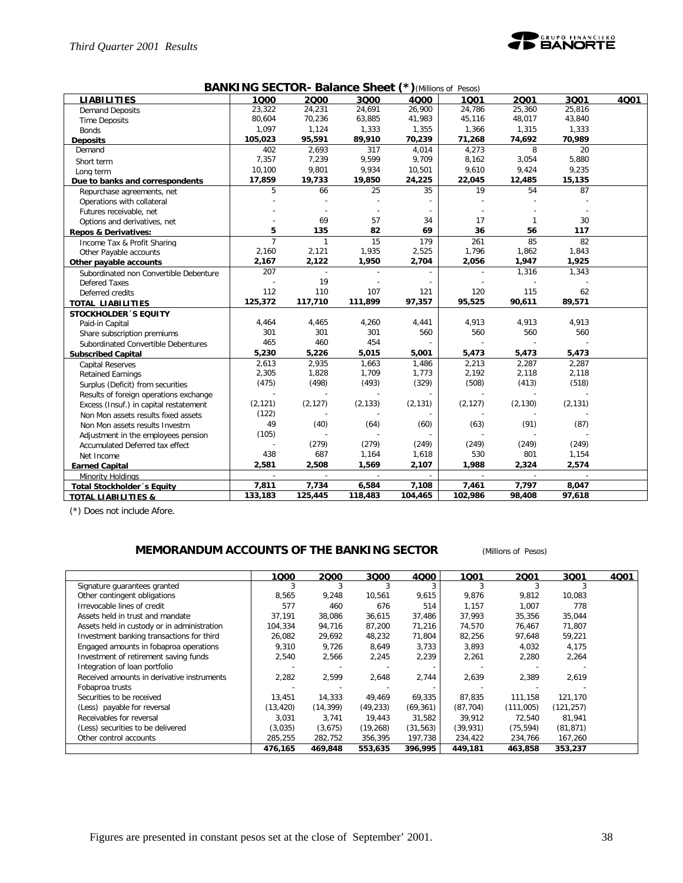

| <b>BANKING SECTOR- Balance Sheet (*)</b> (Millions of Pesos) |  |  |  |
|--------------------------------------------------------------|--|--|--|
|--------------------------------------------------------------|--|--|--|

| <b>LIABILITIES</b>                     | 1000           | 2000         | 3000     | 4000     | 1001                     | 2001     | 3001                        | 4001 |
|----------------------------------------|----------------|--------------|----------|----------|--------------------------|----------|-----------------------------|------|
| <b>Demand Deposits</b>                 | 23,322         | 24,231       | 24,691   | 26,900   | 24,786                   | 25,360   | 25,816                      |      |
| <b>Time Deposits</b>                   | 80,604         | 70,236       | 63,885   | 41,983   | 45,116                   | 48,017   | 43,840                      |      |
| <b>Bonds</b>                           | 1,097          | 1,124        | 1,333    | 1,355    | 1,366                    | 1,315    | 1,333                       |      |
| <b>Deposits</b>                        | 105,023        | 95,591       | 89,910   | 70,239   | 71,268                   | 74,692   | 70,989                      |      |
| Demand                                 | 402            | 2,693        | 317      | 4,014    | 4,273                    | 8        | 20                          |      |
| Short term                             | 7,357          | 7,239        | 9,599    | 9,709    | 8,162                    | 3,054    | 5,880                       |      |
| Long term                              | 10,100         | 9,801        | 9,934    | 10,501   | 9,610                    | 9,424    | 9,235                       |      |
| Due to banks and correspondents        | 17,859         | 19,733       | 19,850   | 24,225   | 22,045                   | 12,485   | 15,135                      |      |
| Repurchase agreements, net             | 5              | 66           | 25       | 35       | 19                       | 54       | 87                          |      |
| Operations with collateral             |                |              |          |          |                          |          |                             |      |
| Futures receivable, net                |                |              |          |          |                          |          |                             |      |
| Options and derivatives, net           |                | 69           | 57       | 34       | 17                       | 1        | 30                          |      |
| <b>Repos &amp; Derivatives:</b>        | 5              | 135          | 82       | 69       | 36                       | 56       | 117                         |      |
| Income Tax & Profit Sharing            | $\overline{7}$ | $\mathbf{1}$ | 15       | 179      | 261                      | 85       | 82                          |      |
| Other Payable accounts                 | 2,160          | 2,121        | 1,935    | 2,525    | 1,796                    | 1,862    | 1,843                       |      |
| Other payable accounts                 | 2,167          | 2,122        | 1,950    | 2,704    | 2,056                    | 1,947    | 1,925                       |      |
| Subordinated non Convertible Debenture | 207            |              |          |          |                          | 1,316    | 1,343                       |      |
| <b>Defered Taxes</b>                   |                | 19           |          |          | $\overline{\phantom{a}}$ |          |                             |      |
| Deferred credits                       | 112            | 110          | 107      | 121      | 120                      | 115      | 62                          |      |
| <b>TOTAL LIABILITIES</b>               | 125,372        | 117,710      | 111,899  | 97,357   | 95,525                   | 90,611   | 89,571                      |      |
| <b>STOCKHOLDER 'S EQUITY</b>           |                |              |          |          |                          |          |                             |      |
| Paid-in Capital                        | 4,464          | 4,465        | 4,260    | 4,441    | 4,913                    | 4,913    | 4,913                       |      |
| Share subscription premiums            | 301            | 301          | 301      | 560      | 560                      | 560      | 560                         |      |
| Subordinated Convertible Debentures    | 465            | 460          | 454      |          |                          |          |                             |      |
| <b>Subscribed Capital</b>              | 5,230          | 5,226        | 5,015    | 5,001    | 5,473                    | 5,473    | 5,473                       |      |
| <b>Capital Reserves</b>                | 2,613          | 2,935        | 1,663    | 1,486    | 2,213                    | 2,287    | 2,287                       |      |
| <b>Retained Earnings</b>               | 2,305          | 1,828        | 1,709    | 1,773    | 2,192                    | 2,118    | 2,118                       |      |
| Surplus (Deficit) from securities      | (475)          | (498)        | (493)    | (329)    | (508)                    | (413)    | (518)                       |      |
| Results of foreign operations exchange |                |              |          |          |                          |          |                             |      |
| Excess (Insuf.) in capital restatement | (2, 121)       | (2, 127)     | (2, 133) | (2, 131) | (2, 127)                 | (2, 130) | (2, 131)                    |      |
| Non Mon assets results fixed assets    | (122)          |              |          |          |                          |          |                             |      |
| Non Mon assets results Investm         | 49             | (40)         | (64)     | (60)     | (63)                     | (91)     | (87)                        |      |
| Adjustment in the employees pension    | (105)          |              |          |          |                          |          |                             |      |
| Accumulated Deferred tax effect        |                | (279)        | (279)    | (249)    | (249)                    | (249)    | (249)                       |      |
| Net Income                             | 438            | 687          | 1,164    | 1,618    | 530                      | 801      | 1,154                       |      |
| <b>Earned Capital</b>                  | 2,581          | 2,508        | 1,569    | 2,107    | 1,988                    | 2,324    | 2,574                       |      |
| Minority Holdings                      | $\mathcal{L}$  | $\sim$       | $\sim$   | ÷.       | $\sim$                   | $\sim$   | $\mathcal{L}_{\mathcal{A}}$ |      |
| Total Stockholder's Equity             | 7,811          | 7,734        | 6,584    | 7,108    | 7,461                    | 7,797    | 8,047                       |      |
| <b>TOTAL LIABILITIES &amp;</b>         | 133,183        | 125,445      | 118,483  | 104,465  | 102,986                  | 98,408   | 97,618                      |      |

(\*) Does not include Afore.

### **MEMORANDUM ACCOUNTS OF THE BANKING SECTOR** *(Millions of Pesos)*

|                                             | 1000      | 2000      | 3000      | 4Q00      | 1001      | 2001      | 3Q01       | 4Q01 |
|---------------------------------------------|-----------|-----------|-----------|-----------|-----------|-----------|------------|------|
| Signature quarantees granted                |           |           |           |           |           |           |            |      |
| Other contingent obligations                | 8,565     | 9,248     | 10,561    | 9,615     | 9,876     | 9,812     | 10,083     |      |
| Irrevocable lines of credit                 | 577       | 460       | 676       | 514       | 1,157     | 1,007     | 778        |      |
| Assets held in trust and mandate            | 37,191    | 38,086    | 36,615    | 37,486    | 37,993    | 35,356    | 35,044     |      |
| Assets held in custody or in administration | 104.334   | 94,716    | 87,200    | 71,216    | 74,570    | 76,467    | 71.807     |      |
| Investment banking transactions for third   | 26,082    | 29,692    | 48,232    | 71,804    | 82,256    | 97,648    | 59,221     |      |
| Engaged amounts in fobaproa operations      | 9,310     | 9,726     | 8,649     | 3,733     | 3,893     | 4,032     | 4,175      |      |
| Investment of retirement saving funds       | 2,540     | 2,566     | 2,245     | 2,239     | 2,261     | 2,280     | 2,264      |      |
| Integration of loan portfolio               |           |           |           |           |           |           |            |      |
| Received amounts in derivative instruments  | 2,282     | 2,599     | 2,648     | 2,744     | 2,639     | 2,389     | 2,619      |      |
| Fobaproa trusts                             |           |           |           |           |           |           |            |      |
| Securities to be received                   | 13,451    | 14,333    | 49,469    | 69,335    | 87.835    | 111.158   | 121,170    |      |
| (Less) payable for reversal                 | (13, 420) | (14, 399) | (49, 233) | (69, 361) | (87, 704) | (111,005) | (121, 257) |      |
| Receivables for reversal                    | 3.031     | 3,741     | 19,443    | 31,582    | 39,912    | 72,540    | 81,941     |      |
| (Less) securities to be delivered           | (3,035)   | (3,675)   | (19, 268) | (31, 563) | (39, 931) | (75, 594) | (81, 871)  |      |
| Other control accounts                      | 285,255   | 282,752   | 356,395   | 197,738   | 234,422   | 234,766   | 167,260    |      |
|                                             | 476,165   | 469,848   | 553,635   | 396,995   | 449,181   | 463,858   | 353,237    |      |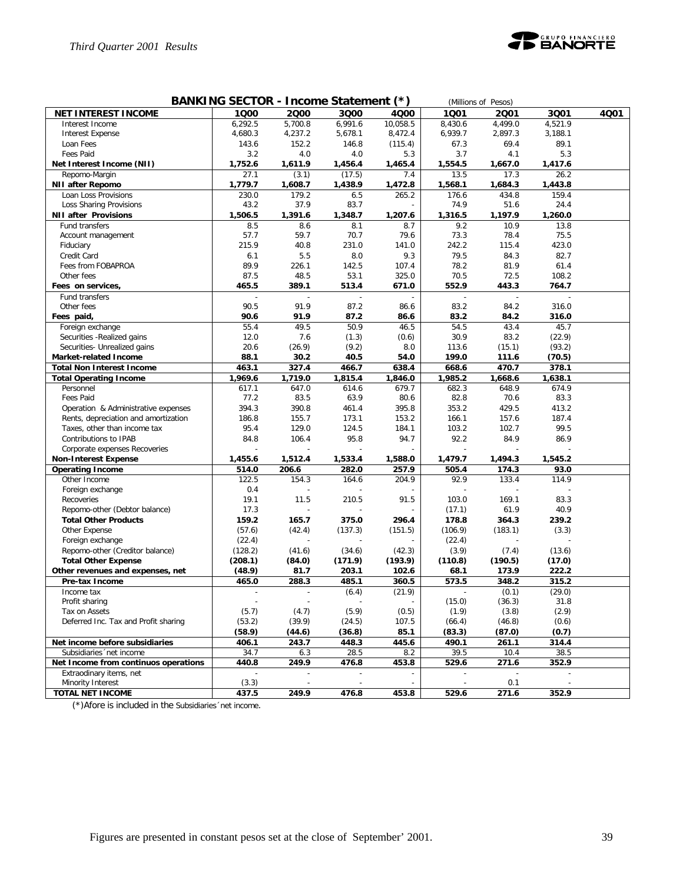

| BANKING SECTOR - Income Statement (*)<br>(Millions of Pesos) |                |                          |                          |                          |                          |                          |         |      |  |  |
|--------------------------------------------------------------|----------------|--------------------------|--------------------------|--------------------------|--------------------------|--------------------------|---------|------|--|--|
| <b>NET INTEREST INCOME</b>                                   | 1000           | 2000                     | 3000                     | 4Q00                     | 1001                     | 2001                     | 3Q01    | 4001 |  |  |
| Interest Income                                              | 6,292.5        | 5,700.8                  | 6,991.6                  | 10,058.5                 | 8,430.6                  | 4,499.0                  | 4,521.9 |      |  |  |
| <b>Interest Expense</b>                                      | 4,680.3        | 4,237.2                  | 5,678.1                  | 8,472.4                  | 6,939.7                  | 2,897.3                  | 3,188.1 |      |  |  |
| Loan Fees                                                    | 143.6          | 152.2                    | 146.8                    | (115.4)                  | 67.3                     | 69.4                     | 89.1    |      |  |  |
| Fees Paid                                                    | 3.2            | 4.0                      | 4.0                      | 5.3                      | 3.7                      | 4.1                      | 5.3     |      |  |  |
| Net Interest Income (NII)                                    | 1,752.6        | 1,611.9                  | 1,456.4                  | 1,465.4                  | 1,554.5                  | 1,667.0                  | 1,417.6 |      |  |  |
| Repomo-Margin                                                | 27.1           | (3.1)                    | (17.5)                   | 7.4                      | 13.5                     | 17.3                     | 26.2    |      |  |  |
| <b>NII after Repomo</b>                                      | 1,779.7        | 1,608.7                  | 1,438.9                  | 1,472.8                  | 1,568.1                  | 1,684.3                  | 1,443.8 |      |  |  |
| Loan Loss Provisions                                         | 230.0          | 179.2                    | 6.5                      | 265.2                    | 176.6                    | 434.8                    | 159.4   |      |  |  |
| Loss Sharing Provisions                                      | 43.2           | 37.9                     | 83.7                     |                          | 74.9                     | 51.6                     | 24.4    |      |  |  |
| <b>NII after Provisions</b>                                  | 1,506.5        | 1,391.6                  | 1,348.7                  | 1,207.6                  | 1,316.5                  | 1,197.9                  | 1,260.0 |      |  |  |
| Fund transfers                                               | 8.5            | 8.6                      | 8.1                      | 8.7                      | 9.2                      | 10.9                     | 13.8    |      |  |  |
| Account management                                           | 57.7           | 59.7                     | 70.7                     | 79.6                     | 73.3                     | 78.4                     | 75.5    |      |  |  |
| Fiduciary                                                    | 215.9          | 40.8                     | 231.0                    | 141.0                    | 242.2                    | 115.4                    | 423.0   |      |  |  |
| Credit Card                                                  | 6.1            | 5.5                      | 8.0                      | 9.3                      | 79.5                     | 84.3                     | 82.7    |      |  |  |
| Fees from FOBAPROA                                           | 89.9           | 226.1                    | 142.5                    | 107.4                    | 78.2                     | 81.9                     | 61.4    |      |  |  |
| Other fees                                                   | 87.5           | 48.5                     | 53.1                     | 325.0                    | 70.5                     | 72.5                     | 108.2   |      |  |  |
| Fees on services,                                            | 465.5          | 389.1                    | 513.4                    | 671.0                    | 552.9                    | 443.3                    | 764.7   |      |  |  |
| Fund transfers                                               |                | ÷,                       |                          | ÷,                       | $\overline{a}$           | $\overline{a}$           |         |      |  |  |
| Other fees                                                   | 90.5           | 91.9                     | 87.2                     | 86.6                     | 83.2                     | 84.2                     | 316.0   |      |  |  |
| Fees paid,                                                   | 90.6           | 91.9                     | 87.2                     | 86.6                     | 83.2                     | 84.2                     | 316.0   |      |  |  |
| Foreign exchange                                             | 55.4           | 49.5                     | 50.9                     | 46.5                     | 54.5                     | 43.4                     | 45.7    |      |  |  |
| Securities - Realized gains                                  | 12.0           | 7.6                      | (1.3)                    | (0.6)                    | 30.9                     | 83.2                     | (22.9)  |      |  |  |
| Securities- Unrealized gains                                 | 20.6           | (26.9)                   | (9.2)                    | 8.0                      | 113.6                    | (15.1)                   | (93.2)  |      |  |  |
| Market-related Income                                        | 88.1           | 30.2                     | 40.5                     | 54.0                     | 199.0                    | 111.6                    | (70.5)  |      |  |  |
| <b>Total Non Interest Income</b>                             | 463.1          | 327.4                    | 466.7                    | 638.4                    | 668.6                    | 470.7                    | 378.1   |      |  |  |
| <b>Total Operating Income</b>                                | 1,969.6        | 1,719.0                  | 1,815.4                  | 1,846.0                  | 1,985.2                  | 1,668.6                  | 1,638.1 |      |  |  |
| Personnel                                                    | 617.1          | 647.0                    | 614.6                    | 679.7                    | 682.3                    | 648.9                    | 674.9   |      |  |  |
| Fees Paid                                                    | 77.2           | 83.5                     | 63.9                     | 80.6                     | 82.8                     | 70.6                     | 83.3    |      |  |  |
| Operation & Administrative expenses                          | 394.3          | 390.8                    | 461.4                    | 395.8                    | 353.2                    | 429.5                    | 413.2   |      |  |  |
| Rents, depreciation and amortization                         | 186.8          | 155.7                    | 173.1                    | 153.2                    | 166.1                    | 157.6                    | 187.4   |      |  |  |
| Taxes, other than income tax                                 | 95.4           | 129.0                    | 124.5                    | 184.1                    | 103.2                    | 102.7                    | 99.5    |      |  |  |
| Contributions to IPAB                                        | 84.8           | 106.4                    | 95.8                     | 94.7                     | 92.2                     | 84.9                     | 86.9    |      |  |  |
| Corporate expenses Recoveries                                |                |                          |                          |                          |                          |                          |         |      |  |  |
| <b>Non-Interest Expense</b>                                  | 1,455.6        | 1,512.4                  | 1,533.4                  | 1,588.0                  | 1,479.7                  | 1,494.3                  | 1,545.2 |      |  |  |
| <b>Operating Income</b>                                      | 514.0          | 206.6                    | 282.0                    | 257.9                    | 505.4                    | 174.3                    | 93.0    |      |  |  |
| Other Income                                                 | 122.5          | 154.3                    | 164.6                    | 204.9                    | 92.9                     | 133.4                    | 114.9   |      |  |  |
| Foreign exchange                                             | 0.4            |                          |                          |                          |                          |                          |         |      |  |  |
| Recoveries                                                   | 19.1           | 11.5                     | 210.5                    | 91.5                     | 103.0                    | 169.1                    | 83.3    |      |  |  |
| Repomo-other (Debtor balance)                                | 17.3           | $\overline{a}$           |                          |                          | (17.1)                   | 61.9                     | 40.9    |      |  |  |
| <b>Total Other Products</b>                                  | 159.2          | 165.7                    | 375.0                    | 296.4                    | 178.8                    | 364.3                    | 239.2   |      |  |  |
| Other Expense                                                | (57.6)         | (42.4)                   | (137.3)                  | (151.5)                  | (106.9)                  | (183.1)                  | (3.3)   |      |  |  |
| Foreign exchange                                             | (22.4)         | $\overline{a}$           |                          |                          | (22.4)                   |                          |         |      |  |  |
| Repomo-other (Creditor balance)                              | (128.2)        | (41.6)                   | (34.6)                   | (42.3)                   | (3.9)                    | (7.4)                    | (13.6)  |      |  |  |
| <b>Total Other Expense</b>                                   | (208.1)        | (84.0)                   | (171.9)                  | (193.9)                  | (110.8)                  | (190.5)                  | (17.0)  |      |  |  |
| Other revenues and expenses, net                             | (48.9)         | 81.7                     | 203.1                    | 102.6                    | 68.1                     | 173.9                    | 222.2   |      |  |  |
| Pre-tax Income                                               | 465.0          | 288.3                    | 485.1                    | 360.5                    | 573.5                    | 348.2                    | 315.2   |      |  |  |
| Income tax                                                   | $\overline{a}$ | $\sim$                   | (6.4)                    | (21.9)                   | $\overline{\phantom{a}}$ | (0.1)                    | (29.0)  |      |  |  |
| Profit sharing                                               |                | $\overline{\phantom{a}}$ | $\overline{\phantom{a}}$ | $\overline{\phantom{a}}$ | (15.0)                   | (36.3)                   | 31.8    |      |  |  |
| Tax on Assets                                                | (5.7)          | (4.7)                    | (5.9)                    | (0.5)                    | (1.9)                    | (3.8)                    | (2.9)   |      |  |  |
| Deferred Inc. Tax and Profit sharing                         | (53.2)         | (39.9)                   | (24.5)                   | 107.5                    | (66.4)                   | (46.8)                   | (0.6)   |      |  |  |
|                                                              | (58.9)         | (44.6)                   | (36.8)                   | 85.1                     | (83.3)                   | (87.0)                   | (0.7)   |      |  |  |
| Net income before subsidiaries                               | 406.1          | 243.7                    | 448.3                    | 445.6                    | 490.1                    | 261.1                    | 314.4   |      |  |  |
| Subsidiaries 'net income                                     | 34.7           | 6.3                      | 28.5                     | 8.2                      | 39.5                     | 10.4                     | 38.5    |      |  |  |
| Net Income from continuos operations                         | 440.8          | 249.9                    | 476.8                    | 453.8                    | 529.6                    | 271.6                    | 352.9   |      |  |  |
| Extraodinary items, net                                      |                |                          | $\blacksquare$           |                          |                          | $\overline{\phantom{a}}$ |         |      |  |  |
| Minority Interest                                            | (3.3)          |                          |                          |                          |                          | 0.1                      |         |      |  |  |
| <b>TOTAL NET INCOME</b>                                      | 437.5          | 249.9                    | 476.8                    | 453.8                    | 529.6                    | 271.6                    | 352.9   |      |  |  |

(\*)Afore is included in the Subsidiaries´net income.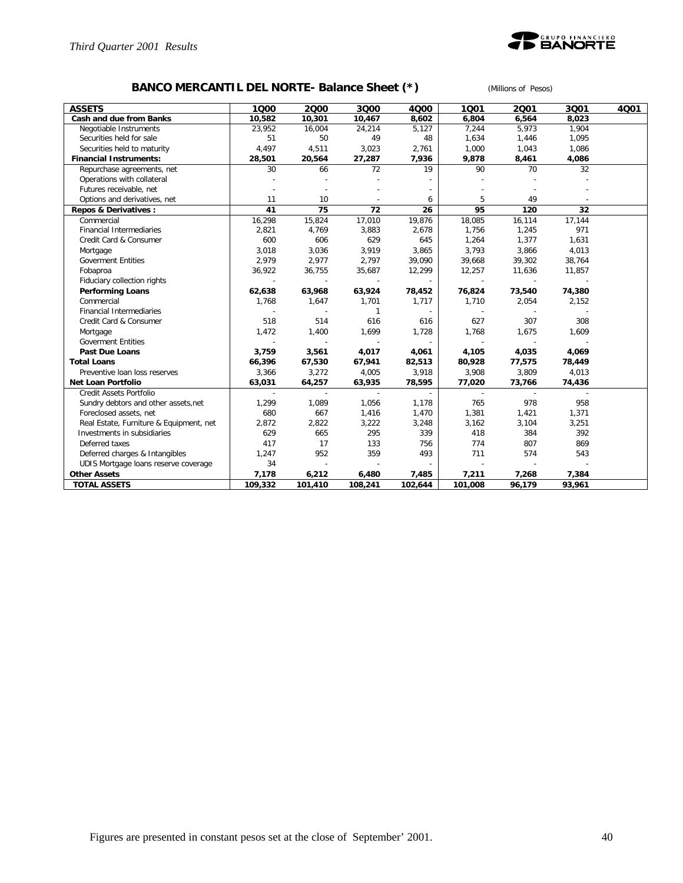

# **BANCO MERCANTIL DEL NORTE- Balance Sheet (\*)** *(Millions of Pesos)*

| <b>ASSETS</b>                           | 1000           | 2000                     | 3000                     | 4000           | 1001                     | 2001                     | 3001           | 4001 |
|-----------------------------------------|----------------|--------------------------|--------------------------|----------------|--------------------------|--------------------------|----------------|------|
| Cash and due from Banks                 | 10,582         | 10,301                   | 10,467                   | 8,602          | 6,804                    | 6,564                    | 8,023          |      |
| Negotiable Instruments                  | 23,952         | 16,004                   | 24,214                   | 5,127          | 7,244                    | 5,973                    | 1,904          |      |
| Securities held for sale                | 51             | 50                       | 49                       | 48             | 1,634                    | 1,446                    | 1,095          |      |
| Securities held to maturity             | 4,497          | 4,511                    | 3,023                    | 2,761          | 1,000                    | 1,043                    | 1,086          |      |
| <b>Financial Instruments:</b>           | 28,501         | 20,564                   | 27,287                   | 7,936          | 9,878                    | 8,461                    | 4,086          |      |
| Repurchase agreements, net              | 30             | 66                       | 72                       | 19             | 90                       | 70                       | 32             |      |
| Operations with collateral              |                |                          |                          |                |                          |                          |                |      |
| Futures receivable, net                 |                |                          |                          |                |                          |                          |                |      |
| Options and derivatives, net            | 11             | 10                       |                          | 6              | 5                        | 49                       |                |      |
| Repos & Derivatives:                    | 41             | 75                       | 72                       | 26             | 95                       | 120                      | 32             |      |
| Commercial                              | 16,298         | 15,824                   | 17,010                   | 19,876         | 18,085                   | 16,114                   | 17,144         |      |
| <b>Financial Intermediaries</b>         | 2,821          | 4,769                    | 3,883                    | 2,678          | 1,756                    | 1,245                    | 971            |      |
| Credit Card & Consumer                  | 600            | 606                      | 629                      | 645            | 1,264                    | 1,377                    | 1,631          |      |
| Mortgage                                | 3,018          | 3,036                    | 3,919                    | 3,865          | 3,793                    | 3,866                    | 4,013          |      |
| <b>Goverment Entities</b>               | 2,979          | 2,977                    | 2,797                    | 39,090         | 39,668                   | 39,302                   | 38,764         |      |
| Fobaproa                                | 36,922         | 36,755                   | 35,687                   | 12,299         | 12,257                   | 11,636                   | 11,857         |      |
| Fiduciary collection rights             | $\overline{a}$ |                          |                          |                |                          |                          |                |      |
| <b>Performing Loans</b>                 | 62,638         | 63,968                   | 63,924                   | 78,452         | 76,824                   | 73,540                   | 74,380         |      |
| Commercial                              | 1,768          | 1,647                    | 1,701                    | 1,717          | 1,710                    | 2,054                    | 2,152          |      |
| <b>Financial Intermediaries</b>         |                | $\overline{\phantom{a}}$ | $\mathbf{1}$             | $\overline{a}$ | $\overline{\phantom{a}}$ |                          |                |      |
| Credit Card & Consumer                  | 518            | 514                      | 616                      | 616            | 627                      | 307                      | 308            |      |
| Mortgage                                | 1,472          | 1,400                    | 1,699                    | 1,728          | 1,768                    | 1,675                    | 1,609          |      |
| <b>Goverment Entities</b>               | ÷,             | $\sim$                   |                          | $\overline{a}$ | $\sim$                   | $\overline{a}$           |                |      |
| <b>Past Due Loans</b>                   | 3,759          | 3,561                    | 4,017                    | 4,061          | 4,105                    | 4,035                    | 4,069          |      |
| <b>Total Loans</b>                      | 66,396         | 67,530                   | 67,941                   | 82,513         | 80,928                   | 77,575                   | 78,449         |      |
| Preventive loan loss reserves           | 3,366          | 3,272                    | 4,005                    | 3,918          | 3,908                    | 3,809                    | 4,013          |      |
| <b>Net Loan Portfolio</b>               | 63,031         | 64,257                   | 63,935                   | 78,595         | 77,020                   | 73,766                   | 74,436         |      |
| Credit Assets Portfolio                 | $\overline{a}$ | $\sim$                   | $\overline{\phantom{a}}$ | $\sim$         | $\sim$                   | $\overline{\phantom{a}}$ | $\overline{a}$ |      |
| Sundry debtors and other assets, net    | 1,299          | 1,089                    | 1,056                    | 1,178          | 765                      | 978                      | 958            |      |
| Foreclosed assets, net                  | 680            | 667                      | 1,416                    | 1,470          | 1,381                    | 1,421                    | 1,371          |      |
| Real Estate, Furniture & Equipment, net | 2,872          | 2,822                    | 3,222                    | 3,248          | 3,162                    | 3,104                    | 3,251          |      |
| Investments in subsidiaries             | 629            | 665                      | 295                      | 339            | 418                      | 384                      | 392            |      |
| Deferred taxes                          | 417            | 17                       | 133                      | 756            | 774                      | 807                      | 869            |      |
| Deferred charges & Intangibles          | 1,247          | 952                      | 359                      | 493            | 711                      | 574                      | 543            |      |
| UDIS Mortgage loans reserve coverage    | 34             | $\overline{a}$           |                          |                |                          |                          |                |      |
| <b>Other Assets</b>                     | 7,178          | 6,212                    | 6,480                    | 7,485          | 7,211                    | 7,268                    | 7,384          |      |
| <b>TOTAL ASSETS</b>                     | 109,332        | 101,410                  | 108,241                  | 102,644        | 101,008                  | 96,179                   | 93,961         |      |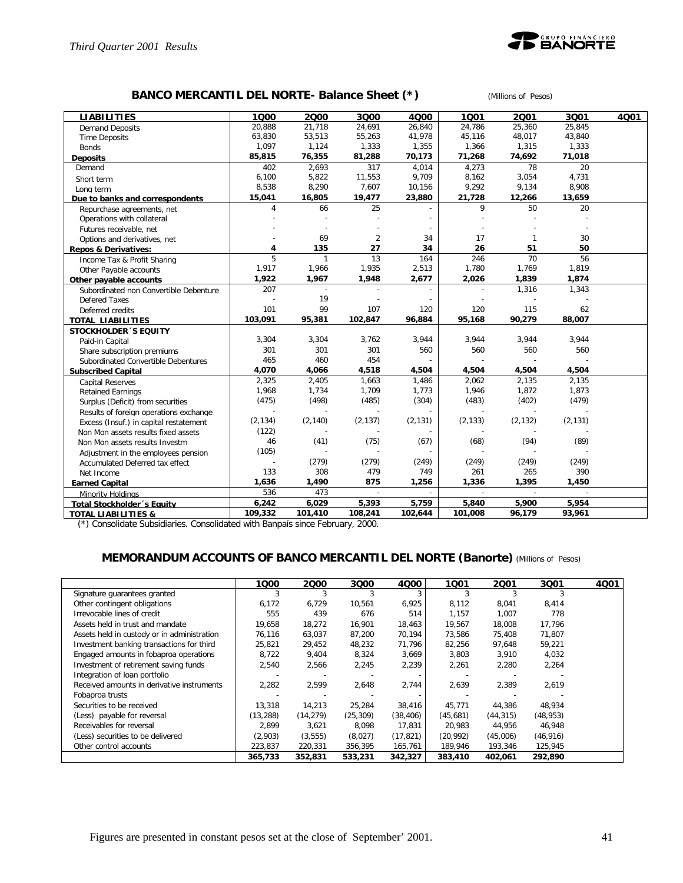

### **BANCO MERCANTIL DEL NORTE- Balance Sheet (\*)** *(Millions of Pesos)*

| <b>LIABILITIES</b>                     | 1000     | 2000         | 3000           | 4000     | 1001           | 2001           | 3001           | 4Q01 |
|----------------------------------------|----------|--------------|----------------|----------|----------------|----------------|----------------|------|
| <b>Demand Deposits</b>                 | 20,888   | 21,718       | 24,691         | 26,840   | 24,786         | 25,360         | 25,845         |      |
| <b>Time Deposits</b>                   | 63,830   | 53,513       | 55,263         | 41,978   | 45,116         | 48,017         | 43,840         |      |
| <b>Bonds</b>                           | 1,097    | 1,124        | 1,333          | 1,355    | 1,366          | 1,315          | 1,333          |      |
| <b>Deposits</b>                        | 85,815   | 76,355       | 81,288         | 70,173   | 71,268         | 74,692         | 71,018         |      |
| Demand                                 | 402      | 2,693        | 317            | 4,014    | 4,273          | 78             | 20             |      |
| Short term                             | 6,100    | 5,822        | 11,553         | 9,709    | 8,162          | 3,054          | 4,731          |      |
| Long term                              | 8,538    | 8,290        | 7,607          | 10,156   | 9,292          | 9,134          | 8,908          |      |
| Due to banks and correspondents        | 15,041   | 16,805       | 19,477         | 23,880   | 21,728         | 12,266         | 13,659         |      |
| Repurchase agreements, net             | 4        | 66           | 25             |          | 9              | 50             | 20             |      |
| Operations with collateral             |          |              |                |          |                |                |                |      |
| Futures receivable, net                |          |              |                |          |                |                |                |      |
| Options and derivatives, net           |          | 69           | $\overline{2}$ | 34       | 17             | $\mathbf{1}$   | 30             |      |
| <b>Repos &amp; Derivatives:</b>        | 4        | 135          | 27             | 34       | 26             | 51             | 50             |      |
| Income Tax & Profit Sharing            | 5        | $\mathbf{1}$ | 13             | 164      | 246            | 70             | 56             |      |
| Other Payable accounts                 | 1,917    | 1,966        | 1,935          | 2,513    | 1,780          | 1,769          | 1,819          |      |
| Other payable accounts                 | 1,922    | 1,967        | 1,948          | 2,677    | 2,026          | 1,839          | 1,874          |      |
| Subordinated non Convertible Debenture | 207      | $\sim$       | $\overline{a}$ |          |                | 1,316          | 1,343          |      |
| Defered Taxes                          |          | 19           |                |          |                |                |                |      |
| Deferred credits                       | 101      | 99           | 107            | 120      | 120            | 115            | 62             |      |
| <b>TOTAL LIABILITIES</b>               | 103,091  | 95,381       | 102,847        | 96,884   | 95,168         | 90,279         | 88,007         |      |
| <b>STOCKHOLDER 'S EQUITY</b>           |          |              |                |          |                |                |                |      |
| Paid-in Capital                        | 3,304    | 3,304        | 3,762          | 3,944    | 3,944          | 3,944          | 3,944          |      |
| Share subscription premiums            | 301      | 301          | 301            | 560      | 560            | 560            | 560            |      |
| Subordinated Convertible Debentures    | 465      | 460          | 454            |          |                |                |                |      |
| <b>Subscribed Capital</b>              | 4,070    | 4,066        | 4,518          | 4,504    | 4,504          | 4,504          | 4,504          |      |
| <b>Capital Reserves</b>                | 2,325    | 2,405        | 1,663          | 1,486    | 2,062          | 2,135          | 2,135          |      |
| <b>Retained Earnings</b>               | 1,968    | 1,734        | 1,709          | 1,773    | 1,946          | 1,872          | 1,873          |      |
| Surplus (Deficit) from securities      | (475)    | (498)        | (485)          | (304)    | (483)          | (402)          | (479)          |      |
| Results of foreign operations exchange |          |              |                |          |                |                |                |      |
| Excess (Insuf.) in capital restatement | (2, 134) | (2, 140)     | (2, 137)       | (2, 131) | (2, 133)       | (2, 132)       | (2, 131)       |      |
| Non Mon assets results fixed assets    | (122)    |              |                |          |                |                |                |      |
| Non Mon assets results Investm         | 46       | (41)         | (75)           | (67)     | (68)           | (94)           | (89)           |      |
| Adjustment in the employees pension    | (105)    |              |                |          |                |                |                |      |
| Accumulated Deferred tax effect        |          | (279)        | (279)          | (249)    | (249)          | (249)          | (249)          |      |
| Net Income                             | 133      | 308          | 479            | 749      | 261            | 265            | 390            |      |
| <b>Earned Capital</b>                  | 1,636    | 1,490        | 875            | 1,256    | 1,336          | 1,395          | 1,450          |      |
| Minority Holdings                      | 536      | 473          | $\overline{a}$ |          | $\overline{a}$ | $\overline{a}$ | $\overline{a}$ |      |
| <b>Total Stockholder's Equity</b>      | 6,242    | 6,029        | 5,393          | 5,759    | 5,840          | 5,900          | 5,954          |      |
| <b>TOTAL LIABILITIES &amp;</b>         | 109,332  | 101,410      | 108,241        | 102,644  | 101,008        | 96,179         | 93,961         |      |

(\*) Consolidate Subsidiaries. Consolidated with Banpaís since February, 2000.

### **MEMORANDUM ACCOUNTS OF BANCO MERCANTIL DEL NORTE (Banorte)** *(Millions of Pesos)*

|                                             | 1000      | 2000      | 3000      | 4Q00      | 1001      | 2001      | 3Q01      | 4Q01 |
|---------------------------------------------|-----------|-----------|-----------|-----------|-----------|-----------|-----------|------|
| Signature guarantees granted                | 3         |           |           | 3         |           |           |           |      |
| Other contingent obligations                | 6,172     | 6,729     | 10,561    | 6,925     | 8,112     | 8,041     | 8,414     |      |
| Irrevocable lines of credit                 | 555       | 439       | 676       | 514       | 1,157     | 1,007     | 778       |      |
| Assets held in trust and mandate            | 19,658    | 18,272    | 16,901    | 18,463    | 19,567    | 18,008    | 17,796    |      |
| Assets held in custody or in administration | 76,116    | 63,037    | 87,200    | 70,194    | 73,586    | 75,408    | 71,807    |      |
| Investment banking transactions for third   | 25,821    | 29,452    | 48,232    | 71,796    | 82,256    | 97,648    | 59,221    |      |
| Engaged amounts in fobaproa operations      | 8,722     | 9,404     | 8,324     | 3,669     | 3,803     | 3,910     | 4,032     |      |
| Investment of retirement saving funds       | 2,540     | 2,566     | 2,245     | 2,239     | 2,261     | 2,280     | 2,264     |      |
| Integration of loan portfolio               |           |           |           |           |           |           |           |      |
| Received amounts in derivative instruments  | 2,282     | 2,599     | 2.648     | 2,744     | 2,639     | 2,389     | 2,619     |      |
| Fobaproa trusts                             |           |           |           |           |           |           |           |      |
| Securities to be received                   | 13.318    | 14.213    | 25.284    | 38,416    | 45.771    | 44.386    | 48,934    |      |
| (Less) payable for reversal                 | (13, 288) | (14, 279) | (25, 309) | (38, 406) | (45,681)  | (44, 315) | (48, 953) |      |
| Receivables for reversal                    | 2.899     | 3,621     | 8.098     | 17.831    | 20.983    | 44,956    | 46,948    |      |
| (Less) securities to be delivered           | (2,903)   | (3, 555)  | (8,027)   | (17, 821) | (20, 992) | (45,006)  | (46, 916) |      |
| Other control accounts                      | 223,837   | 220,331   | 356,395   | 165,761   | 189,946   | 193,346   | 125,945   |      |
|                                             | 365,733   | 352,831   | 533,231   | 342,327   | 383,410   | 402,061   | 292,890   |      |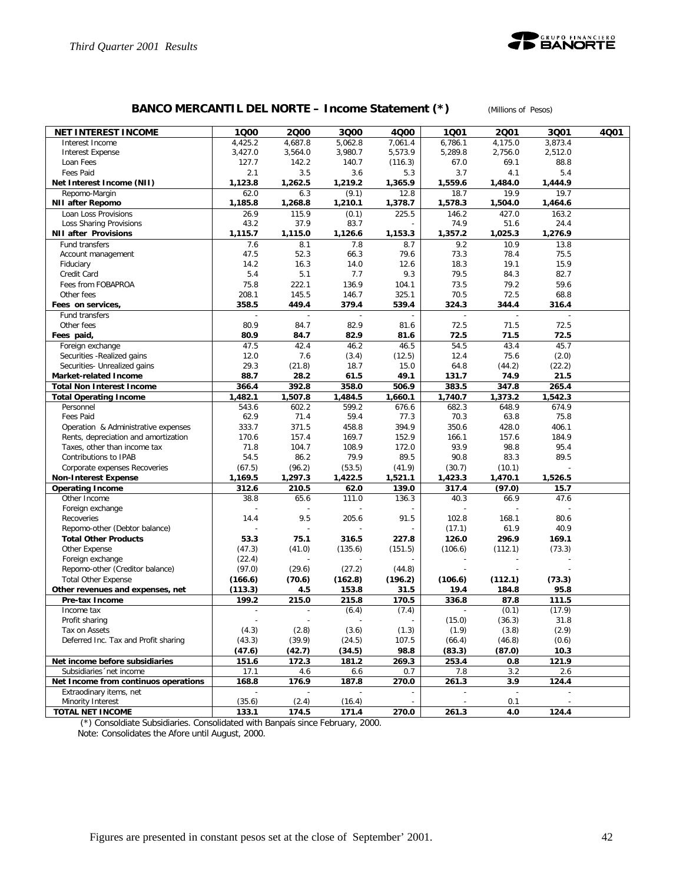

# **BANCO MERCANTIL DEL NORTE – Income Statement (\*)** *(Millions of Pesos)*

| <b>NET INTEREST INCOME</b>                                   | 1000            | 2000            | 3Q00            | 4Q00           | 1001            | 2001           | 3Q01           | 4Q01 |
|--------------------------------------------------------------|-----------------|-----------------|-----------------|----------------|-----------------|----------------|----------------|------|
| Interest Income                                              | 4,425.2         | 4,687.8         | 5,062.8         | 7,061.4        | 6,786.1         | 4,175.0        | 3,873.4        |      |
| <b>Interest Expense</b>                                      | 3,427.0         | 3,564.0         | 3,980.7         | 5,573.9        | 5,289.8         | 2,756.0        | 2,512.0        |      |
| Loan Fees                                                    | 127.7           | 142.2           | 140.7           | (116.3)        | 67.0            | 69.1           | 88.8           |      |
| Fees Paid                                                    | 2.1             | 3.5             | 3.6             | 5.3            | 3.7             | 4.1            | 5.4            |      |
| Net Interest Income (NII)                                    | 1,123.8         | 1,262.5         | 1,219.2         | 1,365.9        | 1,559.6         | 1,484.0        | 1,444.9        |      |
| Repomo-Margin                                                | 62.0            | 6.3             | (9.1)           | 12.8           | 18.7            | 19.9           | 19.7           |      |
| <b>NII after Repomo</b>                                      | 1,185.8         | 1,268.8         | 1,210.1         | 1,378.7        | 1,578.3         | 1,504.0        | 1,464.6        |      |
| Loan Loss Provisions<br>Loss Sharing Provisions              | 26.9<br>43.2    | 115.9<br>37.9   | (0.1)<br>83.7   | 225.5          | 146.2<br>74.9   | 427.0<br>51.6  | 163.2<br>24.4  |      |
| <b>NII after Provisions</b>                                  | 1,115.7         | 1,115.0         | 1,126.6         | 1,153.3        | 1.357.2         | 1,025.3        | 1,276.9        |      |
| Fund transfers                                               | 7.6             | 8.1             | 7.8             | 8.7            | 9.2             | 10.9           | 13.8           |      |
| Account management                                           | 47.5            | 52.3            | 66.3            | 79.6           | 73.3            | 78.4           | 75.5           |      |
| Fiduciary                                                    | 14.2            | 16.3            | 14.0            | 12.6           | 18.3            | 19.1           | 15.9           |      |
| Credit Card                                                  | 5.4             | 5.1             | 7.7             | 9.3            | 79.5            | 84.3           | 82.7           |      |
| Fees from FOBAPROA                                           | 75.8            | 222.1           | 136.9           | 104.1          | 73.5            | 79.2           | 59.6           |      |
| Other fees                                                   | 208.1           | 145.5           | 146.7           | 325.1          | 70.5            | 72.5           | 68.8           |      |
| Fees on services,                                            | 358.5           | 449.4           | 379.4           | 539.4          | 324.3           | 344.4          | 316.4          |      |
| Fund transfers                                               |                 |                 |                 |                |                 |                |                |      |
| Other fees                                                   | 80.9            | 84.7            | 82.9            | 81.6           | 72.5            | 71.5           | 72.5           |      |
| Fees paid,                                                   | 80.9            | 84.7            | 82.9            | 81.6           | 72.5            | 71.5           | 72.5           |      |
| Foreign exchange                                             | 47.5            | 42.4            | 46.2            | 46.5           | 54.5            | 43.4           | 45.7           |      |
| Securities - Realized gains                                  | 12.0            | 7.6             | (3.4)           | (12.5)         | 12.4            | 75.6           | (2.0)          |      |
| Securities- Unrealized gains<br><b>Market-related Income</b> | 29.3<br>88.7    | (21.8)<br>28.2  | 18.7<br>61.5    | 15.0<br>49.1   | 64.8<br>131.7   | (44.2)<br>74.9 | (22.2)<br>21.5 |      |
| <b>Total Non Interest Income</b>                             | 366.4           | 392.8           | 358.0           | 506.9          | 383.5           | 347.8          | 265.4          |      |
| <b>Total Operating Income</b>                                | 1,482.1         | 1,507.8         | 1,484.5         | 1,660.1        | 1,740.7         | 1,373.2        | 1,542.3        |      |
| Personnel                                                    | 543.6           | 602.2           | 599.2           | 676.6          | 682.3           | 648.9          | 674.9          |      |
| Fees Paid                                                    | 62.9            | 71.4            | 59.4            | 77.3           | 70.3            | 63.8           | 75.8           |      |
| Operation & Administrative expenses                          | 333.7           | 371.5           | 458.8           | 394.9          | 350.6           | 428.0          | 406.1          |      |
| Rents, depreciation and amortization                         | 170.6           | 157.4           | 169.7           | 152.9          | 166.1           | 157.6          | 184.9          |      |
| Taxes, other than income tax                                 | 71.8            | 104.7           | 108.9           | 172.0          | 93.9            | 98.8           | 95.4           |      |
| Contributions to IPAB                                        | 54.5            | 86.2            | 79.9            | 89.5           | 90.8            | 83.3           | 89.5           |      |
| Corporate expenses Recoveries                                | (67.5)          | (96.2)          | (53.5)          | (41.9)         | (30.7)          | (10.1)         |                |      |
| <b>Non-Interest Expense</b>                                  | 1,169.5         | 1,297.3         | 1,422.5         | 1,521.1        | 1,423.3         | 1,470.1        | 1,526.5        |      |
| <b>Operating Income</b>                                      | 312.6           | 210.5           | 62.0            | 139.0          | 317.4           | (97.0)         | 15.7           |      |
| Other Income<br>Foreign exchange                             | 38.8            | 65.6            | 111.0           | 136.3          | 40.3            | 66.9           | 47.6           |      |
| Recoveries                                                   | 14.4            | 9.5             | 205.6           | 91.5           | 102.8           | 168.1          | 80.6           |      |
| Repomo-other (Debtor balance)                                |                 |                 |                 |                | (17.1)          | 61.9           | 40.9           |      |
| <b>Total Other Products</b>                                  | 53.3            | 75.1            | 316.5           | 227.8          | 126.0           | 296.9          | 169.1          |      |
| Other Expense                                                | (47.3)          | (41.0)          | (135.6)         | (151.5)        | (106.6)         | (112.1)        | (73.3)         |      |
| Foreign exchange                                             | (22.4)          |                 |                 |                |                 |                |                |      |
| Repomo-other (Creditor balance)                              | (97.0)          | (29.6)          | (27.2)          | (44.8)         |                 |                |                |      |
| <b>Total Other Expense</b>                                   | (166.6)         | (70.6)          | (162.8)         | (196.2)        | (106.6)         | (112.1)        | (73.3)         |      |
| Other revenues and expenses, net                             | (113.3)         | 4.5             | 153.8           | 31.5           | 19.4            | 184.8          | 95.8           |      |
| Pre-tax Income                                               | 199.2           | 215.0           | 215.8           | 170.5          | 336.8           | 87.8           | 111.5          |      |
| Income tax                                                   |                 |                 | (6.4)           | (7.4)          |                 | (0.1)          | (17.9)         |      |
| Profit sharing                                               |                 |                 |                 |                | (15.0)          | (36.3)         | 31.8           |      |
| Tax on Assets                                                | (4.3)           | (2.8)           | (3.6)           | (1.3)          | (1.9)           | (3.8)          | (2.9)          |      |
| Deferred Inc. Tax and Profit sharing                         | (43.3)          | (39.9)          | (24.5)          | 107.5<br>98.8  | (66.4)          | (46.8)         | (0.6)          |      |
| Net income before subsidiaries                               | (47.6)<br>151.6 | (42.7)<br>172.3 | (34.5)<br>181.2 | 269.3          | (83.3)<br>253.4 | (87.0)<br>0.8  | 10.3<br>121.9  |      |
| Subsidiaries 'net income                                     | 17.1            | 4.6             | 6.6             | 0.7            | 7.8             | 3.2            | 2.6            |      |
| Net Income from continuos operations                         | 168.8           | 176.9           | 187.8           | 270.0          | 261.3           | 3.9            | 124.4          |      |
| Extraodinary items, net                                      | $\sim$          | $\sim$          |                 | $\blacksquare$ |                 | $\blacksquare$ |                |      |
| Minority Interest                                            | (35.6)          | (2.4)           | (16.4)          | $\blacksquare$ |                 | 0.1            |                |      |
| TOTAL NET INCOME                                             | 133.1           | 174.5           | 171.4           | 270.0          | 261.3           | 4.0            | 124.4          |      |

(\*) Consoldiate Subsidiaries. Consolidated with Banpaís since February, 2000.

Note: Consolidates the Afore until August, 2000.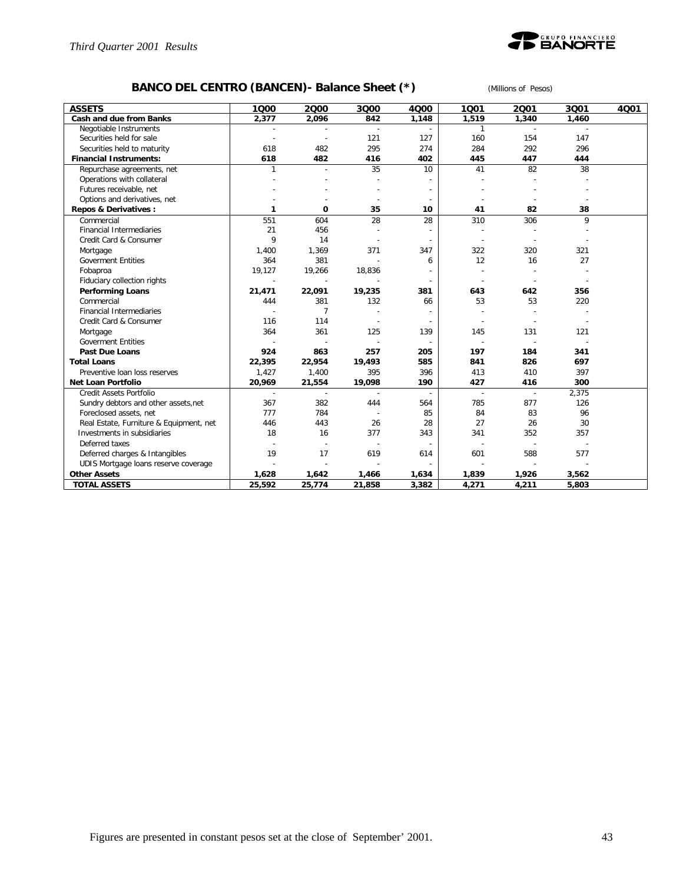

# **BANCO DEL CENTRO (BANCEN)- Balance Sheet (\*)** *(Millions of Pesos)*

| <b>ASSETS</b>                           | 1000           | 2000                     | 3000   | 4000                     | 1001   | 2001           | 3001         | 4Q01 |
|-----------------------------------------|----------------|--------------------------|--------|--------------------------|--------|----------------|--------------|------|
| Cash and due from Banks                 | 2,377          | 2,096                    | 842    | 1,148                    | 1,519  | 1,340          | 1,460        |      |
| Negotiable Instruments                  |                |                          |        |                          | 1      | $\sim$         | $\mathbf{r}$ |      |
| Securities held for sale                |                | $\overline{\phantom{a}}$ | 121    | 127                      | 160    | 154            | 147          |      |
| Securities held to maturity             | 618            | 482                      | 295    | 274                      | 284    | 292            | 296          |      |
| <b>Financial Instruments:</b>           | 618            | 482                      | 416    | 402                      | 445    | 447            | 444          |      |
| Repurchase agreements, net              | 1              | $\overline{a}$           | 35     | 10                       | 41     | 82             | 38           |      |
| Operations with collateral              |                |                          |        |                          |        |                |              |      |
| Futures receivable, net                 |                |                          |        |                          |        |                |              |      |
| Options and derivatives, net            |                |                          |        |                          |        |                |              |      |
| Repos & Derivatives:                    | 1              | $\Omega$                 | 35     | 10                       | 41     | 82             | 38           |      |
| Commercial                              | 551            | 604                      | 28     | 28                       | 310    | 306            | 9            |      |
| <b>Financial Intermediaries</b>         | 21             | 456                      |        |                          |        |                |              |      |
| Credit Card & Consumer                  | 9              | 14                       |        |                          |        |                |              |      |
| Mortgage                                | 1,400          | 1,369                    | 371    | 347                      | 322    | 320            | 321          |      |
| <b>Goverment Entities</b>               | 364            | 381                      |        | 6                        | 12     | 16             | 27           |      |
| Fobaproa                                | 19,127         | 19,266                   | 18,836 |                          |        |                |              |      |
| Fiduciary collection rights             | $\overline{a}$ | $\overline{\phantom{a}}$ |        |                          |        |                |              |      |
| <b>Performing Loans</b>                 | 21,471         | 22,091                   | 19,235 | 381                      | 643    | 642            | 356          |      |
| Commercial                              | 444            | 381                      | 132    | 66                       | 53     | 53             | 220          |      |
| <b>Financial Intermediaries</b>         |                | $\overline{7}$           |        |                          |        |                |              |      |
| Credit Card & Consumer                  | 116            | 114                      |        | $\overline{\phantom{a}}$ |        |                |              |      |
| Mortgage                                | 364            | 361                      | 125    | 139                      | 145    | 131            | 121          |      |
| <b>Goverment Entities</b>               |                |                          |        | ÷,                       |        |                |              |      |
| Past Due Loans                          | 924            | 863                      | 257    | 205                      | 197    | 184            | 341          |      |
| <b>Total Loans</b>                      | 22,395         | 22,954                   | 19,493 | 585                      | 841    | 826            | 697          |      |
| Preventive loan loss reserves           | 1,427          | 1,400                    | 395    | 396                      | 413    | 410            | 397          |      |
| <b>Net Loan Portfolio</b>               | 20,969         | 21,554                   | 19,098 | 190                      | 427    | 416            | 300          |      |
| Credit Assets Portfolio                 | $\overline{a}$ | $\sim$                   |        | $\overline{a}$           | $\sim$ | $\overline{a}$ | 2,375        |      |
| Sundry debtors and other assets, net    | 367            | 382                      | 444    | 564                      | 785    | 877            | 126          |      |
| Foreclosed assets, net                  | 777            | 784                      |        | 85                       | 84     | 83             | 96           |      |
| Real Estate, Furniture & Equipment, net | 446            | 443                      | 26     | 28                       | 27     | 26             | 30           |      |
| Investments in subsidiaries             | 18             | 16                       | 377    | 343                      | 341    | 352            | 357          |      |
| Deferred taxes                          |                |                          |        |                          |        |                |              |      |
| Deferred charges & Intangibles          | 19             | 17                       | 619    | 614                      | 601    | 588            | 577          |      |
| UDIS Mortgage loans reserve coverage    |                |                          |        |                          |        |                |              |      |
| <b>Other Assets</b>                     | 1,628          | 1,642                    | 1,466  | 1,634                    | 1,839  | 1,926          | 3,562        |      |
| <b>TOTAL ASSETS</b>                     | 25,592         | 25,774                   | 21,858 | 3,382                    | 4,271  | 4,211          | 5,803        |      |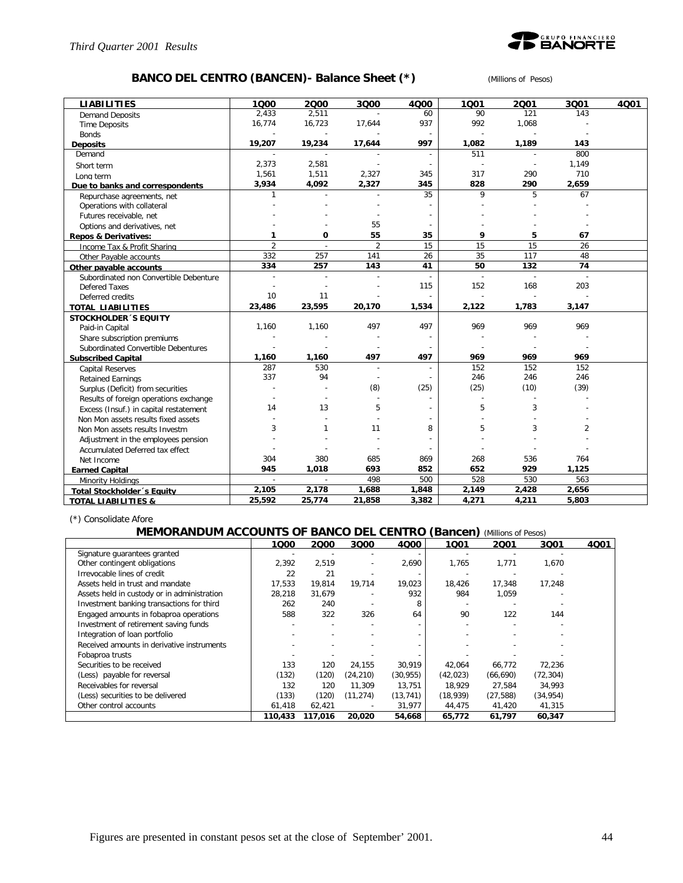

### **BANCO DEL CENTRO (BANCEN)- Balance Sheet (\*)** *(Millions of Pesos)*

| <b>LIABILITIES</b><br>1000<br>2000<br>3000<br>4000<br>1001<br>2001<br>3001                               | 4001 |
|----------------------------------------------------------------------------------------------------------|------|
| 2.433<br>2,511<br>90<br>121<br>143<br>60<br><b>Demand Deposits</b>                                       |      |
| 16,774<br>16,723<br>937<br>992<br>1,068<br>17,644<br><b>Time Deposits</b>                                |      |
| <b>Bonds</b>                                                                                             |      |
| 997<br>19,207<br>19,234<br>17,644<br>1,082<br>1,189<br>143<br><b>Deposits</b>                            |      |
| 511<br>800<br>Demand                                                                                     |      |
| 2,373<br>2,581<br>1,149<br>$\overline{a}$<br>$\overline{\phantom{a}}$<br>Short term                      |      |
| 317<br>1,561<br>1,511<br>2,327<br>290<br>710<br>345<br>Long term                                         |      |
| 2,327<br>828<br>3,934<br>4,092<br>290<br>2,659<br>345<br>Due to banks and correspondents                 |      |
| 5<br>35<br>9<br>$\mathbf{1}$<br>67<br>Repurchase agreements, net                                         |      |
| Operations with collateral                                                                               |      |
| Futures receivable, net                                                                                  |      |
| 55<br>Options and derivatives, net                                                                       |      |
| 0<br>55<br>35<br>9<br>5<br>1<br>67<br><b>Repos &amp; Derivatives:</b>                                    |      |
| $\overline{2}$<br>15<br>$\overline{2}$<br>15<br>15<br>26<br>Income Tax & Profit Sharing                  |      |
| 35<br>332<br>257<br>141<br>26<br>117<br>48<br>Other Payable accounts                                     |      |
| 41<br>74<br>334<br>257<br>143<br>50<br>132<br>Other payable accounts                                     |      |
| Subordinated non Convertible Debenture<br>i.<br>$\overline{a}$<br>$\overline{a}$<br>÷                    |      |
| 115<br>152<br>168<br>203<br><b>Defered Taxes</b>                                                         |      |
| 10<br>11<br>Deferred credits                                                                             |      |
| 23,486<br>23,595<br>20,170<br>1,534<br>2,122<br>1,783<br>3,147<br><b>TOTAL LIABILITIES</b>               |      |
| <b>STOCKHOLDER 'S EQUITY</b>                                                                             |      |
| 969<br>1,160<br>1,160<br>497<br>497<br>969<br>969<br>Paid-in Capital                                     |      |
| Share subscription premiums                                                                              |      |
| Subordinated Convertible Debentures                                                                      |      |
| 497<br>497<br>969<br>969<br>969<br>1,160<br>1,160<br><b>Subscribed Capital</b>                           |      |
| 287<br>152<br>530<br>152<br>152<br>$\overline{\phantom{a}}$<br>$\overline{a}$<br><b>Capital Reserves</b> |      |
| 337<br>94<br>246<br>246<br>246<br><b>Retained Earnings</b>                                               |      |
| (8)<br>(25)<br>(25)<br>(10)<br>(39)<br>Surplus (Deficit) from securities                                 |      |
| Results of foreign operations exchange                                                                   |      |
| 13<br>5<br>3<br>14<br>5<br>Excess (Insuf.) in capital restatement                                        |      |
| Non Mon assets results fixed assets                                                                      |      |
| 5<br>3<br>$\overline{2}$<br>3<br>$\mathbf{1}$<br>11<br>8<br>Non Mon assets results Investm               |      |
| Adjustment in the employees pension                                                                      |      |
| Accumulated Deferred tax effect                                                                          |      |
| 304<br>380<br>685<br>268<br>536<br>764<br>869<br>Net Income                                              |      |
| 945<br>1,018<br>693<br>852<br>652<br>929<br>1,125<br><b>Earned Capital</b>                               |      |
| 498<br>500<br>528<br>530<br>563<br>$\sim$<br>Minority Holdings                                           |      |
| 2,656<br>2,105<br>2,178<br>1,688<br>1,848<br>2,149<br>2,428<br>Total Stockholder's Equity                |      |
| 25,592<br>25,774<br>3,382<br>4,271<br>4,211<br>5,803<br>21,858<br><b>TOTAL LIABILITIES &amp;</b>         |      |

(\*) Consolidate Afore

### **MEMORANDUM ACCOUNTS OF BANCO DEL CENTRO (Bancen)** *(Millions of Pesos)*

|                                             | 1000    | 2000    | 3000                     | 4000      | 1001      | 2001      | 3001      | 4Q01 |
|---------------------------------------------|---------|---------|--------------------------|-----------|-----------|-----------|-----------|------|
| Signature guarantees granted                |         |         |                          |           |           |           |           |      |
| Other contingent obligations                | 2,392   | 2,519   | $\overline{\phantom{a}}$ | 2,690     | 1,765     | 1,771     | 1.670     |      |
| Irrevocable lines of credit                 | 22      | 21      |                          |           |           |           |           |      |
| Assets held in trust and mandate            | 17.533  | 19,814  | 19,714                   | 19,023    | 18,426    | 17,348    | 17,248    |      |
| Assets held in custody or in administration | 28,218  | 31,679  |                          | 932       | 984       | 1,059     |           |      |
| Investment banking transactions for third   | 262     | 240     |                          | 8         |           |           |           |      |
| Engaged amounts in fobaproa operations      | 588     | 322     | 326                      | 64        | 90        | 122       | 144       |      |
| Investment of retirement saving funds       |         |         |                          |           |           |           |           |      |
| Integration of loan portfolio               |         |         |                          |           |           |           |           |      |
| Received amounts in derivative instruments  |         |         |                          |           |           |           |           |      |
| Fobaproa trusts                             |         |         |                          |           |           |           |           |      |
| Securities to be received                   | 133     | 120     | 24,155                   | 30,919    | 42,064    | 66,772    | 72,236    |      |
| (Less) payable for reversal                 | (132)   | (120)   | (24, 210)                | (30, 955) | (42, 023) | (66, 690) | (72, 304) |      |
| Receivables for reversal                    | 132     | 120     | 11.309                   | 13,751    | 18,929    | 27,584    | 34,993    |      |
| (Less) securities to be delivered           | (133)   | (120)   | (11, 274)                | (13, 741) | (18, 939) | (27, 588) | (34, 954) |      |
| Other control accounts                      | 61,418  | 62,421  |                          | 31,977    | 44,475    | 41,420    | 41,315    |      |
|                                             | 110,433 | 117,016 | 20,020                   | 54,668    | 65,772    | 61,797    | 60,347    |      |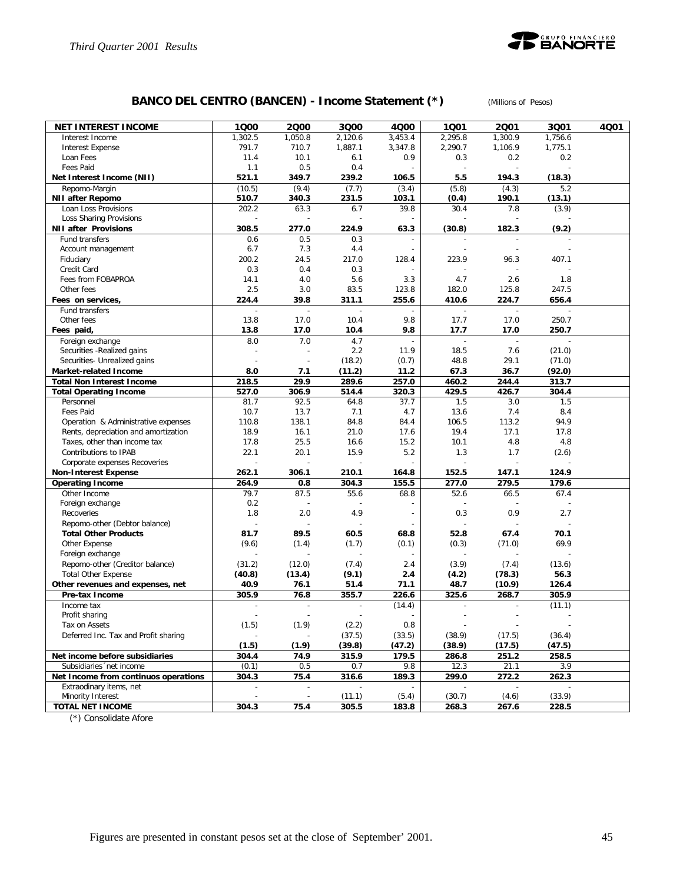

# **BANCO DEL CENTRO (BANCEN) - Income Statement (\*)** *(Millions of Pesos)*

| <b>NET INTEREST INCOME</b>              | 1000                      | 2000                     | 3000           | 4000    | 1001                     | 2001                     | 3Q01          | 4Q01 |
|-----------------------------------------|---------------------------|--------------------------|----------------|---------|--------------------------|--------------------------|---------------|------|
| Interest Income                         | 1,302.5                   | 1,050.8                  | 2,120.6        | 3,453.4 | 2,295.8                  | 1.300.9                  | 1,756.6       |      |
| <b>Interest Expense</b>                 | 791.7                     | 710.7                    | 1,887.1        | 3,347.8 | 2,290.7                  | 1,106.9                  | 1,775.1       |      |
| Loan Fees                               | 11.4                      | 10.1                     | 6.1            | 0.9     | 0.3                      | 0.2                      | 0.2           |      |
| Fees Paid                               | 1.1                       | 0.5                      | 0.4            |         | $\sim$                   | $\overline{a}$           |               |      |
| Net Interest Income (NII)               | 521.1                     | 349.7                    | 239.2          | 106.5   | 5.5                      | 194.3                    | (18.3)        |      |
| Repomo-Margin                           | (10.5)                    | (9.4)                    | (7.7)          | (3.4)   | (5.8)                    | (4.3)                    | 5.2           |      |
| <b>NII after Repomo</b>                 | 510.7                     | 340.3                    | 231.5          | 103.1   | (0.4)                    | 190.1                    | (13.1)        |      |
| Loan Loss Provisions                    | 202.2                     | 63.3                     | 6.7            | 39.8    | 30.4                     | 7.8                      | (3.9)         |      |
| Loss Sharing Provisions                 |                           |                          |                |         |                          |                          |               |      |
| <b>NII after Provisions</b>             | 308.5                     | 277.0                    | 224.9          | 63.3    | (30.8)                   | 182.3                    | (9.2)         |      |
| Fund transfers                          | 0.6                       | 0.5                      | 0.3            |         |                          | $\overline{a}$           |               |      |
| Account management                      | 6.7                       | 7.3                      | 4.4            |         |                          |                          |               |      |
| Fiduciary                               | 200.2                     | 24.5                     | 217.0          | 128.4   | 223.9                    | 96.3                     | 407.1         |      |
| Credit Card                             | 0.3                       | 0.4                      | 0.3            |         |                          |                          |               |      |
| Fees from FOBAPROA                      | 14.1                      | 4.0                      | 5.6            | 3.3     | 4.7                      | 2.6                      | 1.8           |      |
| Other fees                              | 2.5                       | 3.0                      | 83.5           | 123.8   | 182.0                    | 125.8                    | 247.5         |      |
| Fees on services,                       | 224.4                     | 39.8                     | 311.1          | 255.6   | 410.6                    | 224.7                    | 656.4         |      |
| Fund transfers                          |                           | $\overline{\phantom{a}}$ | ÷              |         | $\overline{\phantom{a}}$ | $\overline{\phantom{a}}$ |               |      |
| Other fees                              | 13.8                      | 17.0                     | 10.4           | 9.8     | 17.7                     | 17.0                     | 250.7         |      |
| Fees paid,                              | 13.8                      | 17.0                     | 10.4           | 9.8     | 17.7                     | 17.0                     | 250.7         |      |
| Foreign exchange                        | 8.0                       | 7.0                      | 4.7            |         |                          |                          |               |      |
| Securities - Realized gains             |                           |                          | 2.2            | 11.9    | 18.5                     | 7.6                      | (21.0)        |      |
| Securities- Unrealized gains            |                           |                          | (18.2)         | (0.7)   | 48.8                     | 29.1                     | (71.0)        |      |
| Market-related Income                   | 8.0                       | 7.1                      | (11.2)         | 11.2    | 67.3                     | 36.7                     | (92.0)        |      |
| <b>Total Non Interest Income</b>        | 218.5                     | 29.9                     | 289.6          | 257.0   | 460.2                    | 244.4                    | 313.7         |      |
| <b>Total Operating Income</b>           | 527.0                     | 306.9                    | 514.4          | 320.3   | 429.5                    | 426.7                    | 304.4         |      |
| Personnel                               | 81.7                      | 92.5                     | 64.8           | 37.7    | 1.5                      | 3.0                      | 1.5           |      |
| Fees Paid                               | 10.7                      | 13.7                     | 7.1            | 4.7     | 13.6                     | 7.4                      | 8.4           |      |
| Operation & Administrative expenses     | 110.8                     | 138.1                    | 84.8           | 84.4    | 106.5                    | 113.2                    | 94.9          |      |
| Rents, depreciation and amortization    | 18.9                      | 16.1                     | 21.0           | 17.6    | 19.4                     | 17.1                     | 17.8          |      |
| Taxes, other than income tax            | 17.8                      | 25.5                     | 16.6           | 15.2    | 10.1                     | 4.8                      | 4.8           |      |
| Contributions to IPAB                   | 22.1                      | 20.1                     | 15.9           | 5.2     | 1.3                      | 1.7                      | (2.6)         |      |
| Corporate expenses Recoveries           |                           |                          |                |         |                          |                          |               |      |
| <b>Non-Interest Expense</b>             | 262.1                     | 306.1                    | 210.1          | 164.8   | 152.5                    | 147.1                    | 124.9         |      |
| <b>Operating Income</b><br>Other Income | 264.9<br>79.7             | 0.8<br>87.5              | 304.3<br>55.6  | 155.5   | 277.0<br>52.6            | 279.5                    | 179.6<br>67.4 |      |
| Foreign exchange                        | 0.2                       |                          |                | 68.8    |                          | 66.5                     |               |      |
| Recoveries                              | 1.8                       | 2.0                      | 4.9            |         | 0.3                      | 0.9                      | 2.7           |      |
| Repomo-other (Debtor balance)           |                           | ÷                        |                |         | ÷                        |                          |               |      |
| <b>Total Other Products</b>             | 81.7                      | 89.5                     | 60.5           | 68.8    | 52.8                     | 67.4                     | 70.1          |      |
| Other Expense                           | (9.6)                     | (1.4)                    | (1.7)          | (0.1)   | (0.3)                    | (71.0)                   | 69.9          |      |
| Foreign exchange                        |                           |                          |                |         |                          |                          |               |      |
| Repomo-other (Creditor balance)         | (31.2)                    | (12.0)                   | (7.4)          | 2.4     | (3.9)                    | (7.4)                    | (13.6)        |      |
| <b>Total Other Expense</b>              | (40.8)                    | (13.4)                   | (9.1)          | 2.4     | (4.2)                    | (78.3)                   | 56.3          |      |
| Other revenues and expenses, net        | 40.9                      | 76.1                     | 51.4           | 71.1    | 48.7                     | (10.9)                   | 126.4         |      |
| Pre-tax Income                          | 305.9                     | 76.8                     | 355.7          | 226.6   | 325.6                    | 268.7                    | 305.9         |      |
| Income tax                              | $\overline{a}$            | $\overline{\phantom{a}}$ | $\blacksquare$ | (14.4)  | $\overline{\phantom{a}}$ | $\blacksquare$           | (11.1)        |      |
| Profit sharing                          |                           | $\overline{a}$           |                | ÷,      |                          | $\overline{\phantom{a}}$ |               |      |
| Tax on Assets                           | (1.5)                     | (1.9)                    | (2.2)          | 0.8     |                          |                          |               |      |
| Deferred Inc. Tax and Profit sharing    |                           |                          | (37.5)         | (33.5)  | (38.9)                   | (17.5)                   | (36.4)        |      |
|                                         | (1.5)                     | (1.9)                    | (39.8)         | (47.2)  | (38.9)                   | (17.5)                   | (47.5)        |      |
| Net income before subsidiaries          | 304.4                     | 74.9                     | 315.9          | 179.5   | 286.8                    | 251.2                    | 258.5         |      |
| Subsidiaries 'net income                | (0.1)                     | 0.5                      | 0.7            | 9.8     | 12.3                     | 21.1                     | 3.9           |      |
| Net Income from continuos operations    | 304.3                     | 75.4                     | 316.6          | 189.3   | 299.0                    | 272.2                    | 262.3         |      |
| Extraodinary items, net                 | $\mathbb{L}^{\mathbb{N}}$ | $\overline{\phantom{a}}$ |                |         |                          |                          |               |      |
| Minority Interest                       | $\overline{\phantom{a}}$  | $\overline{\phantom{a}}$ | (11.1)         | (5.4)   | (30.7)                   | (4.6)                    | (33.9)        |      |
| <b>TOTAL NET INCOME</b>                 | 304.3                     | 75.4                     | 305.5          | 183.8   | 268.3                    | 267.6                    | 228.5         |      |
|                                         |                           |                          |                |         |                          |                          |               |      |

(\*) Consolidate Afore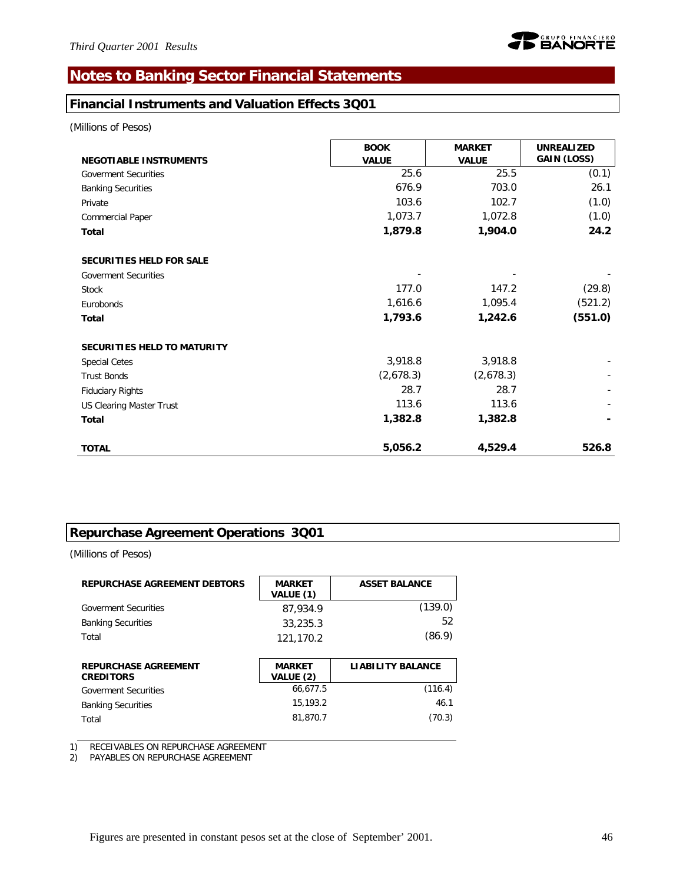# **Notes to Banking Sector Financial Statements**

### **Financial Instruments and Valuation Effects 3Q01**

*(Millions of Pesos)*

| <b>NEGOTIABLE INSTRUMENTS</b>   | <b>BOOK</b><br><b>VALUE</b> | <b>MARKET</b><br><b>VALUE</b> | <b>UNREALIZED</b><br>GAIN (LOSS) |
|---------------------------------|-----------------------------|-------------------------------|----------------------------------|
| <b>Goverment Securities</b>     | 25.6                        | 25.5                          | (0.1)                            |
| <b>Banking Securities</b>       | 676.9                       | 703.0                         | 26.1                             |
| Private                         | 103.6                       | 102.7                         | (1.0)                            |
| Commercial Paper                | 1,073.7                     | 1,072.8                       | (1.0)                            |
| Total                           | 1,879.8                     | 1,904.0                       | 24.2                             |
| <b>SECURITIES HELD FOR SALE</b> |                             |                               |                                  |
| <b>Goverment Securities</b>     |                             |                               |                                  |
| <b>Stock</b>                    | 177.0                       | 147.2                         | (29.8)                           |
| Eurobonds                       | 1,616.6                     | 1,095.4                       | (521.2)                          |
| <b>Total</b>                    | 1,793.6                     | 1,242.6                       | (551.0)                          |
| SECURITIES HELD TO MATURITY     |                             |                               |                                  |
| <b>Special Cetes</b>            | 3,918.8                     | 3,918.8                       |                                  |
| <b>Trust Bonds</b>              | (2,678.3)                   | (2,678.3)                     |                                  |
| <b>Fiduciary Rights</b>         | 28.7                        | 28.7                          |                                  |
| <b>US Clearing Master Trust</b> | 113.6                       | 113.6                         |                                  |
| Total                           | 1,382.8                     | 1,382.8                       |                                  |
| <b>TOTAL</b>                    | 5,056.2                     | 4,529.4                       | 526.8                            |

# **Repurchase Agreement Operations 3Q01**

*(Millions of Pesos)*

| <b>REPURCHASE AGREEMENT DEBTORS</b>             | <b>MARKET</b><br>VALUE (1) | <b>ASSET BALANCE</b>     |
|-------------------------------------------------|----------------------------|--------------------------|
| <b>Goverment Securities</b>                     | 87,934.9                   | (139.0)                  |
| <b>Banking Securities</b>                       | 33,235.3                   | 52                       |
| Total                                           | 121,170.2                  | (86.9)                   |
|                                                 |                            |                          |
| <b>REPURCHASE AGREEMENT</b><br><b>CREDITORS</b> | <b>MARKET</b><br>VALUE (2) | <b>LIABILITY BALANCE</b> |
|                                                 |                            |                          |
| <b>Goverment Securities</b>                     | 66.677.5                   | (116.4)                  |
| <b>Banking Securities</b>                       | 15.193.2                   | 46.1                     |

1) RECEIVABLES ON REPURCHASE AGREEMENT

2) PAYABLES ON REPURCHASE AGREEMENT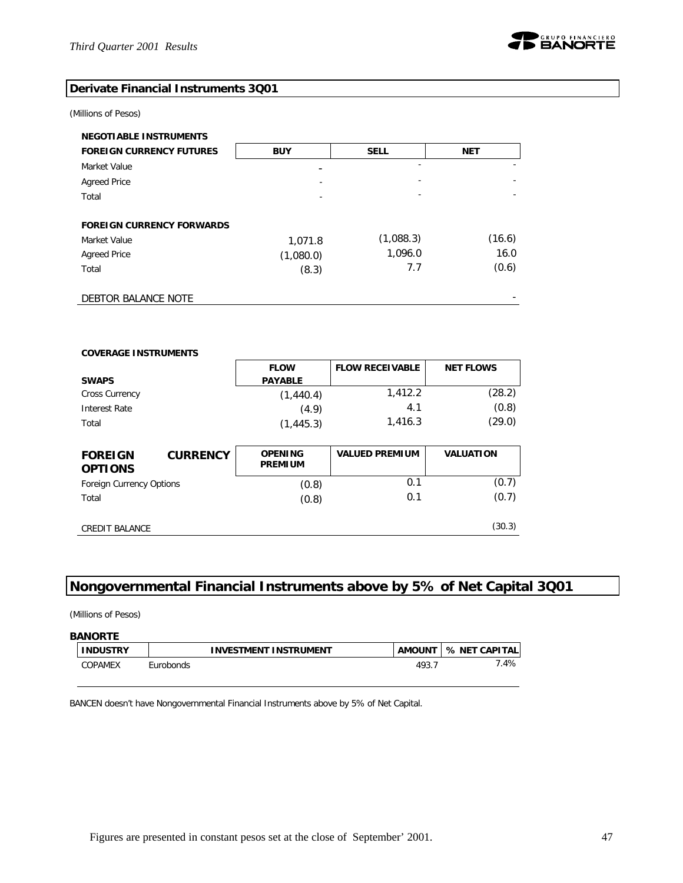

### **Derivate Financial Instruments 3Q01**

#### *(Millions of Pesos)*

| <b>NEGOTIABLE INSTRUMENTS</b>    |            |             |            |
|----------------------------------|------------|-------------|------------|
| <b>FOREIGN CURRENCY FUTURES</b>  | <b>BUY</b> | <b>SELL</b> | <b>NET</b> |
| Market Value                     |            |             |            |
| <b>Agreed Price</b>              |            |             |            |
| Total                            |            |             |            |
|                                  |            |             |            |
| <b>FOREIGN CURRENCY FORWARDS</b> |            |             |            |
| Market Value                     | 1,071.8    | (1,088.3)   | (16.6)     |
| <b>Agreed Price</b>              | (1,080.0)  | 1,096.0     | 16.0       |
| Total                            | (8.3)      | 7.7         | (0.6)      |
|                                  |            |             |            |
| DEBTOR BALANCE NOTE              |            |             |            |

| <b>COVERAGE INSTRUMENTS</b>      |                 |                                  |                        |                  |
|----------------------------------|-----------------|----------------------------------|------------------------|------------------|
|                                  |                 | <b>FLOW</b>                      | <b>FLOW RECEIVABLE</b> | <b>NET FLOWS</b> |
| <b>SWAPS</b>                     |                 | <b>PAYABLE</b>                   |                        |                  |
| <b>Cross Currency</b>            |                 | (1,440.4)                        | 1,412.2                | (28.2)           |
| Interest Rate                    |                 | (4.9)                            | 4.1                    | (0.8)            |
| Total                            |                 | (1, 445.3)                       | 1,416.3                | (29.0)           |
|                                  |                 |                                  |                        |                  |
|                                  |                 |                                  |                        |                  |
| <b>FOREIGN</b><br><b>OPTIONS</b> | <b>CURRENCY</b> | <b>OPENING</b><br><b>PREMIUM</b> | <b>VALUED PREMIUM</b>  | <b>VALUATION</b> |
| <b>Foreign Currency Options</b>  |                 | (0.8)                            | 0.1                    | (0.7)            |
| Total                            |                 | (0.8)                            | 0.1                    | (0.7)            |

# **Nongovernmental Financial Instruments above by 5% of Net Capital 3Q01**

*(Millions of Pesos)*

| <b>BANORTE</b>  |           |                       |               |               |
|-----------------|-----------|-----------------------|---------------|---------------|
| <b>INDUSTRY</b> |           | INVESTMENT INSTRUMENT | <b>AMOUNT</b> | % NET CAPITAL |
| COPAMEX         | Eurobonds |                       | 493.7         | 7.4%          |

BANCEN doesn't have Nongovernmental Financial Instruments above by 5% of Net Capital.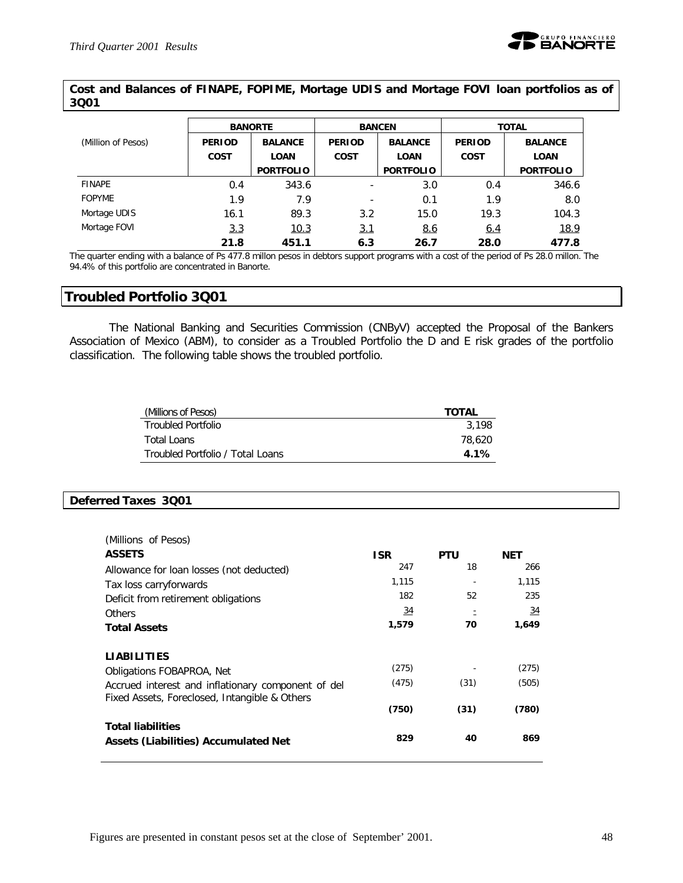### **Cost and Balances of FINAPE, FOPIME, Mortage UDIS and Mortage FOVI loan portfolios as of 3Q01**

|                    |               | <b>BANORTE</b>   |                          | <b>BANCEN</b>  | <b>TOTAL</b>  |                  |  |
|--------------------|---------------|------------------|--------------------------|----------------|---------------|------------------|--|
| (Million of Pesos) | <b>PERIOD</b> | <b>BALANCE</b>   | <b>PERIOD</b>            | <b>BALANCE</b> | <b>PERIOD</b> | <b>BALANCE</b>   |  |
|                    | <b>COST</b>   | <b>LOAN</b>      | <b>COST</b>              | <b>LOAN</b>    |               | <b>LOAN</b>      |  |
|                    |               | <b>PORTFOLIO</b> | <b>PORTFOLIO</b>         |                |               | <b>PORTFOLIO</b> |  |
| <b>FINAPE</b>      | 0.4           | 343.6            |                          | 3.0            | 0.4           | 346.6            |  |
| <b>FOPYME</b>      | 1.9           | 7.9              | $\overline{\phantom{0}}$ | 0.1            | 1.9           | 8.0              |  |
| Mortage UDIS       | 16.1          | 89.3             | 3.2                      | 15.0           | 19.3          | 104.3            |  |
| Mortage FOVI       | <u>3.3</u>    | 10.3             | <u>3.1</u>               | 8.6            | 6.4           | 18.9             |  |
|                    | 21.8          | 451.1            | 6.3                      | 26.7           | 28.0          | 477.8            |  |

The quarter ending with a balance of Ps 477.8 millon pesos in debtors support programs with a cost of the period of Ps 28.0 millon. The 94.4% of this portfolio are concentrated in Banorte.

### **Troubled Portfolio 3Q01**

The National Banking and Securities Commission (CNByV) accepted the Proposal of the Bankers Association of Mexico (ABM), to consider as a Troubled Portfolio the D and E risk grades of the portfolio classification. The following table shows the troubled portfolio.

| (Millions of Pesos)              | <b>TOTAL</b> |
|----------------------------------|--------------|
| <b>Troubled Portfolio</b>        | 3.198        |
| Total Loans                      | 78,620       |
| Troubled Portfolio / Total Loans | $4.1\%$      |

### **Deferred Taxes 3Q01**

| (Millions of Pesos)                                                                                 |                 |            |            |
|-----------------------------------------------------------------------------------------------------|-----------------|------------|------------|
| <b>ASSETS</b>                                                                                       | <b>ISR</b>      | <b>PTU</b> | <b>NET</b> |
| Allowance for loan losses (not deducted)                                                            | 247             | 18         | 266        |
| Tax loss carryforwards                                                                              | 1,115           |            | 1,115      |
| Deficit from retirement obligations                                                                 | 182             | 52         | 235        |
| Others                                                                                              | $\overline{34}$ |            | <u>34</u>  |
| <b>Total Assets</b>                                                                                 | 1,579           | 70         | 1,649      |
| <b>LIABILITIES</b>                                                                                  |                 |            |            |
| Obligations FOBAPROA, Net                                                                           | (275)           |            | (275)      |
| Accrued interest and inflationary component of del<br>Fixed Assets, Foreclosed, Intangible & Others | (475)           | (31)       | (505)      |
|                                                                                                     | (750)           | (31)       | (780)      |
| <b>Total liabilities</b><br>Assets (Liabilities) Accumulated Net                                    | 829             | 40         | 869        |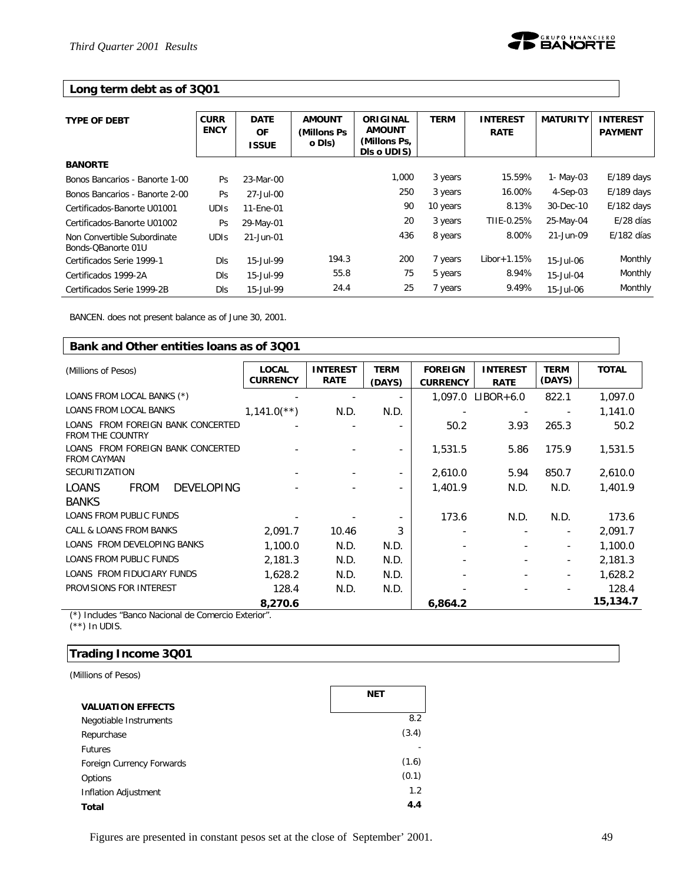### **Long term debt as of 3Q01**

| <b>TYPE OF DEBT</b>                               | <b>CURR</b><br><b>ENCY</b> | <b>DATE</b><br><b>OF</b><br><b>ISSUE</b> | <b>AMOUNT</b><br>(Millons Ps)<br>o DIs) | ORIGINAL<br><b>AMOUNT</b><br>(Millons Ps,<br>DIs o UDIS) | <b>TERM</b> | <b>INTEREST</b><br><b>RATE</b> | <b>MATURITY</b> | <b>INTEREST</b><br><b>PAYMENT</b> |
|---------------------------------------------------|----------------------------|------------------------------------------|-----------------------------------------|----------------------------------------------------------|-------------|--------------------------------|-----------------|-----------------------------------|
| <b>BANORTE</b>                                    |                            |                                          |                                         |                                                          |             |                                |                 |                                   |
| Bonos Bancarios - Banorte 1-00                    | Ps                         | 23-Mar-00                                |                                         | 1,000                                                    | 3 years     | 15.59%                         | 1- May-03       | $E/189$ days                      |
| Bonos Bancarios - Banorte 2-00                    | Ps                         | 27-Jul-00                                |                                         | 250                                                      | 3 years     | 16.00%                         | $4-Sep-03$      | $E/189$ days                      |
| Certificados-Banorte U01001                       | <b>UDIS</b>                | 11-Ene-01                                |                                         | 90                                                       | 10 years    | 8.13%                          | 30-Dec-10       | $E/182$ days                      |
| Certificados-Banorte U01002                       | Ps                         | 29-May-01                                |                                         | 20                                                       | 3 years     | TIIE-0.25%                     | 25-May-04       | E/28 días                         |
| Non Convertible Subordinate<br>Bonds-OBanorte 01U | <b>UDIS</b>                | 21-Jun-01                                |                                         | 436                                                      | 8 years     | 8.00%                          | 21-Jun-09       | $E/182$ días                      |
| Certificados Serie 1999-1                         | <b>DIs</b>                 | 15-Jul-99                                | 194.3                                   | 200                                                      | 7 years     | $Libor+1.15%$                  | 15-Jul-06       | Monthly                           |
| Certificados 1999-2A                              | <b>DIs</b>                 | 15-Jul-99                                | 55.8                                    | 75                                                       | 5 years     | 8.94%                          | 15-Jul-04       | Monthly                           |
| Certificados Serie 1999-2B                        | <b>DIs</b>                 | 15-Jul-99                                | 24.4                                    | 25                                                       | 7 years     | 9.49%                          | 15-Jul-06       | Monthly                           |

BANCEN. does not present balance as of June 30, 2001.

| Bank and Other entities loans as of 3001                         |                                 |                                |                       |                                   |                                |                          |              |  |
|------------------------------------------------------------------|---------------------------------|--------------------------------|-----------------------|-----------------------------------|--------------------------------|--------------------------|--------------|--|
| (Millions of Pesos)                                              | <b>LOCAL</b><br><b>CURRENCY</b> | <b>INTEREST</b><br><b>RATE</b> | <b>TERM</b><br>(DAYS) | <b>FOREIGN</b><br><b>CURRENCY</b> | <b>INTEREST</b><br><b>RATE</b> | <b>TERM</b><br>(DAYS)    | <b>TOTAL</b> |  |
| LOANS FROM LOCAL BANKS (*)                                       |                                 |                                |                       | 1,097.0                           | $LIBOR+6.0$                    | 822.1                    | 1,097.0      |  |
| <b>LOANS FROM LOCAL BANKS</b>                                    | $1,141.0$ <sup>**</sup> )       | N.D.                           | N.D.                  |                                   |                                |                          | 1,141.0      |  |
| LOANS FROM FOREIGN BANK CONCERTED<br><b>FROM THE COUNTRY</b>     |                                 |                                |                       | 50.2                              | 3.93                           | 265.3                    | 50.2         |  |
| LOANS FROM FOREIGN BANK CONCERTED<br><b>FROM CAYMAN</b>          |                                 |                                |                       | 1,531.5                           | 5.86                           | 175.9                    | 1,531.5      |  |
| <b>SECURITIZATION</b>                                            |                                 |                                |                       | 2,610.0                           | 5.94                           | 850.7                    | 2,610.0      |  |
| <b>LOANS</b><br><b>FROM</b><br><b>DEVELOPING</b><br><b>BANKS</b> |                                 |                                |                       | 1,401.9                           | N.D.                           | N.D.                     | 1,401.9      |  |
| <b>LOANS FROM PUBLIC FUNDS</b>                                   |                                 |                                |                       | 173.6                             | N.D.                           | N.D.                     | 173.6        |  |
| CALL & LOANS FROM BANKS                                          | 2,091.7                         | 10.46                          | 3                     |                                   |                                | $\overline{\phantom{a}}$ | 2,091.7      |  |
| LOANS FROM DEVELOPING BANKS                                      | 1,100.0                         | N.D.                           | N.D.                  |                                   |                                | $\overline{\phantom{a}}$ | 1,100.0      |  |
| <b>LOANS FROM PUBLIC FUNDS</b>                                   | 2,181.3                         | N.D.                           | N.D.                  |                                   |                                | $\overline{\phantom{a}}$ | 2,181.3      |  |
| LOANS FROM FIDUCIARY FUNDS                                       | 1,628.2                         | N.D.                           | N.D.                  |                                   |                                | $\overline{\phantom{a}}$ | 1,628.2      |  |
| PROVISIONS FOR INTEREST                                          | 128.4                           | N.D.                           | N.D.                  |                                   |                                |                          | 128.4        |  |
|                                                                  | 8,270.6                         |                                |                       | 6,864.2                           |                                |                          | 15,134.7     |  |

(\*) Includes "Banco Nacional de Comercio Exterior".  $(**)$  In UDIS.

### **Trading Income 3Q01**

*(Millions of Pesos)*

|                           | NET   |
|---------------------------|-------|
| <b>VALUATION EFFECTS</b>  |       |
| Negotiable Instruments    | 8.2   |
| Repurchase                | (3.4) |
| <b>Futures</b>            |       |
| Foreign Currency Forwards | (1.6) |
| Options                   | (0.1) |
| Inflation Adjustment      | 1.2   |
| Total                     | 4.4   |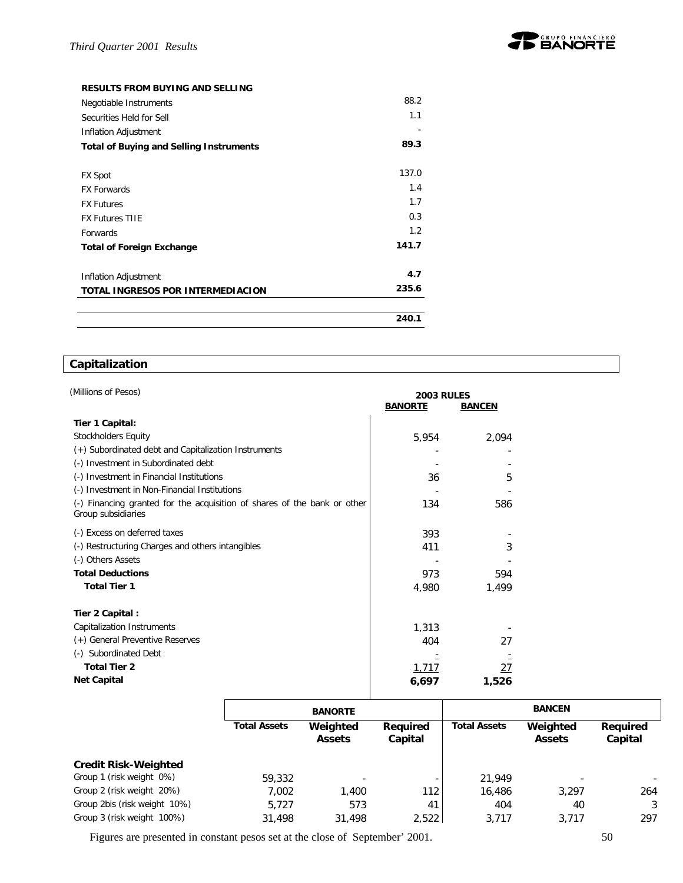

#### **RESULTS FROM BUYING AND SELLING**

| Negotiable Instruments                         | 88.2  |
|------------------------------------------------|-------|
| Securities Held for Sell                       | 1.1   |
| Inflation Adjustment                           |       |
| <b>Total of Buying and Selling Instruments</b> | 89.3  |
|                                                |       |
| <b>FX Spot</b>                                 | 137.0 |
| <b>FX Forwards</b>                             | 1.4   |
| <b>FX Futures</b>                              | 1.7   |
| <b>FX Futures TIIE</b>                         | 0.3   |
| <b>Forwards</b>                                | 1.2   |
| <b>Total of Foreign Exchange</b>               | 141.7 |
|                                                |       |
| Inflation Adjustment                           | 4.7   |
| TOTAL INGRESOS POR INTERMEDIACION              | 235.6 |
|                                                |       |
|                                                | 240.1 |

# **Capitalization**

| (Millions of Pesos)                                                                            | <b>2003 RULES</b> |               |  |
|------------------------------------------------------------------------------------------------|-------------------|---------------|--|
|                                                                                                | <b>BANORTE</b>    | <b>BANCEN</b> |  |
| Tier 1 Capital:                                                                                |                   |               |  |
| <b>Stockholders Equity</b>                                                                     | 5,954             | 2,094         |  |
| (+) Subordinated debt and Capitalization Instruments                                           |                   |               |  |
| (-) Investment in Subordinated debt                                                            |                   |               |  |
| (-) Investment in Financial Institutions                                                       | 36                | 5             |  |
| (-) Investment in Non-Financial Institutions                                                   |                   |               |  |
| (-) Financing granted for the acquisition of shares of the bank or other<br>Group subsidiaries | 134               | 586           |  |
| (-) Excess on deferred taxes                                                                   | 393               |               |  |
| (-) Restructuring Charges and others intangibles                                               | 411               | 3             |  |
| (-) Others Assets                                                                              |                   |               |  |
| <b>Total Deductions</b>                                                                        | 973               | 594           |  |
| <b>Total Tier 1</b>                                                                            | 4,980             | 1,499         |  |
| Tier 2 Capital:                                                                                |                   |               |  |
| Capitalization Instruments                                                                     | 1,313             |               |  |
| (+) General Preventive Reserves                                                                | 404               | 27            |  |
| (-) Subordinated Debt                                                                          |                   |               |  |
| <b>Total Tier 2</b>                                                                            | 1,717             | 27            |  |
| <b>Net Capital</b>                                                                             | 6,697             | 1,526         |  |

|                              | <b>BANORTE</b>      |                           |                          | <b>BANCEN</b>       |                           |                     |
|------------------------------|---------------------|---------------------------|--------------------------|---------------------|---------------------------|---------------------|
|                              | <b>Total Assets</b> | Weighted<br><b>Assets</b> | Required<br>Capital      | <b>Total Assets</b> | Weighted<br><b>Assets</b> | Required<br>Capital |
| <b>Credit Risk-Weighted</b>  |                     |                           |                          |                     |                           |                     |
| Group 1 (risk weight 0%)     | 59,332              | $\overline{\phantom{0}}$  | $\overline{\phantom{0}}$ | 21.949              |                           |                     |
| Group 2 (risk weight 20%)    | 7.002               | 1,400                     | 112                      | 16,486              | 3.297                     | 264                 |
| Group 2bis (risk weight 10%) | 5.727               | 573                       | 41                       | 404                 | 40                        | 3                   |
| Group 3 (risk weight 100%)   | 31,498              | 31,498                    | 2.522                    | 3.717               | 3.717                     | 297                 |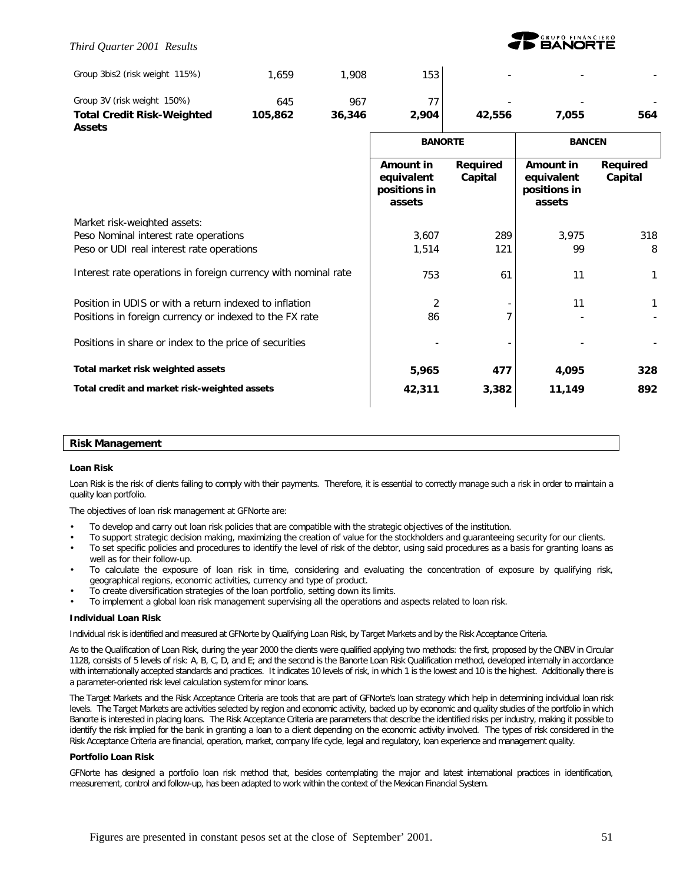### *Third Quarter 2001 Results*



| Group 3bis2 (risk weight 115%)                                 | 1,659   | 1,908  | 153                                                      |                     |                                                   |                     |
|----------------------------------------------------------------|---------|--------|----------------------------------------------------------|---------------------|---------------------------------------------------|---------------------|
| Group 3V (risk weight 150%)                                    | 645     | 967    | 77                                                       |                     |                                                   |                     |
| <b>Total Credit Risk-Weighted</b>                              | 105,862 | 36,346 | 2,904                                                    | 42,556              | 7,055                                             | 564                 |
| <b>Assets</b>                                                  |         |        |                                                          |                     |                                                   |                     |
|                                                                |         |        | <b>BANORTE</b>                                           |                     | <b>BANCEN</b>                                     |                     |
|                                                                |         |        | <b>Amount in</b><br>equivalent<br>positions in<br>assets | Required<br>Capital | Amount in<br>equivalent<br>positions in<br>assets | Required<br>Capital |
| Market risk-weighted assets:                                   |         |        |                                                          |                     |                                                   |                     |
| Peso Nominal interest rate operations                          |         |        | 3,607                                                    | 289                 | 3,975                                             | 318                 |
| Peso or UDI real interest rate operations                      |         |        | 1,514                                                    | 121                 | 99                                                | 8                   |
| Interest rate operations in foreign currency with nominal rate |         |        | 753                                                      | 61                  | 11                                                | 1                   |
| Position in UDIS or with a return indexed to inflation         |         |        | 2                                                        |                     | 11                                                | 1                   |
| Positions in foreign currency or indexed to the FX rate        |         |        | 86                                                       |                     |                                                   |                     |
| Positions in share or index to the price of securities         |         |        |                                                          |                     |                                                   |                     |
| Total market risk weighted assets                              |         |        | 5,965                                                    | 477                 | 4,095                                             | 328                 |
| Total credit and market risk-weighted assets                   |         |        | 42,311                                                   | 3,382               | 11,149                                            | 892                 |
|                                                                |         |        |                                                          |                     |                                                   |                     |

#### **Risk Management**

#### **Loan Risk**

Loan Risk is the risk of clients failing to comply with their payments. Therefore, it is essential to correctly manage such a risk in order to maintain a quality loan portfolio.

The objectives of loan risk management at GFNorte are:

- To develop and carry out loan risk policies that are compatible with the strategic objectives of the institution.
- To support strategic decision making, maximizing the creation of value for the stockholders and guaranteeing security for our clients.
- To set specific policies and procedures to identify the level of risk of the debtor, using said procedures as a basis for granting loans as well as for their follow-up.
- To calculate the exposure of loan risk in time, considering and evaluating the concentration of exposure by qualifying risk, geographical regions, economic activities, currency and type of product.
- To create diversification strategies of the loan portfolio, setting down its limits.
- To implement a global loan risk management supervising all the operations and aspects related to loan risk.

#### **Individual Loan Risk**

Individual risk is identified and measured at GFNorte by Qualifying Loan Risk, by Target Markets and by the Risk Acceptance Criteria.

As to the Qualification of Loan Risk, during the year 2000 the clients were qualified applying two methods: the first, proposed by the CNBV in Circular 1128, consists of 5 levels of risk: A, B, C, D, and E; and the second is the Banorte Loan Risk Qualification method, developed internally in accordance with internationally accepted standards and practices. It indicates 10 levels of risk, in which 1 is the lowest and 10 is the highest. Additionally there is a parameter-oriented risk level calculation system for minor loans.

The Target Markets and the Risk Acceptance Criteria are tools that are part of GFNorte's loan strategy which help in determining individual loan risk levels. The Target Markets are activities selected by region and economic activity, backed up by economic and quality studies of the portfolio in which Banorte is interested in placing loans. The Risk Acceptance Criteria are parameters that describe the identified risks per industry, making it possible to identify the risk implied for the bank in granting a loan to a client depending on the economic activity involved. The types of risk considered in the Risk Acceptance Criteria are financial, operation, market, company life cycle, legal and regulatory, loan experience and management quality.

#### **Portfolio Loan Risk**

GFNorte has designed a portfolio loan risk method that, besides contemplating the major and latest international practices in identification, measurement, control and follow-up, has been adapted to work within the context of the Mexican Financial System.